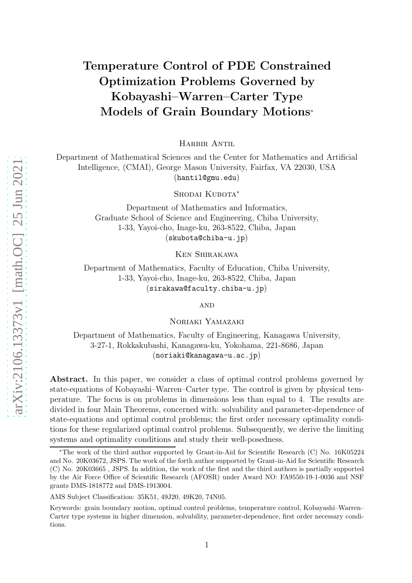# Temperature Control of PDE Constrained Optimization Problems Governed by Kobayashi–Warren–Carter Type Models of Grain Boundary Motions<sup>∗</sup>

Harbir Antil

Department of Mathematical Sciences and the Center for Mathematics and Artificial Intelligence, (CMAI), George Mason University, Fairfax, VA 22030, USA (hantil@gmu.edu)

Shodai Kubota<sup>\*</sup>

Department of Mathematics and Informatics, Graduate School of Science and Engineering, Chiba University, 1-33, Yayoi-cho, Inage-ku, 263-8522, Chiba, Japan (skubota@chiba-u.jp)

Ken Shirakawa

Department of Mathematics, Faculty of Education, Chiba University, 1-33, Yayoi-cho, Inage-ku, 263-8522, Chiba, Japan (sirakawa@faculty.chiba-u.jp)

**AND** 

Noriaki Yamazaki

Department of Mathematics, Faculty of Engineering, Kanagawa University, 3-27-1, Rokkakubashi, Kanagawa-ku, Yokohama, 221-8686, Japan (noriaki@kanagawa-u.ac.jp)

Abstract. In this paper, we consider a class of optimal control problems governed by state-equations of Kobayashi–Warren–Carter type. The control is given by physical temperature. The focus is on problems in dimensions less than equal to 4. The results are divided in four Main Theorems, concerned with: solvability and parameter-dependence of state-equations and optimal control problems; the first order necessary optimality conditions for these regularized optimal control problems. Subsequently, we derive the limiting systems and optimality conditions and study their well-posedness.

AMS Subject Classification: 35K51, 49J20, 49K20, 74N05.

<sup>∗</sup>The work of the third author supported by Grant-in-Aid for Scientific Research (C) No. 16K05224 and No. 20K03672, JSPS. The work of the forth author supported by Grant-in-Aid for Scientific Research (C) No. 20K03665 , JSPS. In addition, the work of the first and the third authors is partially supported by the Air Force Office of Scientific Research (AFOSR) under Award NO: FA9550-19-1-0036 and NSF grants DMS-1818772 and DMS-1913004.

Keywords: grain boundary motion, optimal control problems, temperature control, Kobayashi–Warren– Carter type systems in higher dimension, solvability, parameter-dependence, first order necessary conditions.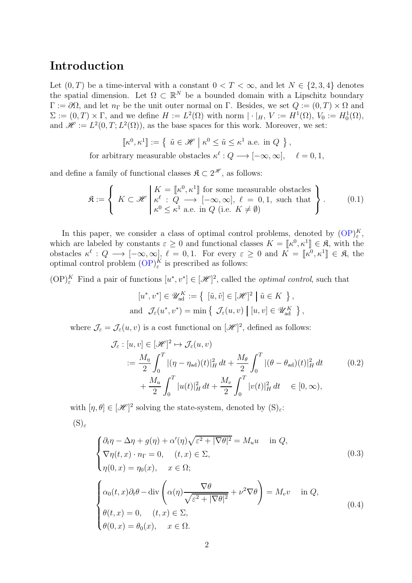### Introduction

Let  $(0, T)$  be a time-interval with a constant  $0 < T < \infty$ , and let  $N \in \{2, 3, 4\}$  denotes the spatial dimension. Let  $\Omega \subset \mathbb{R}^N$  be a bounded domain with a Lipschitz boundary  $\Gamma := \partial\Omega$ , and let  $n_{\Gamma}$  be the unit outer normal on  $\Gamma$ . Besides, we set  $Q := (0, T) \times \Omega$  and  $\Sigma := (0, T) \times \Gamma$ , and we define  $H := L^2(\Omega)$  with norm  $|\cdot|_H$ ,  $V := H^1(\Omega)$ ,  $V_0 := H_0^1(\Omega)$ , and  $\mathscr{H} := L^2(0,T; L^2(\Omega))$ , as the base spaces for this work. Moreover, we set:

$$
\[\![\kappa^0,\kappa^1]\!]:=\{\ \tilde{u}\in\mathscr{H}\mid\kappa^0\leq\tilde{u}\leq\kappa^1\text{ a.e. in }Q\ \}\,,
$$
\nfor arbitrary measurable obstacles

\n
$$
\kappa^\ell:Q\longrightarrow[-\infty,\infty],\quad \ell=0,1,
$$

and define a family of functional classes  $\mathfrak{K} \subset 2^{\mathscr{H}}$ , as follows:

<span id="page-1-3"></span>
$$
\mathfrak{K} := \left\{ K \subset \mathcal{H} \middle| \begin{array}{l} K = [\![\kappa^0, \kappa^1]\!] \text{ for some measurable obstacles} \\ \kappa^\ell : Q \longrightarrow [-\infty, \infty], \ell = 0, 1, \text{ such that} \\ \kappa^0 \leq \kappa^1 \text{ a.e. in } Q \text{ (i.e. } K \neq \emptyset) \end{array} \right\}.
$$
 (0.1)

In this paper, we consider a class of optimal control problems, denoted by  $(OP)_{\varepsilon}^K$ , which are labeled by constants  $\varepsilon \geq 0$  and functional classes  $K = [\![\kappa^0, \kappa^1]\!] \in \mathfrak{K}$ , with the obstacles  $\kappa^{\ell}: Q \longrightarrow [-\infty, \infty], \ell = 0, 1$ . For every  $\varepsilon \geq 0$  and  $K = [\![\kappa^0, \kappa^1]\!] \in \mathfrak{K}$ , the optimal control problem  $(OP)_{\varepsilon}^K$  is prescribed as follows:

<span id="page-1-0"></span> $(\text{OP})_{\varepsilon}^K$  Find a pair of functions  $[u^*, v^*] \in [\mathcal{H}]^2$ , called the *optimal control*, such that

<span id="page-1-4"></span>
$$
[u^*, v^*] \in \mathscr{U}_{ad}^K := \{ [\tilde{u}, \tilde{v}] \in [\mathscr{H}]^2 \mid \tilde{u} \in K \},
$$
  
and  $\mathcal{J}_{\varepsilon}(u^*, v^*) = \min \{ \mathcal{J}_{\varepsilon}(u, v) \mid [u, v] \in \mathscr{U}_{ad}^K \},$ 

where  $\mathcal{J}_{\varepsilon} = \mathcal{J}_{\varepsilon}(u, v)$  is a cost functional on  $[\mathscr{H}]^2$ , defined as follows:

$$
\mathcal{J}_{\varepsilon} : [u, v] \in [\mathcal{H}]^{2} \mapsto \mathcal{J}_{\varepsilon}(u, v)
$$
  

$$
:= \frac{M_{\eta}}{2} \int_{0}^{T} |(\eta - \eta_{ad})(t)|_{H}^{2} dt + \frac{M_{\theta}}{2} \int_{0}^{T} |(\theta - \theta_{ad})(t)|_{H}^{2} dt \qquad (0.2)
$$

$$
+ \frac{M_{u}}{2} \int_{0}^{T} |u(t)|_{H}^{2} dt + \frac{M_{v}}{2} \int_{0}^{T} |v(t)|_{H}^{2} dt \qquad (0.2)
$$

with  $[\eta, \theta] \in [\mathcal{H}]^2$  solving the state-system, denoted by  $(S)_{\varepsilon}$ :  $(S)_{\varepsilon}$ 

<span id="page-1-2"></span><span id="page-1-1"></span>
$$
\begin{cases}\n\partial_t \eta - \Delta \eta + g(\eta) + \alpha'(\eta)\sqrt{\varepsilon^2 + |\nabla \theta|^2} = M_u u & \text{in } Q, \\
\nabla \eta(t, x) \cdot n_\Gamma = 0, \quad (t, x) \in \Sigma, \\
\eta(0, x) = \eta_0(x), \quad x \in \Omega; \\
\alpha_0(t, x) \partial_t \theta - \text{div}\left(\alpha(\eta) \frac{\nabla \theta}{\sqrt{\varepsilon^2 + |\nabla \theta|^2}} + \nu^2 \nabla \theta\right) = M_v v & \text{in } Q, \\
\theta(t, x) = 0, \quad (t, x) \in \Sigma, \\
\theta(0, x) = \theta_0(x), \quad x \in \Omega.\n\end{cases}
$$
\n(0.4)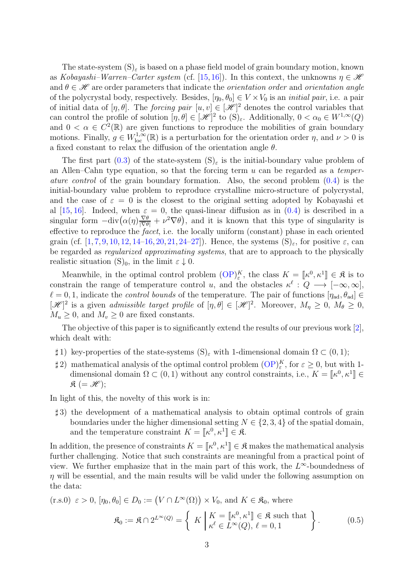The state-system  $(S)_{\epsilon}$  is based on a phase field model of grain boundary motion, known as Kobayashi–Warren–Carter system (cf. [\[15,](#page-47-0)[16\]](#page-47-1)). In this context, the unknowns  $\eta \in \mathcal{H}$ and  $\theta \in \mathcal{H}$  are order parameters that indicate the *orientation order* and *orientation angle* of the polycrystal body, respectively. Besides,  $[\eta_0, \theta_0] \in V \times V_0$  is an *initial pair*, i.e. a pair of initial data of  $[\eta, \theta]$ . The *forcing pair*  $[u, v] \in [\mathcal{H}]^2$  denotes the control variables that can control the profile of solution  $[\eta, \theta] \in [\mathcal{H}]^2$  to  $(S)_{\varepsilon}$ . Additionally,  $0 < \alpha_0 \in W^{1,\infty}(Q)$ and  $0 < \alpha \in C^2(\mathbb{R})$  are given functions to reproduce the mobilities of grain boundary motions. Finally,  $g \in W^{1,\infty}_{loc}(\mathbb{R})$  is a perturbation for the orientation order  $\eta$ , and  $\nu > 0$  is a fixed constant to relax the diffusion of the orientation angle  $\theta$ .

The first part [\(0.3\)](#page-1-1) of the state-system  $(S)_{\varepsilon}$  is the initial-boundary value problem of an Allen–Cahn type equation, so that the forcing term  $u$  can be regarded as a temperature control of the grain boundary formation. Also, the second problem [\(0.4\)](#page-1-2) is the initial-boundary value problem to reproduce crystalline micro-structure of polycrystal, and the case of  $\varepsilon = 0$  is the closest to the original setting adopted by Kobayashi et al [\[15,](#page-47-0) [16\]](#page-47-1). Indeed, when  $\varepsilon = 0$ , the quasi-linear diffusion as in  $(0.4)$  is described in a singular form  $-\text{div}(\alpha(\eta)\frac{\nabla\theta}{|\nabla\theta|} + \nu^2 \nabla\theta)$ , and it is known that this type of singularity is effective to reproduce the facet, i.e. the locally uniform (constant) phase in each oriented grain (cf.  $[1, 7, 9, 10, 12, 14-16, 20, 21, 24-27]$  $[1, 7, 9, 10, 12, 14-16, 20, 21, 24-27]$  $[1, 7, 9, 10, 12, 14-16, 20, 21, 24-27]$  $[1, 7, 9, 10, 12, 14-16, 20, 21, 24-27]$  $[1, 7, 9, 10, 12, 14-16, 20, 21, 24-27]$  $[1, 7, 9, 10, 12, 14-16, 20, 21, 24-27]$  $[1, 7, 9, 10, 12, 14-16, 20, 21, 24-27]$  $[1, 7, 9, 10, 12, 14-16, 20, 21, 24-27]$  $[1, 7, 9, 10, 12, 14-16, 20, 21, 24-27]$  $[1, 7, 9, 10, 12, 14-16, 20, 21, 24-27]$  $[1, 7, 9, 10, 12, 14-16, 20, 21, 24-27]$  $[1, 7, 9, 10, 12, 14-16, 20, 21, 24-27]$  $[1, 7, 9, 10, 12, 14-16, 20, 21, 24-27]$  $[1, 7, 9, 10, 12, 14-16, 20, 21, 24-27]$  $[1, 7, 9, 10, 12, 14-16, 20, 21, 24-27]$  $[1, 7, 9, 10, 12, 14-16, 20, 21, 24-27]$  $[1, 7, 9, 10, 12, 14-16, 20, 21, 24-27]$ ). Hence, the systems  $(S)_{\varepsilon}$ , for positive  $\varepsilon$ , can be regarded as regularized approximating systems, that are to approach to the physically realistic situation  $(S)_0$ , in the limit  $\varepsilon \downarrow 0$ .

Meanwhile, in the optimal control problem  $(\text{OP})_{\varepsilon}^K$ , the class  $K = \llbracket \kappa^0, \kappa^1 \rrbracket \in \mathfrak{K}$  is to constrain the range of temperature control u, and the obstacles  $\kappa^{\ell}: Q \longrightarrow [-\infty, \infty]$ ,  $\ell = 0, 1$ , indicate the *control bounds* of the temperature. The pair of functions  $[\eta_{ad}, \theta_{ad}] \in$  $[\mathscr{H}]^2$  is a given admissible target profile of  $[\eta, \theta] \in [\mathscr{H}]^2$ . Moreover,  $M_\eta \geq 0$ ,  $M_\theta \geq 0$ ,  $M_u \geq 0$ , and  $M_v \geq 0$  are fixed constants.

The objective of this paper is to significantly extend the results of our previous work [\[2\]](#page-46-1), which dealt with:

- $\sharp$  1) key-properties of the state-systems  $(S)_{\varepsilon}$  with 1-dimensional domain  $\Omega \subset (0,1)$ ;
- <span id="page-2-1"></span> $\sharp$  2) mathematical analysis of the optimal control problem  $(\text{OP})^K_{\varepsilon}$ , for  $\varepsilon \geq 0$ , but with 1dimensional domain  $\Omega \subset (0, 1)$  without any control constraints, i.e.,  $K = \llbracket \kappa^0, \kappa^1 \rrbracket \in$  $\mathfrak{K}$  (=  $\mathscr{H}$ );

In light of this, the novelty of this work is in:

<span id="page-2-2"></span>♯ 3) the development of a mathematical analysis to obtain optimal controls of grain boundaries under the higher dimensional setting  $N \in \{2, 3, 4\}$  of the spatial domain, and the temperature constraint  $K = \llbracket \kappa^0, \kappa^1 \rrbracket \in \mathfrak{K}.$ 

In addition, the presence of constraints  $K = \llbracket \kappa^0, \kappa^1 \rrbracket \in \mathfrak{K}$  makes the mathematical analysis further challenging. Notice that such constraints are meaningful from a practical point of view. We further emphasize that in the main part of this work, the  $L^{\infty}$ -boundedness of  $\eta$  will be essential, and the main results will be valid under the following assumption on the data:

<span id="page-2-3"></span><span id="page-2-0"></span>(r.s.0) 
$$
\varepsilon > 0
$$
,  $[\eta_0, \theta_0] \in D_0 := (V \cap L^{\infty}(\Omega)) \times V_0$ , and  $K \in \mathfrak{K}_0$ , where  

$$
\mathfrak{K}_0 := \mathfrak{K} \cap 2^{L^{\infty}(Q)} = \left\{ K \mid K = [\kappa^0, \kappa^1] \in \mathfrak{K} \text{ such that } \right\}.
$$
 (0.5)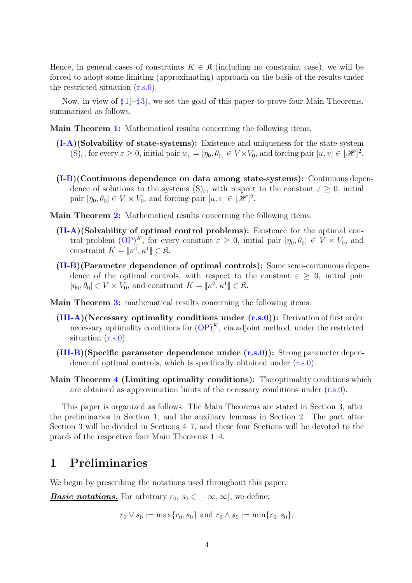Hence, in general cases of constraints  $K \in \mathfrak{K}$  (including no constraint case), we will be forced to adopt some limiting (approximating) approach on the basis of the results under the restricted situation [\(r.s.0\)](#page-2-0).

Now, in view of  $\sharp 1$ – $\sharp 3$ ), we set the goal of this paper to prove four Main Theorems, summarized as follows.

Main Theorem [1:](#page-17-0) Mathematical results concerning the following items.

- [\(I-A\)](#page-17-1)(Solvability of state-systems): Existence and uniqueness for the state-system  $(S)_{\varepsilon}$ , for every  $\varepsilon \geq 0$ , initial pair  $w_0 = [\eta_0, \theta_0] \in V \times V_0$ , and forcing pair  $[u, v] \in [\mathcal{H}]^2$ .
- [\(I-B\)](#page-17-2)(Continuous dependence on data among state-systems): Continuous dependence of solutions to the systems  $(S)_{\varepsilon}$ , with respect to the constant  $\varepsilon \geq 0$ , initial pair  $[\eta_0, \theta_0] \in V \times V_0$ , and forcing pair  $[u, v] \in [\mathcal{H}]^2$ .
- Main Theorem [2:](#page-18-0) Mathematical results concerning the following items.
	- [\(II-A\)](#page-18-1)(Solvability of optimal control problems): Existence for the optimal control problem  $(\overline{OP})_s^K$ , for every constant  $\varepsilon \geq 0$ , initial pair  $[\eta_0, \theta_0] \in V \times V_0$ , and constraint  $K = [\![\kappa^0, \kappa^1]\!] \in \mathfrak{K}.$
	- [\(II-B\)](#page-18-2)(Parameter dependence of optimal controls): Some semi-continuous dependence of the optimal controls, with respect to the constant  $\varepsilon \geq 0$ , initial pair  $[\eta_0, \theta_0] \in V \times V_0$ , and constraint  $K = [\![ \kappa^0, \kappa^1 ]\!] \in \mathfrak{K}$ .
- Main Theorem [3:](#page-18-3) mathematical results concerning the following items.
	- $(III-A)(Necessary optimality conditions under (r.s.0))$  $(III-A)(Necessary optimality conditions under (r.s.0))$  $(III-A)(Necessary optimality conditions under (r.s.0))$  $(III-A)(Necessary optimality conditions under (r.s.0))$ : Derivation of first order necessary optimality conditions for  $\left(\text{OP}\right)^K_{\varepsilon}$ , via adjoint method, under the restricted situation  $(r.s.0)$ .
	- $(III-B)(Specific parameter dependence under (r.s.0)):$  $(III-B)(Specific parameter dependence under (r.s.0)):$  $(III-B)(Specific parameter dependence under (r.s.0)):$  $(III-B)(Specific parameter dependence under (r.s.0)):$  Strong parameter dependence dence of optimal controls, which is specifically obtained under [\(r.s.0\)](#page-2-0).
- Main Theorem [4](#page-20-0) (Limiting optimality conditions): The optimality conditions which are obtained as approximation limits of the necessary conditions under [\(r.s.0\)](#page-2-0).

This paper is organized as follows. The Main Theorems are stated in Section 3, after the preliminaries in Section 1, and the auxiliary lemmas in Section 2. The part after Section 3 will be divided in Sections 4–7, and these four Sections will be devoted to the proofs of the respective four Main Theorems 1–4.

#### 1 Preliminaries

We begin by prescribing the notations used throughout this paper.

**Basic notations.** For arbitrary  $r_0, s_0 \in [-\infty, \infty]$ , we define:

 $r_0 \vee s_0 := \max\{r_0, s_0\}$  and  $r_0 \wedge s_0 := \min\{r_0, s_0\},$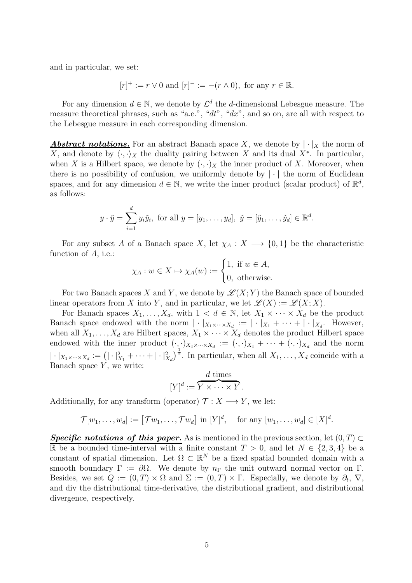and in particular, we set:

$$
[r]^+ := r \vee 0
$$
 and  $[r]^- := -(r \wedge 0)$ , for any  $r \in \mathbb{R}$ .

For any dimension  $d \in \mathbb{N}$ , we denote by  $\mathcal{L}^d$  the d-dimensional Lebesgue measure. The measure theoretical phrases, such as "a.e.", "dt", "dx", and so on, are all with respect to the Lebesgue measure in each corresponding dimension.

**Abstract notations.** For an abstract Banach space X, we denote by  $|\cdot|_X$  the norm of X, and denote by  $\langle \cdot, \cdot \rangle_X$  the duality pairing between X and its dual X<sup>∗</sup>. In particular, when X is a Hilbert space, we denote by  $(\cdot, \cdot)_X$  the inner product of X. Moreover, when there is no possibility of confusion, we uniformly denote by  $|\cdot|$  the norm of Euclidean spaces, and for any dimension  $d \in \mathbb{N}$ , we write the inner product (scalar product) of  $\mathbb{R}^d$ , as follows:

$$
y \cdot \tilde{y} = \sum_{i=1}^d y_i \tilde{y}_i
$$
, for all  $y = [y_1, \ldots, y_d]$ ,  $\tilde{y} = [\tilde{y}_1, \ldots, \tilde{y}_d] \in \mathbb{R}^d$ .

For any subset A of a Banach space X, let  $\chi_A : X \longrightarrow \{0,1\}$  be the characteristic function of A, i.e.:

$$
\chi_A : w \in X \mapsto \chi_A(w) := \begin{cases} 1, & \text{if } w \in A, \\ 0, & \text{otherwise.} \end{cases}
$$

For two Banach spaces X and Y, we denote by  $\mathscr{L}(X; Y)$  the Banach space of bounded linear operators from X into Y, and in particular, we let  $\mathscr{L}(X) := \mathscr{L}(X;X)$ .

For Banach spaces  $X_1, \ldots, X_d$ , with  $1 \lt d \in \mathbb{N}$ , let  $X_1 \times \cdots \times X_d$  be the product Banach space endowed with the norm  $\left| \cdot |_{X_1 \times \cdots \times X_d} \right| := \left| \cdot |_{X_1} + \cdots + \right| \cdot |_{X_d}$ . However, when all  $X_1, \ldots, X_d$  are Hilbert spaces,  $X_1 \times \cdots \times X_d$  denotes the product Hilbert space endowed with the inner product  $(\cdot, \cdot)_{X_1 \times \cdots \times X_d} := (\cdot, \cdot)_{X_1} + \cdots + (\cdot, \cdot)_{X_d}$  and the norm  $|\cdot|_{X_1\times\cdots\times X_d}:=(|\cdot|_{X_1}^2+\cdots+|\cdot|_{X_d}^2)^{\frac{1}{2}}.$  In particular, when all  $X_1,\ldots,X_d$  coincide with a Banach space  $Y$ , we write:

$$
[Y]^d := \overbrace{Y \times \cdots \times Y}^d.
$$

Additionally, for any transform (operator)  $\mathcal{T}: X \longrightarrow Y$ , we let:

$$
\mathcal{T}[w_1,\ldots,w_d]:=[\mathcal{T}w_1,\ldots,\mathcal{T}w_d]\text{ in }[Y]^d,\quad\text{for any }[w_1,\ldots,w_d]\in[X]^d.
$$

Specific notations of this paper. As is mentioned in the previous section, let  $(0, T) \subset$ R be a bounded time-interval with a finite constant  $T > 0$ , and let  $N \in \{2, 3, 4\}$  be a constant of spatial dimension. Let  $\Omega \subset \mathbb{R}^N$  be a fixed spatial bounded domain with a smooth boundary  $\Gamma := \partial \Omega$ . We denote by  $n_{\Gamma}$  the unit outward normal vector on  $\Gamma$ . Besides, we set  $Q := (0, T) \times \Omega$  and  $\Sigma := (0, T) \times \Gamma$ . Especially, we denote by  $\partial_t$ ,  $\nabla$ , and div the distributional time-derivative, the distributional gradient, and distributional divergence, respectively.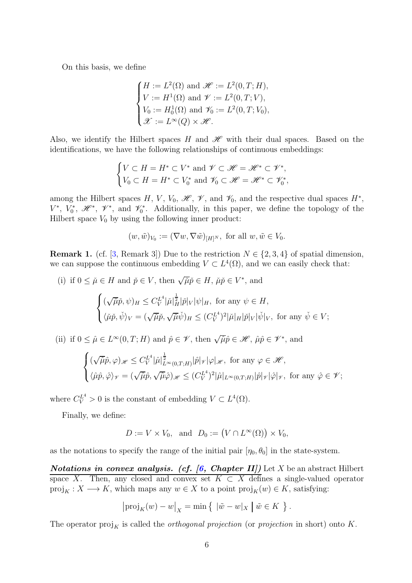On this basis, we define

$$
\begin{cases}\nH := L^2(\Omega) \text{ and } \mathscr{H} := L^2(0, T; H), \\
V := H^1(\Omega) \text{ and } \mathscr{V} := L^2(0, T; V), \\
V_0 := H_0^1(\Omega) \text{ and } \mathscr{V}_0 := L^2(0, T; V_0), \\
\mathscr{X} := L^{\infty}(Q) \times \mathscr{H}.\n\end{cases}
$$

Also, we identify the Hilbert spaces H and  $\mathscr H$  with their dual spaces. Based on the identifications, we have the following relationships of continuous embeddings:

$$
\begin{cases} V \subset H = H^* \subset V^* \text{ and } \mathcal{V} \subset \mathcal{H} = \mathcal{H}^* \subset \mathcal{V}^*, \\ V_0 \subset H = H^* \subset V_0^* \text{ and } \mathcal{V}_0 \subset \mathcal{H} = \mathcal{H}^* \subset \mathcal{V}_0^*, \end{cases}
$$

among the Hilbert spaces H, V, V<sub>0</sub>,  $\mathscr{H}$ ,  $\mathscr{V}$ , and  $\mathscr{V}_0$ , and the respective dual spaces  $H^*$ ,  $V^*, V_0^*, \mathcal{H}^*, \mathcal{V}^*,$  and  $\mathcal{V}_0^*$ . Additionally, in this paper, we define the topology of the Hilbert space  $V_0$  by using the following inner product:

$$
(w,\tilde w)_{V_0}:=(\nabla w,\nabla \tilde w)_{[H]^N},\,\,\text{for all}\,\,w,\tilde w\in V_0.
$$

<span id="page-5-0"></span>**Remark 1.** (cf. [\[3,](#page-46-2) Remark 3]) Due to the restriction  $N \in \{2, 3, 4\}$  of spatial dimension, we can suppose the continuous embedding  $V \subset L^4(\Omega)$ , and we can easily check that:

(i) if 
$$
0 \le \tilde{\mu} \in H
$$
 and  $\tilde{p} \in V$ , then  $\sqrt{\tilde{\mu}}\tilde{p} \in H$ ,  $\tilde{\mu}\tilde{p} \in V^*$ , and  

$$
\begin{cases} (\sqrt{\tilde{\mu}}\tilde{p}, \psi)_H \le C_V^{L^4} |\tilde{\mu}|_H^{\frac{1}{2}} |\tilde{p}|_V |\psi|_H, \text{ for any } \psi \in H, \\ \langle \tilde{\mu}\tilde{p}, \tilde{\psi} \rangle_V = (\sqrt{\tilde{\mu}}\tilde{p}, \sqrt{\tilde{\mu}}\tilde{\psi})_H \le (C_V^{L^4})^2 |\tilde{\mu}|_H |\tilde{p}|_V |\tilde{\psi}|_V, \text{ for any } \tilde{\psi} \in V; \end{cases}
$$

(ii) if  $0 \leq \hat{\mu} \in L^{\infty}(0,T; H)$  and  $\hat{p} \in \mathscr{V}$ , then  $\sqrt{\hat{\mu}}\hat{p} \in \mathscr{H}$ ,  $\hat{\mu}\hat{p} \in \mathscr{V}^*$ , and

$$
\begin{cases} (\sqrt{\hat{\mu}}\hat{p},\varphi)_{\mathscr{H}} \leq C_V^{L^4} |\hat{\mu}|_{L^{\infty}(0,T;H)}^{\frac{1}{2}} |\hat{p}|_{\mathscr{V}} |\varphi|_{\mathscr{H}}, \text{ for any } \varphi \in \mathscr{H},\\ \langle \hat{\mu}\hat{p},\hat{\varphi} \rangle_{\mathscr{V}} = (\sqrt{\hat{\mu}}\hat{p},\sqrt{\hat{\mu}}\hat{\varphi})_{\mathscr{H}} \leq (C_V^{L^4})^2 |\hat{\mu}|_{L^{\infty}(0,T;H)} |\hat{p}|_{\mathscr{V}} |\hat{\varphi}|_{\mathscr{V}}, \text{ for any } \hat{\varphi} \in \mathscr{V}; \end{cases}
$$

where  $C_V^{L^4} > 0$  is the constant of embedding  $V \subset L^4(\Omega)$ .

Finally, we define:

$$
D := V \times V_0, \text{ and } D_0 := (V \cap L^{\infty}(\Omega)) \times V_0,
$$

as the notations to specify the range of the initial pair  $[\eta_0, \theta_0]$  in the state-system.

Notations in convex analysis. (cf.  $(6, Chapter II])$  Let X be an abstract Hilbert space X. Then, any closed and convex set  $K \subset X$  defines a single-valued operator  $proj_K : X \longrightarrow K$ , which maps any  $w \in X$  to a point  $proj_K(w) \in K$ , satisfying:

$$
|\text{proj}_K(w) - w|_X = \min \{ \ |\tilde{w} - w|_X \mid \tilde{w} \in K \}.
$$

The operator  $\text{proj}_{K}$  is called the *orthogonal projection* (or *projection* in short) onto K.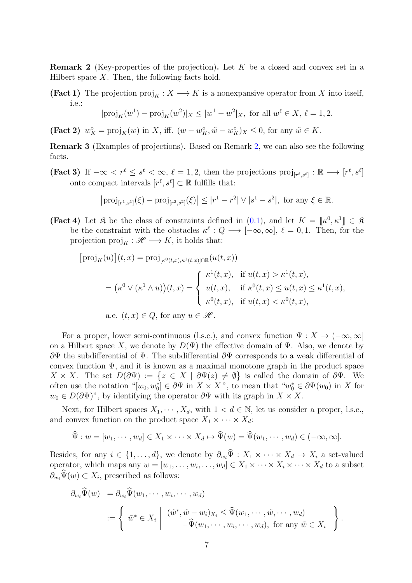<span id="page-6-0"></span>**Remark 2** (Key-properties of the projection). Let  $K$  be a closed and convex set in a Hilbert space  $X$ . Then, the following facts hold.

**(Fact 1)** The projection  $\text{proj}_K : X \longrightarrow K$  is a nonexpansive operator from X into itself, i.e.:

$$
|\text{proj}_K(w^1) - \text{proj}_K(w^2)|_X \le |w^1 - w^2|_X
$$
, for all  $w^{\ell} \in X$ ,  $\ell = 1, 2$ .

<span id="page-6-3"></span>(Fact 2)  $w_K^{\circ} = \text{proj}_K(w)$  in X, iff.  $(w - w_K^{\circ}, \tilde{w} - w_K^{\circ})_X \leq 0$ , for any  $\tilde{w} \in K$ .

<span id="page-6-1"></span>Remark 3 (Examples of projections). Based on Remark [2,](#page-6-0) we can also see the following facts.

(Fact 3) If  $-\infty < r^{\ell} \leq s^{\ell} < \infty$ ,  $\ell = 1, 2$ , then the projections  $\text{proj}_{[r^{\ell}, s^{\ell}]} : \mathbb{R} \longrightarrow [r^{\ell}, s^{\ell}]$ onto compact intervals  $[r^{\ell}, s^{\ell}] \subset \mathbb{R}$  fulfills that:

$$
|\text{proj}_{[r^1,s^1]}(\xi) - \text{proj}_{[r^2,s^2]}(\xi)| \le |r^1 - r^2| \vee |s^1 - s^2|, \text{ for any } \xi \in \mathbb{R}.
$$

<span id="page-6-2"></span>**(Fact 4)** Let  $\mathfrak{K}$  be the class of constraints defined in [\(0.1\)](#page-1-3), and let  $K = \llbracket \kappa^0, \kappa^1 \rrbracket \in \mathfrak{K}$ be the constraint with the obstacles  $\kappa^{\ell}: Q \longrightarrow [-\infty, \infty], \ell = 0, 1$ . Then, for the projection  $\text{proj}_K : \mathscr{H} \longrightarrow K$ , it holds that:

$$
[\text{proj}_{K}(u)](t,x) = \text{proj}_{[\kappa^{0}(t,x),\kappa^{1}(t,x)] \cap \mathbb{R}}(u(t,x))
$$
  

$$
= (\kappa^{0} \vee (\kappa^{1} \wedge u))(t,x) = \begin{cases} \kappa^{1}(t,x), & \text{if } u(t,x) > \kappa^{1}(t,x), \\ u(t,x), & \text{if } \kappa^{0}(t,x) \le u(t,x) \le \kappa^{1}(t,x), \\ \kappa^{0}(t,x), & \text{if } u(t,x) < \kappa^{0}(t,x), \end{cases}
$$
  
a.e.  $(t,x) \in Q$ , for any  $u \in \mathcal{H}$ .

For a proper, lower semi-continuous (l.s.c.), and convex function  $\Psi : X \to (-\infty, \infty]$ on a Hilbert space X, we denote by  $D(\Psi)$  the effective domain of  $\Psi$ . Also, we denote by  $\partial \Psi$  the subdifferential of  $\Psi$ . The subdifferential  $\partial \Psi$  corresponds to a weak differential of convex function  $\Psi$ , and it is known as a maximal monotone graph in the product space  $X \times X$ . The set  $D(\partial \Psi) := \{ z \in X \mid \partial \Psi(z) \neq \emptyset \}$  is called the domain of  $\partial \Psi$ . We often use the notation " $[w_0, w_0^*] \in \partial \Psi$  in  $X \times X$ ", to mean that " $w_0^* \in \partial \Psi(w_0)$  in X for  $w_0 \in D(\partial \Psi)$ ", by identifying the operator  $\partial \Psi$  with its graph in  $X \times X$ .

Next, for Hilbert spaces  $X_1, \dots, X_d$ , with  $1 < d \in \mathbb{N}$ , let us consider a proper, l.s.c., and convex function on the product space  $X_1 \times \cdots \times X_d$ :

$$
\widehat{\Psi}: w = [w_1, \cdots, w_d] \in X_1 \times \cdots \times X_d \mapsto \widehat{\Psi}(w) = \widehat{\Psi}(w_1, \cdots, w_d) \in (-\infty, \infty].
$$

Besides, for any  $i \in \{1, ..., d\}$ , we denote by  $\partial_{w_i} \Psi : X_1 \times \cdots \times X_d \to X_i$  a set-valued operator, which maps any  $w = [w_1, \ldots, w_i, \ldots, w_d] \in X_1 \times \cdots \times X_i \times \cdots \times X_d$  to a subset  $\partial_{w_i}\Psi(w)\subset X_i$ , prescribed as follows:

$$
\partial_{w_i} \widehat{\Psi}(w) = \partial_{w_i} \widehat{\Psi}(w_1, \dots, w_i, \dots, w_d)
$$
  
 := 
$$
\begin{cases} \tilde{w}^* \in X_i \mid (\tilde{w}^*, \tilde{w} - w_i)_{X_i} \leq \widehat{\Psi}(w_1, \dots, \tilde{w}, \dots, w_d) \\ -\widehat{\Psi}(w_1, \dots, w_i, \dots, w_d), \text{ for any } \tilde{w} \in X_i \end{cases}
$$
.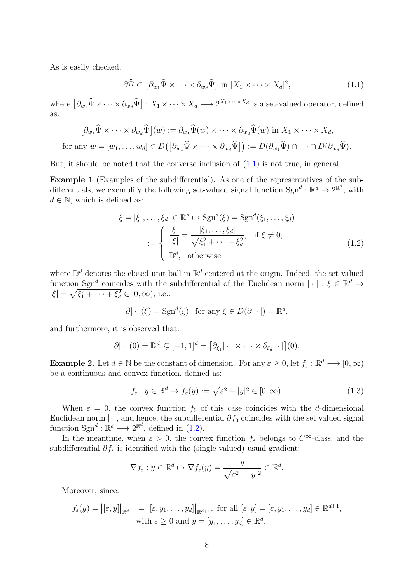As is easily checked,

<span id="page-7-0"></span>
$$
\partial \widehat{\Psi} \subset \left[ \partial_{w_1} \widehat{\Psi} \times \cdots \times \partial_{w_d} \widehat{\Psi} \right] \text{ in } [X_1 \times \cdots \times X_d]^2, \tag{1.1}
$$

where  $\left[\partial_{w_1}\hat{\Psi}\times\cdots\times\partial_{w_d}\hat{\Psi}\right]: X_1\times\cdots\times X_d \longrightarrow 2^{X_1\times\cdots\times X_d}$  is a set-valued operator, defined as:

$$
\left[\partial_{w_1}\widehat{\Psi}\times\cdots\times\partial_{w_d}\widehat{\Psi}\right](w) := \partial_{w_1}\widehat{\Psi}(w)\times\cdots\times\partial_{w_d}\widehat{\Psi}(w) \text{ in } X_1\times\cdots\times X_d,
$$
  
for any  $w = [w_1,\ldots,w_d] \in D\left(\left[\partial_{w_1}\widehat{\Psi}\times\cdots\times\partial_{w_d}\widehat{\Psi}\right]\right) := D\left(\partial_{w_1}\widehat{\Psi}\right)\cap\cdots\cap D\left(\partial_{w_d}\widehat{\Psi}\right).$ 

But, it should be noted that the converse inclusion of  $(1.1)$  is not true, in general.

Example 1 (Examples of the subdifferential). As one of the representatives of the subdifferentials, we exemplify the following set-valued signal function  $\text{Sgn}^d : \mathbb{R}^d \to 2^{\mathbb{R}^d}$ , with  $d \in \mathbb{N}$ , which is defined as:

<span id="page-7-1"></span>
$$
\xi = [\xi_1, \dots, \xi_d] \in \mathbb{R}^d \mapsto \text{Sgn}^d(\xi) = \text{Sgn}^d(\xi_1, \dots, \xi_d)
$$

$$
:= \begin{cases} \frac{\xi}{|\xi|} = \frac{[\xi_1, \dots, \xi_d]}{\sqrt{\xi_1^2 + \dots + \xi_d^2}}, & \text{if } \xi \neq 0, \\ \mathbb{D}^d, & \text{otherwise,} \end{cases}
$$
(1.2)

where  $\mathbb{D}^d$  denotes the closed unit ball in  $\mathbb{R}^d$  centered at the origin. Indeed, the set-valued function  $Sgn^d$  coincides with the subdifferential of the Euclidean norm  $|\cdot| : \xi \in \mathbb{R}^d \mapsto$  $|\xi| = \sqrt{\xi_1^2 + \cdots + \xi_d^2} \in [0, \infty)$ , i.e.:

$$
\partial
$$
| · |(ξ) = Sgn<sup>d</sup>(ξ), for any ξ ∈ D(∂| · |) = ℝ<sup>d</sup>,

and furthermore, it is observed that:

$$
\partial |\cdot|(0) = \mathbb{D}^d \subsetneq [-1,1]^d = [\partial_{\xi_1} |\cdot| \times \cdots \times \partial_{\xi_d} |\cdot|](0).
$$

**Example 2.** Let  $d \in \mathbb{N}$  be the constant of dimension. For any  $\varepsilon \geq 0$ , let  $f_{\varepsilon} : \mathbb{R}^d \longrightarrow [0, \infty)$ be a continuous and convex function, defined as:

<span id="page-7-2"></span>
$$
f_{\varepsilon}: y \in \mathbb{R}^d \mapsto f_{\varepsilon}(y) := \sqrt{\varepsilon^2 + |y|^2} \in [0, \infty). \tag{1.3}
$$

When  $\varepsilon = 0$ , the convex function  $f_0$  of this case coincides with the d-dimensional Euclidean norm  $|\cdot|$ , and hence, the subdifferential  $\partial f_0$  coincides with the set valued signal function  $\text{Sgn}^d : \mathbb{R}^d \longrightarrow 2^{\mathbb{R}^d}$ , defined in [\(1.2\)](#page-7-1).

In the meantime, when  $\varepsilon > 0$ , the convex function  $f_{\varepsilon}$  belongs to  $C^{\infty}$ -class, and the subdifferential  $\partial f_{\varepsilon}$  is identified with the (single-valued) usual gradient:

$$
\nabla f_{\varepsilon} : y \in \mathbb{R}^d \mapsto \nabla f_{\varepsilon}(y) = \frac{y}{\sqrt{\varepsilon^2 + |y|^2}} \in \mathbb{R}^d.
$$

Moreover, since:

$$
f_{\varepsilon}(y) = |[\varepsilon, y]|_{\mathbb{R}^{d+1}} = |[\varepsilon, y_1, \dots, y_d]|_{\mathbb{R}^{d+1}}, \text{ for all } [\varepsilon, y] = [\varepsilon, y_1, \dots, y_d] \in \mathbb{R}^{d+1},
$$
  
with  $\varepsilon \ge 0$  and  $y = [y_1, \dots, y_d] \in \mathbb{R}^d$ ,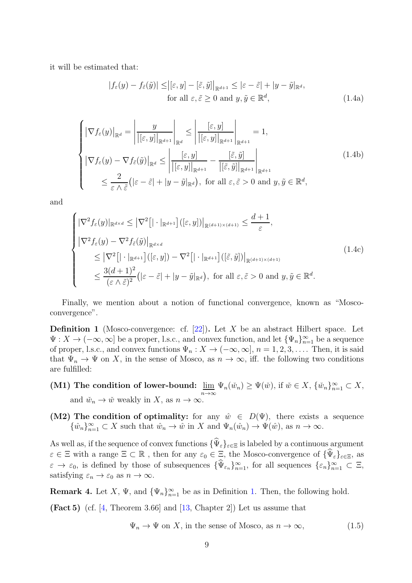it will be estimated that:

<span id="page-8-5"></span><span id="page-8-3"></span><span id="page-8-2"></span>
$$
|f_{\varepsilon}(y) - f_{\tilde{\varepsilon}}(\tilde{y})| \leq |[\varepsilon, y] - [\tilde{\varepsilon}, \tilde{y}]|_{\mathbb{R}^{d+1}} \leq |\varepsilon - \tilde{\varepsilon}| + |y - \tilde{y}|_{\mathbb{R}^d},
$$
  
for all  $\varepsilon, \tilde{\varepsilon} \geq 0$  and  $y, \tilde{y} \in \mathbb{R}^d$ ,  $(1.4a)$ 

$$
\begin{cases}\n\left|\nabla f_{\varepsilon}(y)\right|_{\mathbb{R}^{d}} = \left|\frac{y}{\left|[\varepsilon, y]\right|_{\mathbb{R}^{d+1}}}\right|_{\mathbb{R}^{d}} \le \left|\frac{[\varepsilon, y]}{\left|[\varepsilon, y]\right|_{\mathbb{R}^{d+1}}}\right|_{\mathbb{R}^{d+1}} = 1, \\
\left|\nabla f_{\varepsilon}(y) - \nabla f_{\tilde{\varepsilon}}(\tilde{y})\right|_{\mathbb{R}^{d}} \le \left|\frac{[\varepsilon, y]}{\left|[\varepsilon, y]\right|_{\mathbb{R}^{d+1}}}-\frac{[\tilde{\varepsilon}, \tilde{y}]}{\left|[\tilde{\varepsilon}, \tilde{y}]\right|_{\mathbb{R}^{d+1}}}\right|_{\mathbb{R}^{d+1}} \\
\le \frac{2}{\varepsilon \wedge \tilde{\varepsilon}}\left(|\varepsilon - \tilde{\varepsilon}| + |y - \tilde{y}|_{\mathbb{R}^{d}}\right), \text{ for all } \varepsilon, \tilde{\varepsilon} > 0 \text{ and } y, \tilde{y} \in \mathbb{R}^{d},\n\end{cases} (1.4b)
$$

and

<span id="page-8-6"></span>
$$
\begin{cases}\n|\nabla^2 f_{\varepsilon}(y)|_{\mathbb{R}^{d\times d}} \leq |\nabla^2 [|\cdot|_{\mathbb{R}^{d+1}}]([\varepsilon, y])|_{\mathbb{R}^{(d+1)\times(d+1)}} \leq \frac{d+1}{\varepsilon}, \\
|\nabla^2 f_{\varepsilon}(y) - \nabla^2 f_{\tilde{\varepsilon}}(\tilde{y})|_{\mathbb{R}^{d\times d}} \\
\leq |\nabla^2 [|\cdot|_{\mathbb{R}^{d+1}}]([\varepsilon, y]) - \nabla^2 [|\cdot|_{\mathbb{R}^{d+1}}]([\tilde{\varepsilon}, \tilde{y}])|_{\mathbb{R}^{(d+1)\times(d+1)}} \\
\leq \frac{3(d+1)^2}{(\varepsilon \wedge \tilde{\varepsilon})^2} (|\varepsilon - \tilde{\varepsilon}| + |y - \tilde{y}|_{\mathbb{R}^d}), \text{ for all } \varepsilon, \tilde{\varepsilon} > 0 \text{ and } y, \tilde{y} \in \mathbb{R}^d.\n\end{cases} (1.4c)
$$

Finally, we mention about a notion of functional convergence, known as "Moscoconvergence".

<span id="page-8-0"></span>**Definition 1** (Mosco-convergence: cf.  $[22]$ ). Let X be an abstract Hilbert space. Let  $\Psi: X \to (-\infty, \infty]$  be a proper, l.s.c., and convex function, and let  $\{\Psi_n\}_{n=1}^{\infty}$  be a sequence of proper, l.s.c., and convex functions  $\Psi_n : X \to (-\infty, \infty], n = 1, 2, 3, \ldots$ . Then, it is said that  $\Psi_n \to \Psi$  on X, in the sense of Mosco, as  $n \to \infty$ , iff. the following two conditions are fulfilled:

- $(M1)$  The condition of lower-bound:  $\lim_{h \to 0}$  $\underline{\lim}_{n\to\infty}\Psi_n(\check{w}_n)\geq \Psi(\check{w}),$  if  $\check{w}\in X$ ,  $\{\check{w}_n\}_{n=1}^{\infty}\subset X$ , and  $\tilde{w}_n \to \tilde{w}$  weakly in X, as  $n \to \infty$ .
- (M2) The condition of optimality: for any  $\hat{w} \in D(\Psi)$ , there exists a sequence  $\{\hat{w}_n\}_{n=1}^{\infty} \subset X$  such that  $\hat{w}_n \to \hat{w}$  in X and  $\Psi_n(\hat{w}_n) \to \Psi(\hat{w})$ , as  $n \to \infty$ .

As well as, if the sequence of convex functions  $\{\widehat{\Psi}_{\varepsilon}\}_{{\varepsilon}\in\Xi}$  is labeled by a continuous argument  $\varepsilon \in \Xi$  with a range  $\Xi \subset \mathbb{R}$ , then for any  $\varepsilon_0 \in \Xi$ , the Mosco-convergence of  $\{\widehat{\Psi}_{\varepsilon}\}_{{\varepsilon} \in \Xi}$ , as  $\varepsilon \to \varepsilon_0$ , is defined by those of subsequences  $\{\Psi_{\varepsilon_n}\}_{n=1}^{\infty}$ , for all sequences  $\{\varepsilon_n\}_{n=1}^{\infty} \subset \Xi$ , satisfying  $\varepsilon_n \to \varepsilon_0$  as  $n \to \infty$ .

<span id="page-8-4"></span>**Remark 4.** Let X,  $\Psi$ , and  ${\Psi_n}_{n=1}^{\infty}$  be as in Definition [1.](#page-8-0) Then, the following hold.

(Fact 5) (cf. [\[4,](#page-46-4) Theorem 3.66] and [\[13,](#page-47-9) Chapter 2]) Let us assume that

<span id="page-8-1"></span>
$$
\Psi_n \to \Psi \text{ on } X, \text{ in the sense of Mosco, as } n \to \infty,
$$
\n(1.5)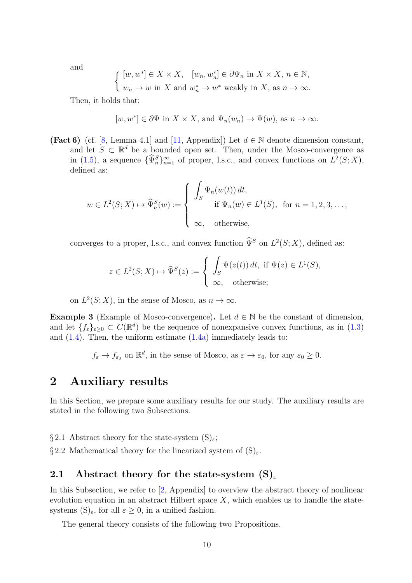and

$$
\begin{cases} [w, w^*] \in X \times X, & [w_n, w_n^*] \in \partial \Psi_n \text{ in } X \times X, n \in \mathbb{N}, \\ w_n \to w \text{ in } X \text{ and } w_n^* \to w^* \text{ weakly in } X, \text{ as } n \to \infty. \end{cases}
$$

Then, it holds that:

$$
[w, w^*] \in \partial \Psi
$$
 in  $X \times X$ , and  $\Psi_n(w_n) \to \Psi(w)$ , as  $n \to \infty$ .

(Fact 6) (cf. [\[8,](#page-47-10) Lemma 4.1] and [\[11,](#page-47-11) Appendix]) Let  $d \in \mathbb{N}$  denote dimension constant, and let  $S \subset \mathbb{R}^d$  be a bounded open set. Then, under the Mosco-convergence as in [\(1.5\)](#page-8-1), a sequence  $\{\widehat{\Psi}_n^S\}_{n=1}^{\infty}$  of proper, l.s.c., and convex functions on  $L^2(S;X)$ , defined as:

$$
w \in L^{2}(S; X) \mapsto \widehat{\Psi}_{n}^{S}(w) := \begin{cases} \int_{S} \Psi_{n}(w(t)) dt, \\ \text{if } \Psi_{n}(w) \in L^{1}(S), \text{ for } n = 1, 2, 3, \dots; \\ \infty, \text{ otherwise,} \end{cases}
$$

converges to a proper, l.s.c., and convex function  $\tilde{\Psi}^S$  on  $L^2(S;X)$ , defined as:

$$
z \in L^{2}(S; X) \mapsto \widehat{\Psi}^{S}(z) := \begin{cases} \int_{S} \Psi(z(t)) dt, & \text{if } \Psi(z) \in L^{1}(S), \\ \infty, & \text{otherwise}; \end{cases}
$$

on  $L^2(S; X)$ , in the sense of Mosco, as  $n \to \infty$ .

**Example 3** (Example of Mosco-convergence). Let  $d \in \mathbb{N}$  be the constant of dimension, and let  $\{f_{\varepsilon}\}_{\varepsilon\geq 0} \subset C(\mathbb{R}^d)$  be the sequence of nonexpansive convex functions, as in  $(1.3)$ and [\(1.4\)](#page-8-2). Then, the uniform estimate [\(1.4a\)](#page-8-3) immediately leads to:

 $f_{\varepsilon} \to f_{\varepsilon_0}$  on  $\mathbb{R}^d$ , in the sense of Mosco, as  $\varepsilon \to \varepsilon_0$ , for any  $\varepsilon_0 \geq 0$ .

#### 2 Auxiliary results

In this Section, we prepare some auxiliary results for our study. The auxiliary results are stated in the following two Subsections.

§ 2.1 Abstract theory for the state-system  $(S)_{\varepsilon}$ ;

§ 2.2 Mathematical theory for the linearized system of  $(S)_{\varepsilon}$ .

#### 2.1 Abstract theory for the state-system  $(S)_{\varepsilon}$

In this Subsection, we refer to [\[2,](#page-46-1) Appendix] to overview the abstract theory of nonlinear evolution equation in an abstract Hilbert space  $X$ , which enables us to handle the statesystems  $(S)_{\varepsilon}$ , for all  $\varepsilon \geq 0$ , in a unified fashion.

The general theory consists of the following two Propositions.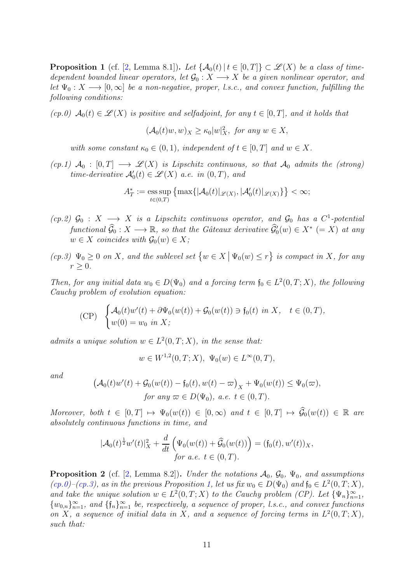<span id="page-10-2"></span>**Proposition 1** (cf. [\[2,](#page-46-1) Lemma 8.1]). Let  $\{A_0(t) | t \in [0,T] \} \subset \mathcal{L}(X)$  be a class of timedependent bounded linear operators, let  $\mathcal{G}_0 : X \longrightarrow X$  be a given nonlinear operator, and let  $\Psi_0: X \longrightarrow [0,\infty]$  be a non-negative, proper, l.s.c., and convex function, fulfilling the following conditions:

<span id="page-10-0"></span>(cp.0)  $\mathcal{A}_0(t) \in \mathcal{L}(X)$  is positive and selfadjoint, for any  $t \in [0,T]$ , and it holds that

$$
(\mathcal{A}_0(t)w, w)_X \ge \kappa_0 |w|_X^2, \text{ for any } w \in X,
$$

with some constant  $\kappa_0 \in (0,1)$ , independent of  $t \in [0,T]$  and  $w \in X$ .

 $(cp.1)$   $\mathcal{A}_0$  :  $[0,T] \longrightarrow \mathcal{L}(X)$  is Lipschitz continuous, so that  $\mathcal{A}_0$  admits the (strong) time-derivative  $\mathcal{A}'_0(t) \in \mathcal{L}(X)$  a.e. in  $(0, T)$ , and

$$
A_T^* := \operatorname*{\mathrm{ess\,sup}}_{t\in(0,T)} \left\{\max\{|\mathcal{A}_0(t)|_{\mathscr{L}(X)},|\mathcal{A}_0'(t)|_{\mathscr{L}(X)}\}\right\} < \infty;
$$

 $(cp.2)$   $\mathcal{G}_0$  :  $X \longrightarrow X$  is a Lipschitz continuous operator, and  $\mathcal{G}_0$  has a  $C^1$ -potential functional  $\widehat{\mathcal{G}}_0 : X \longrightarrow \mathbb{R}$ , so that the Gâteaux derivative  $\widehat{\mathcal{G}}'_0(w) \in X^*$  (= X) at any  $w \in X$  coincides with  $\mathcal{G}_0(w) \in X$ ;

<span id="page-10-1"></span> $L(p,3) \Psi_0 \geq 0$  on X, and the sublevel set  $\{w \in X \mid \Psi_0(w) \leq r\}$  is compact in X, for any  $r \geq 0$ .

Then, for any initial data  $w_0 \in D(\Psi_0)$  and a forcing term  $\mathfrak{f}_0 \in L^2(0,T;X)$ , the following Cauchy problem of evolution equation:

(CP) 
$$
\begin{cases} \mathcal{A}_0(t)w'(t) + \partial \Psi_0(w(t)) + \mathcal{G}_0(w(t)) \ni f_0(t) \text{ in } X, \quad t \in (0, T), \\ w(0) = w_0 \text{ in } X; \end{cases}
$$

admits a unique solution  $w \in L^2(0,T;X)$ , in the sense that:

$$
w \in W^{1,2}(0,T;X), \ \Psi_0(w) \in L^{\infty}(0,T),
$$

and

$$
\begin{aligned} \left(\mathcal{A}_0(t)w'(t) + \mathcal{G}_0(w(t)) - \mathfrak{f}_0(t), w(t) - \varpi\right)_X + \Psi_0(w(t)) &\leq \Psi_0(\varpi),\\ \text{for any } \varpi \in D(\Psi_0), \text{ a.e. } t \in (0, T). \end{aligned}
$$

Moreover, both  $t \in [0, T] \mapsto \Psi_0(w(t)) \in [0, \infty)$  and  $t \in [0, T] \mapsto \widehat{\mathcal{G}}_0(w(t)) \in \mathbb{R}$  are absolutely continuous functions in time, and

$$
|\mathcal{A}_0(t)^{\frac{1}{2}}w'(t)|_X^2 + \frac{d}{dt}\left(\Psi_0(w(t)) + \widehat{\mathcal{G}}_0(w(t))\right) = (\mathfrak{f}_0(t), w'(t))_X,for a.e. t \in (0, T).
$$

<span id="page-10-3"></span>**Proposition 2** (cf. [\[2,](#page-46-1) Lemma 8.2]). Under the notations  $\mathcal{A}_0$ ,  $\mathcal{G}_0$ ,  $\Psi_0$ , and assumptions  $(cp.0)$ - $(cp.3)$ , as in the previous Proposition [1,](#page-10-2) let us fix  $w_0 \in D(\Psi_0)$  and  $\mathfrak{f}_0 \in L^2(0,T;X)$ , and take the unique solution  $w \in L^2(0,T;X)$  to the Cauchy problem (CP). Let  $\{\Psi_n\}_{n=1}^{\infty}$ ,  ${w_{0,n}}_{n=1}^{\infty}$ , and  ${f_n}_{n=1}^{\infty}$  be, respectively, a sequence of proper, l.s.c., and convex functions on X, a sequence of initial data in X, and a sequence of forcing terms in  $L^2(0,T;X)$ , such that: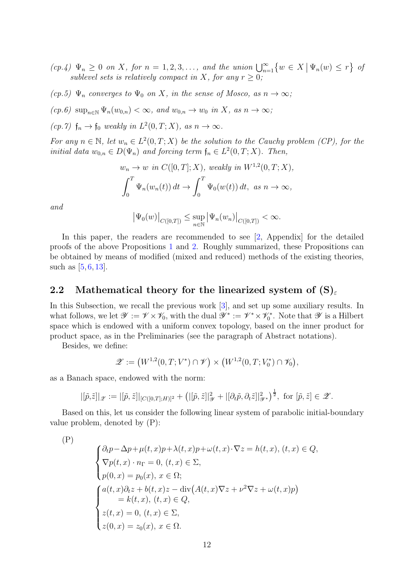$(cp.4) \Psi_n \geq 0$  on X, for  $n = 1, 2, 3, \ldots$ , and the union  $\bigcup_{n=1}^{\infty} \{w \in X \mid \Psi_n(w) \leq r\}$  of sublevel sets is relatively compact in X, for any  $r \geq 0$ ;

(cp.5)  $\Psi_n$  converges to  $\Psi_0$  on X, in the sense of Mosco, as  $n \to \infty$ ;

 $(cp.6) \ \sup_{n\in\mathbb{N}} \Psi_n(w_{0,n}) < \infty, \text{ and } w_{0,n} \to w_0 \text{ in } X, \text{ as } n \to \infty;$ 

(cp.7)  $\mathfrak{f}_n \to \mathfrak{f}_0$  weakly in  $L^2(0,T;X)$ , as  $n \to \infty$ .

For any  $n \in \mathbb{N}$ , let  $w_n \in L^2(0,T;X)$  be the solution to the Cauchy problem (CP), for the initial data  $w_{0,n} \in D(\Psi_n)$  and forcing term  $\mathfrak{f}_n \in L^2(0,T;X)$ . Then,

$$
w_n \to w \text{ in } C([0, T]; X), \text{ weakly in } W^{1,2}(0, T; X),
$$

$$
\int_0^T \Psi_n(w_n(t)) dt \to \int_0^T \Psi_0(w(t)) dt, \text{ as } n \to \infty,
$$

and

$$
|\Psi_0(w)|_{C([0,T])} \le \sup_{n \in \mathbb{N}} |\Psi_n(w_n)|_{C([0,T])} < \infty.
$$

In this paper, the readers are recommended to see [\[2,](#page-46-1) Appendix] for the detailed proofs of the above Propositions [1](#page-10-2) and [2.](#page-10-3) Roughly summarized, these Propositions can be obtained by means of modified (mixed and reduced) methods of the existing theories, such as  $[5, 6, 13]$  $[5, 6, 13]$  $[5, 6, 13]$  $[5, 6, 13]$ .

#### 2.2 Mathematical theory for the linearized system of  $(S)_{\varepsilon}$

In this Subsection, we recall the previous work [\[3\]](#page-46-2), and set up some auxiliary results. In what follows, we let  $\mathscr{Y} := \mathscr{V} \times \mathscr{V}_0$ , with the dual  $\mathscr{Y}^* := \mathscr{V}^* \times \mathscr{V}_0^*$ . Note that  $\mathscr{Y}$  is a Hilbert space which is endowed with a uniform convex topology, based on the inner product for product space, as in the Preliminaries (see the paragraph of Abstract notations).

Besides, we define:

$$
\mathscr{Z} := (W^{1,2}(0,T;V^*) \cap \mathscr{V}) \times (W^{1,2}(0,T;V_0^*) \cap \mathscr{V}_0),
$$

as a Banach space, endowed with the norm:

$$
|[\tilde{p}, \tilde{z}]|_{\mathscr{Z}} := |[\tilde{p}, \tilde{z}]|_{[C([0,T];H)]^2} + (|[\tilde{p}, \tilde{z}]|_{\mathscr{Y}}^2 + |[\partial_t \tilde{p}, \partial_t \tilde{z}]|_{\mathscr{Y}^*}^2)^{\frac{1}{2}}, \text{ for } [\tilde{p}, \tilde{z}] \in \mathscr{Z}.
$$

Based on this, let us consider the following linear system of parabolic initial-boundary value problem, denoted by (P):

 $(P)$ 

$$
\begin{cases}\n\partial_t p - \Delta p + \mu(t, x)p + \lambda(t, x)p + \omega(t, x) \cdot \nabla z = h(t, x), (t, x) \in Q, \\
\nabla p(t, x) \cdot n_\Gamma = 0, (t, x) \in \Sigma, \\
p(0, x) = p_0(x), x \in \Omega; \\
a(t, x)\partial_t z + b(t, x)z - \text{div}(A(t, x)\nabla z + \nu^2 \nabla z + \omega(t, x)p) \\
= k(t, x), (t, x) \in Q, \\
z(t, x) = 0, (t, x) \in \Sigma, \\
z(0, x) = z_0(x), x \in \Omega.\n\end{cases}
$$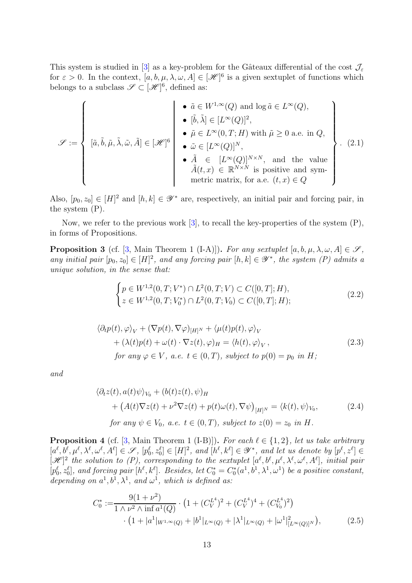This system is studied in [\[3\]](#page-46-2) as a key-problem for the Gâteaux differential of the cost  $\mathcal{J}_{\varepsilon}$ for  $\varepsilon > 0$ . In the context,  $[a, b, \mu, \lambda, \omega, A] \in [\mathcal{H}]^6$  is a given sextuplet of functions which belongs to a subclass  $\mathscr{S} \subset [\mathscr{H}]^6$ , defined as:

$$
\mathcal{S} := \left\{ \begin{array}{c} \left[\tilde{a}, \tilde{b}, \tilde{\mu}, \tilde{\lambda}, \tilde{\omega}, \tilde{A}\right] \in [\mathcal{H}]^{6} \\ \left[\tilde{a}, \tilde{b}, \tilde{\mu}, \tilde{\lambda}, \tilde{\omega}, \tilde{A}\right] \in [\mathcal{H}]^{6} \\ \left[\tilde{a}, \tilde{b}, \tilde{\mu}, \tilde{\lambda}, \tilde{\omega}, \tilde{A}\right] \in [\mathcal{H}]^{6} \\ \left[\tilde{a}, \tilde{b}, \tilde{\mu}, \tilde{\lambda}, \tilde{\omega}, \tilde{A}\right] \in [\mathcal{H}]^{6} \\ \left[\tilde{a}, \tilde{b}, \tilde{\mu}, \tilde{\lambda}, \tilde{\omega}, \tilde{A}\right] \in [\mathcal{H}]^{6} \\ \left[\tilde{a}, \tilde{b}, \tilde{\mu}, \tilde{\lambda}, \tilde{\omega}, \tilde{A}\right] \in [\mathcal{H}]^{6} \\ \left[\tilde{a}, \tilde{b}, \tilde{\mu}, \tilde{\lambda}, \tilde{\omega}, \tilde{A}\right] \in [\mathcal{H}^{\infty}(Q)]^{N}, \text{ and the value} \\ \left[\tilde{a}(t, x) \in \mathbb{R}^{N \times N} \text{ is positive and symmetric matrix, for a.e. } (t, x) \in Q \end{array} \right\}.
$$
 (2.1)

Also,  $[p_0, z_0] \in [H]^2$  and  $[h, k] \in \mathscr{Y}^*$  are, respectively, an initial pair and forcing pair, in the system (P).

Now, we refer to the previous work [\[3\]](#page-46-2), to recall the key-properties of the system (P), in forms of Propositions.

<span id="page-12-0"></span>**Proposition 3** (cf. [\[3,](#page-46-2) Main Theorem 1 (I-A)]). For any sextuplet  $[a, b, \mu, \lambda, \omega, A] \in \mathscr{S}$ , any initial pair  $[p_0, z_0] \in [H]^2$ , and any forcing pair  $[h, k] \in \mathscr{Y}^*$ , the system  $(P)$  admits a unique solution, in the sense that:

$$
\begin{cases} p \in W^{1,2}(0,T;V^*) \cap L^2(0,T;V) \subset C([0,T];H), \\ z \in W^{1,2}(0,T;V_0^*) \cap L^2(0,T;V_0) \subset C([0,T];H); \end{cases} \tag{2.2}
$$

$$
\langle \partial_t p(t), \varphi \rangle_V + (\nabla p(t), \nabla \varphi)_{[H]^N} + \langle \mu(t) p(t), \varphi \rangle_V + (\lambda(t) p(t) + \omega(t) \cdot \nabla z(t), \varphi)_H = \langle h(t), \varphi \rangle_V, for any  $\varphi \in V$ , a.e.  $t \in (0, T)$ , subject to  $p(0) = p_0$  in H;
$$
 (2.3)

and

$$
\langle \partial_t z(t), a(t)\psi \rangle_{V_0} + (b(t)z(t), \psi)_H
$$
  
+ 
$$
(A(t)\nabla z(t) + \nu^2 \nabla z(t) + p(t)\omega(t), \nabla \psi)_{[H]^N} = \langle k(t), \psi \rangle_{V_0},
$$
  
for any  $\psi \in V_0$ , a.e.  $t \in (0, T)$ , subject to  $z(0) = z_0$  in H. (2.4)

<span id="page-12-2"></span>**Proposition 4** (cf. [\[3,](#page-46-2) Main Theorem 1 (I-B)]). For each  $\ell \in \{1,2\}$ , let us take arbitrary  $[a^{\ell},b^{\ell},\mu^{\ell},\lambda^{\ell},\omega^{\ell},A^{\ell}] \in \mathscr{S}, [p_0^{\ell},z_0^{\ell}] \in [H]^2$ , and  $[h^{\ell},k^{\ell}] \in \mathscr{Y}^*$ , and let us denote by  $[p^{\ell},z^{\ell}] \in$  $[\mathscr{H}]^2$  the solution to (P), corresponding to the sextuplet  $[a^{\ell},b^{\ell},\mu^{\ell},\lambda^{\ell},\omega^{\ell},A^{\ell}]$ , initial pair  $[p_0^{\ell}, z_0^{\ell}],$  and forcing pair  $[h^{\ell}, k^{\ell}]$ . Besides, let  $C_0^* = C_0^*(a^1, b^1, \lambda^1, \omega^1)$  be a positive constant, depending on  $a^1$ ,  $b^1$ ,  $\lambda^1$ , and  $\omega^1$ , which is defined as:

<span id="page-12-1"></span>
$$
C_0^* := \frac{9(1+\nu^2)}{1 \wedge \nu^2 \wedge \inf a^1(Q)} \cdot \left(1 + (C_V^{L^4})^2 + (C_V^{L^4})^4 + (C_{V_0}^{L^4})^2\right) \cdot \left(1 + |a^1|_{W^{1,\infty}(Q)} + |b^1|_{L^{\infty}(Q)} + |\lambda^1|_{L^{\infty}(Q)} + |\omega^1|_{[L^{\infty}(Q)]^N}^2\right),
$$
\n(2.5)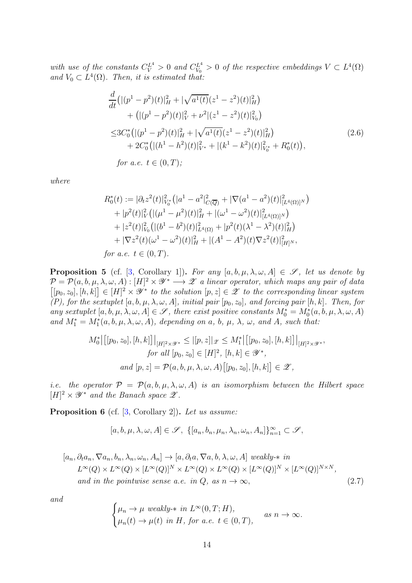with use of the constants  $C_V^{L^4} > 0$  and  $C_{V_0}^{L^4} > 0$  of the respective embeddings  $V \subset L^4(\Omega)$ and  $V_0 \subset L^4(\Omega)$ . Then, it is estimated that:

$$
\frac{d}{dt}\left(|(p^1 - p^2)(t)|_H^2 + |\sqrt{a^1(t)}(z^1 - z^2)(t)|_H^2\right) \n+ (|(p^1 - p^2)(t)|_V^2 + \nu^2|(z^1 - z^2)(t)|_V^2) \n\leq 3C_0^*\left(|(p^1 - p^2)(t)|_H^2 + |\sqrt{a^1(t)}(z^1 - z^2)(t)|_H^2\right) \n+ 2C_0^*\left(|(h^1 - h^2)(t)|_{V^*}^2 + |(k^1 - k^2)(t)|_{V_0^*}^2 + R_0^*(t)\right), \nfor a.e.  $t \in (0, T);$ \n
$$
\n(2.6)

where

$$
R_0^*(t) := |\partial_t z^2(t)|_{V_0^*}^2 (|a^1 - a^2|_{C(\overline{Q})}^2 + |\nabla(a^1 - a^2)(t)|_{[L^4(\Omega)]^N}^2)
$$
  
+  $|p^2(t)|_V^2 (|(\mu^1 - \mu^2)(t)|_H^2 + |(\omega^1 - \omega^2)(t)|_{[L^4(\Omega)]^N}^2)$   
+  $|z^2(t)|_{V_0}^2 (|(b^1 - b^2)(t)|_{L^4(\Omega)}^2 + |p^2(t)(\lambda^1 - \lambda^2)(t)|_H^2)$   
+  $|\nabla z^2(t)(\omega^1 - \omega^2)(t)|_H^2 + |(A^1 - A^2)(t)\nabla z^2(t)|_{[H]^N}^2$ ,  
for a.e.  $t \in (0, T)$ .

<span id="page-13-1"></span>**Proposition 5** (cf. [\[3,](#page-46-2) Corollary 1]). For any  $[a, b, \mu, \lambda, \omega, A] \in \mathscr{S}$ , let us denote by  $\mathcal{P} = \mathcal{P}(a, b, \mu, \lambda, \omega, A) : [H]^2 \times \mathscr{Y}^* \longrightarrow \mathscr{Z}$  a linear operator, which maps any pair of data  $[[p_0, z_0], [h, k]] \in [H]^2 \times \mathscr{Y}^*$  to the solution  $[p, z] \in \mathscr{Z}$  to the corresponding linear system (P), for the sextuplet  $[a, b, \mu, \lambda, \omega, A]$ , initial pair  $[p_0, z_0]$ , and forcing pair  $[h, k]$ . Then, for any sextuplet  $[a, b, \mu, \lambda, \omega, A] \in \mathscr{S}$ , there exist positive constants  $M_0^* = M_0^*(a, b, \mu, \lambda, \omega, A)$ and  $M_1^* = M_1^*(a, b, \mu, \lambda, \omega, A)$ , depending on a, b,  $\mu$ ,  $\lambda$ ,  $\omega$ , and A, such that:

$$
M_0^* | [[p_0, z_0], [h, k]]_{|H|^2 \times \mathcal{Y}^*} \leq |[p, z]|_{\mathcal{Z}} \leq M_1^* | [[p_0, z_0], [h, k]]_{|H|^2 \times \mathcal{Y}^*},
$$
  
for all  $[p_0, z_0] \in [H]^2$ ,  $[h, k] \in \mathcal{Y}^*$ ,  
and  $[p, z] = \mathcal{P}(a, b, \mu, \lambda, \omega, A) [[p_0, z_0], [h, k]] \in \mathcal{Z}$ ,

i.e. the operator  $\mathcal{P} = \mathcal{P}(a, b, \mu, \lambda, \omega, A)$  is an isomorphism between the Hilbert space  $[H]^2 \times \mathscr{Y}^*$  and the Banach space  $\mathscr{Z}$ .

<span id="page-13-0"></span>Proposition 6 (cf. [\[3,](#page-46-2) Corollary 2]). Let us assume:

$$
[a, b, \mu, \lambda, \omega, A] \in \mathscr{S}, \ \{[a_n, b_n, \mu_n, \lambda_n, \omega_n, A_n]\}_{n=1}^{\infty} \subset \mathscr{S},
$$

$$
[a_n, \partial_t a_n, \nabla a_n, b_n, \lambda_n, \omega_n, A_n] \to [a, \partial_t a, \nabla a, b, \lambda, \omega, A] \text{ weakly-* in}
$$
  
\n
$$
L^{\infty}(Q) \times L^{\infty}(Q) \times [L^{\infty}(Q)]^N \times L^{\infty}(Q) \times L^{\infty}(Q) \times [L^{\infty}(Q)]^N \times [L^{\infty}(Q)]^{N \times N},
$$
  
\nand in the pointwise sense a.e. in Q, as  $n \to \infty$ , (2.7)

and

$$
\begin{cases} \mu_n \to \mu \text{ weakly-* in } L^{\infty}(0,T;H), \\ \mu_n(t) \to \mu(t) \text{ in } H, \text{ for a.e. } t \in (0,T), \end{cases} \text{ as } n \to \infty.
$$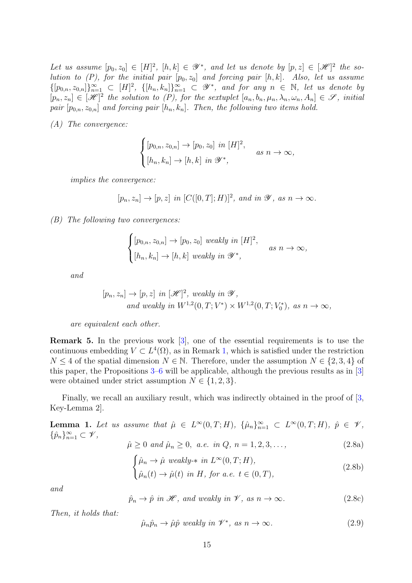Let us assume  $[p_0, z_0] \in [H]^2$ ,  $[h, k] \in \mathscr{Y}^*$ , and let us denote by  $[p, z] \in [\mathscr{H}]^2$  the solution to  $(P)$ , for the initial pair  $[p_0, z_0]$  and forcing pair  $[h, k]$ . Also, let us assume  $\{[p_{0,n}, z_{0,n}]\}_{n=1}^{\infty} \subset [H]^2$ ,  $\{[h_n, k_n]\}_{n=1}^{\infty} \subset \mathscr{Y}^*$ , and for any  $n \in \mathbb{N}$ , let us denote by  $[p_n, z_n] \in [\mathcal{H}]^2$  the solution to  $(P)$ , for the sextuplet  $[a_n, b_n, \mu_n, \lambda_n, \omega_n, A_n] \in \mathcal{S}$ , initial pair  $[p_{0,n}, z_{0,n}]$  and forcing pair  $[h_n, k_n]$ . Then, the following two items hold.

(A) The convergence:

$$
\begin{cases} [p_{0,n}, z_{0,n}] \to [p_0, z_0] \text{ in } [H]^2, \\ [h_n, k_n] \to [h, k] \text{ in } \mathscr{Y}^*, \end{cases} \text{ as } n \to \infty,
$$

implies the convergence:

$$
[p_n,z_n]\rightarrow [p,z] \ \ in \ [C([0,T];H)]^2, \ and \ in \ \mathscr Y, \ as \ n\rightarrow \infty.
$$

<span id="page-14-4"></span>(B) The following two convergences:

$$
\begin{cases} [p_{0,n}, z_{0,n}] \to [p_0, z_0] \text{ weakly in } [H]^2, \\ [h_n, k_n] \to [h, k] \text{ weakly in } \mathscr{Y}^*, \end{cases} \text{ as } n \to \infty,
$$

and

$$
[p_n, z_n] \to [p, z] \text{ in } [\mathcal{H}]^2, \text{ weakly in } \mathcal{Y},
$$
  
and weakly in  $W^{1,2}(0, T; V^*) \times W^{1,2}(0, T; V_0^*)$ , as  $n \to \infty$ ,

are equivalent each other.

Remark 5. In the previous work [\[3\]](#page-46-2), one of the essential requirements is to use the continuous embedding  $V \subset L^4(\Omega)$ , as in Remark [1,](#page-5-0) which is satisfied under the restriction  $N \leq 4$  of the spatial dimension  $N \in \mathbb{N}$ . Therefore, under the assumption  $N \in \{2, 3, 4\}$  of this paper, the Propositions [3](#page-12-0)[–6](#page-13-0) will be applicable, although the previous results as in [\[3\]](#page-46-2) were obtained under strict assumption  $N \in \{1, 2, 3\}.$ 

Finally, we recall an auxiliary result, which was indirectly obtained in the proof of  $[3, 3]$ Key-Lemma 2].

<span id="page-14-5"></span>**Lemma 1.** Let us assume that  $\hat{\mu} \in L^{\infty}(0,T;H)$ ,  $\{\hat{\mu}_n\}_{n=1}^{\infty} \subset L^{\infty}(0,T;H)$ ,  $\hat{p} \in \mathscr{V}$ ,  $\{\hat{p}_n\}_{n=1}^{\infty} \subset \mathcal{V},$ 

<span id="page-14-0"></span>
$$
\hat{\mu} \ge 0 \text{ and } \hat{\mu}_n \ge 0, \text{ a.e. in } Q, n = 1, 2, 3, \dots,
$$
\n(2.8a)

<span id="page-14-1"></span>
$$
\begin{cases}\n\hat{\mu}_n \to \hat{\mu} \ weakly-* in L\infty(0, T; H), \n\hat{\mu}_n(t) \to \hat{\mu}(t) \ in H, \ for \ a.e. \ t \in (0, T),\n\end{cases}
$$
\n(2.8b)

and

<span id="page-14-2"></span>
$$
\hat{p}_n \to \hat{p} \text{ in } \mathcal{H}, \text{ and weakly in } \mathcal{V}, \text{ as } n \to \infty. \tag{2.8c}
$$

Then, it holds that:

<span id="page-14-3"></span>
$$
\hat{\mu}_n \hat{p}_n \to \hat{\mu} \hat{p} \text{ weakly in } \mathscr{V}^*, \text{ as } n \to \infty. \tag{2.9}
$$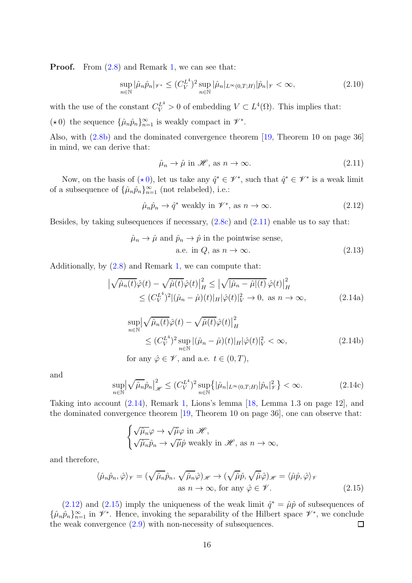**Proof.** From  $(2.8)$  and Remark [1,](#page-5-0) we can see that:

$$
\sup_{n\in\mathbb{N}}|\hat{\mu}_n\hat{p}_n|_{\mathscr{V}^*}\leq (C_V^{L^4})^2 \sup_{n\in\mathbb{N}}|\hat{\mu}_n|_{L^{\infty}(0,T;H)}|\hat{p}_n|_{\mathscr{V}}<\infty,
$$
\n(2.10)

with the use of the constant  $C_V^{L^4} > 0$  of embedding  $V \subset L^4(\Omega)$ . This implies that:

<span id="page-15-0"></span>( $\star$ 0) the sequence  $\{\hat{\mu}_n \hat{p}_n\}_{n=1}^{\infty}$  is weakly compact in  $\mathscr{V}^*$ .

Also, with [\(2.8b\)](#page-14-1) and the dominated convergence theorem [\[19,](#page-47-12) Theorem 10 on page 36] in mind, we can derive that:

<span id="page-15-1"></span>
$$
\hat{\mu}_n \to \hat{\mu} \text{ in } \mathcal{H}, \text{ as } n \to \infty. \tag{2.11}
$$

Now, on the basis of  $(*0)$  $(*0)$ , let us take any  $\hat{q}^* \in \mathscr{V}^*$ , such that  $\hat{q}^* \in \mathscr{V}^*$  is a weak limit of a subsequence of  $\{\hat{\mu}_n \hat{p}_n\}_{n=1}^{\infty}$  (not relabeled), i.e.:

<span id="page-15-3"></span>
$$
\hat{\mu}_n \hat{p}_n \to \hat{q}^* \text{ weakly in } \mathscr{V}^*, \text{ as } n \to \infty. \tag{2.12}
$$

Besides, by taking subsequences if necessary,  $(2.8c)$  and  $(2.11)$  enable us to say that:

<span id="page-15-2"></span>
$$
\hat{\mu}_n \to \hat{\mu} \text{ and } \hat{p}_n \to \hat{p} \text{ in the pointwise sense,}
$$
  
a.e. in  $Q$ , as  $n \to \infty$ . (2.13)

Additionally, by [\(2.8\)](#page-14-0) and Remark [1,](#page-5-0) we can compute that:

$$
\left| \sqrt{\hat{\mu}_n(t)} \hat{\varphi}(t) - \sqrt{\hat{\mu}(t)} \hat{\varphi}(t) \right|_H^2 \leq \left| \sqrt{|\hat{\mu}_n - \hat{\mu}|(t)} \hat{\varphi}(t) \right|_H^2
$$
  
 
$$
\leq (C_V^{L^4})^2 |(\hat{\mu}_n - \hat{\mu})(t)|_H |\hat{\varphi}(t)|_V^2 \to 0, \text{ as } n \to \infty,
$$
 (2.14a)

$$
\sup_{n \in \mathbb{N}} \left| \sqrt{\hat{\mu}_n(t)} \hat{\varphi}(t) - \sqrt{\hat{\mu}(t)} \hat{\varphi}(t) \right|_H^2
$$
\n
$$
\leq (C_V^{L^4})^2 \sup_{n \in \mathbb{N}} \left| (\hat{\mu}_n - \hat{\mu})(t) \right|_H |\hat{\varphi}(t)|_V^2 < \infty,
$$
\n(2.14b)

for any  $\hat{\varphi} \in \mathscr{V}$ , and a.e.  $t \in (0, T)$ ,

and

$$
\sup_{n\in\mathbb{N}} \left| \sqrt{\hat{\mu}_n} \hat{p}_n \right|_{\mathscr{H}}^2 \le (C_V^{L^4})^2 \sup_{n\in\mathbb{N}} \left\{ |\hat{\mu}_n|_{L^\infty(0,T;H)} |\hat{p}_n|_{\mathscr{V}}^2 \right\} < \infty.
$$
 (2.14c)

Taking into account [\(2.14\)](#page-15-2), Remark [1,](#page-5-0) Lions's lemma [\[18,](#page-47-13) Lemma 1.3 on page 12], and the dominated convergence theorem [\[19,](#page-47-12) Theorem 10 on page 36], one can observe that:

<span id="page-15-4"></span>
$$
\begin{cases}\n\sqrt{\hat{\mu}_n}\varphi \to \sqrt{\hat{\mu}}\varphi \text{ in } \mathscr{H}, \\
\sqrt{\hat{\mu}_n}\hat{p}_n \to \sqrt{\hat{\mu}}\hat{p} \text{ weakly in } \mathscr{H}, \text{ as } n \to \infty,\n\end{cases}
$$

and therefore,

$$
\langle \hat{\mu}_n \hat{p}_n, \hat{\varphi} \rangle_{\mathscr{V}} = (\sqrt{\hat{\mu}_n} \hat{p}_n, \sqrt{\hat{\mu}_n} \hat{\varphi})_{\mathscr{H}} \to (\sqrt{\hat{\mu}} \hat{p}, \sqrt{\hat{\mu}} \hat{\varphi})_{\mathscr{H}} = \langle \hat{\mu} \hat{p}, \hat{\varphi} \rangle_{\mathscr{V}}
$$
  
as  $n \to \infty$ , for any  $\hat{\varphi} \in \mathscr{V}$ . (2.15)

[\(2.12\)](#page-15-3) and [\(2.15\)](#page-15-4) imply the uniqueness of the weak limit  $\hat{q}^* = \hat{\mu}\hat{p}$  of subsequences of  $\{\hat{\mu}_n\hat{p}_n\}_{n=1}^{\infty}$  in  $\mathscr{V}^*$ . Hence, invoking the separability of the Hilbert space  $\mathscr{V}^*$ , we conclude the weak convergence  $(2.9)$  with non-necessity of subsequences.  $\Box$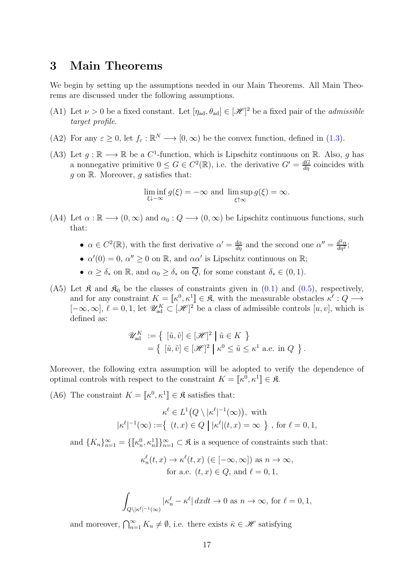### 3 Main Theorems

We begin by setting up the assumptions needed in our Main Theorems. All Main Theorems are discussed under the following assumptions.

- <span id="page-16-1"></span>(A1) Let  $\nu > 0$  be a fixed constant. Let  $[\eta_{ad}, \theta_{ad}] \in [\mathcal{H}]^2$  be a fixed pair of the *admissible* target profile.
- <span id="page-16-4"></span>(A2) For any  $\varepsilon \ge 0$ , let  $f_{\varepsilon} : \mathbb{R}^N \longrightarrow [0, \infty)$  be the convex function, defined in [\(1.3\)](#page-7-2).
- <span id="page-16-5"></span>(A3) Let  $g : \mathbb{R} \longrightarrow \mathbb{R}$  be a  $C^1$ -function, which is Lipschitz continuous on  $\mathbb{R}$ . Also, g has a nonnegative primitive  $0 \le G \in C^2(\mathbb{R})$ , i.e. the derivative  $G' = \frac{dG}{d\eta}$  coincides with  $g$  on  $\mathbb{R}$ . Moreover,  $g$  satisfies that:

$$
\liminf_{\xi \downarrow -\infty} g(\xi) = -\infty \text{ and } \limsup_{\xi \uparrow \infty} g(\xi) = \infty.
$$

- <span id="page-16-0"></span>(A4) Let  $\alpha : \mathbb{R} \longrightarrow (0, \infty)$  and  $\alpha_0 : Q \longrightarrow (0, \infty)$  be Lipschitz continuous functions, such that:
	- $\alpha \in C^2(\mathbb{R})$ , with the first derivative  $\alpha' = \frac{d\alpha}{d\eta}$  and the second one  $\alpha'' = \frac{d^2\alpha}{d\eta^2}$  $\frac{d^2\alpha}{d\eta^2};$
	- $\alpha'(0) = 0$ ,  $\alpha'' \ge 0$  on  $\mathbb{R}$ , and  $\alpha\alpha'$  is Lipschitz continuous on  $\mathbb{R}$ ;
	- $\alpha \geq \delta_*$  on  $\mathbb{R}$ , and  $\alpha_0 \geq \delta_*$  on  $\overline{Q}$ , for some constant  $\delta_* \in (0,1)$ .
- <span id="page-16-2"></span>(A5) Let  $\mathfrak{K}$  and  $\mathfrak{K}_0$  be the classes of constraints given in [\(0.1\)](#page-1-3) and [\(0.5\)](#page-2-3), respectively, and for any constraint  $K = [\kappa^0, \kappa^1] \in \mathfrak{K}$ , with the measurable obstacles  $\kappa^{\ell}: Q \longrightarrow$  $[-\infty, \infty], \ell = 0, 1$ , let  $\mathscr{U}_{ad}^K \subset [\mathscr{H}]^2$  be a class of admissible controls  $[u, v]$ , which is defined as:

$$
\mathscr{U}_{\text{ad}}^K := \left\{ \begin{array}{l} [\tilde{u}, \tilde{v}] \in [\mathscr{H}]^2 \mid \tilde{u} \in K \end{array} \right\}
$$

$$
= \left\{ \begin{array}{l} [\tilde{u}, \tilde{v}] \in [\mathscr{H}]^2 \mid \kappa^0 \le \tilde{u} \le \kappa^1 \text{ a.e. in } Q \end{array} \right\}.
$$

Moreover, the following extra assumption will be adopted to verify the dependence of optimal controls with respect to the constraint  $K = \llbracket \kappa^0, \kappa^1 \rrbracket \in \mathfrak{K}$ .

<span id="page-16-3"></span>(A6) The constraint  $K = \llbracket \kappa^0, \kappa^1 \rrbracket \in \mathfrak{K}$  satisfies that:

$$
\kappa^{\ell} \in L^1(Q \setminus |\kappa^{\ell}|^{-1}(\infty)), \text{ with}
$$
  

$$
|\kappa^{\ell}|^{-1}(\infty) := \{ (t, x) \in Q \mid |\kappa^{\ell}|(t, x) = \infty \}, \text{ for } \ell = 0, 1,
$$

and  $\{K_n\}_{n=1}^{\infty} = \{\llbracket \kappa_n^0, \kappa_n^1 \rrbracket \}_{n=1}^{\infty} \subset \mathfrak{K}$  is a sequence of constraints such that:

$$
\kappa_n^{\ell}(t, x) \to \kappa^{\ell}(t, x) \ (\in [-\infty, \infty]) \text{ as } n \to \infty,
$$
  
for a.e.  $(t, x) \in Q$ , and  $\ell = 0, 1$ ,

$$
\int_{Q \setminus |\kappa^{\ell}|^{-1}(\infty)} |\kappa_n^{\ell} - \kappa^{\ell}| dx dt \to 0 \text{ as } n \to \infty, \text{ for } \ell = 0, 1,
$$

and moreover,  $\bigcap_{n=1}^{\infty} K_n \neq \emptyset$ , i.e. there exists  $\bar{\kappa} \in \mathscr{H}$  satisfying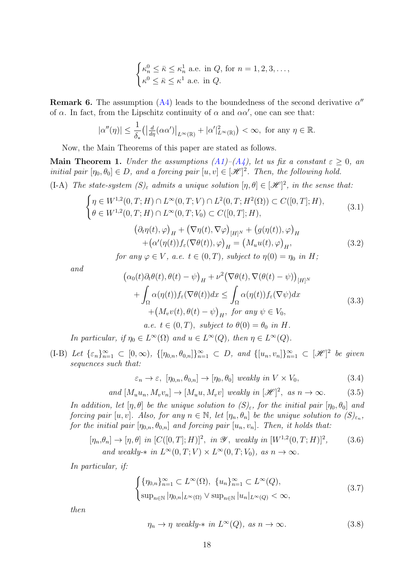$$
\begin{cases} \kappa_n^0 \leq \bar{\kappa} \leq \kappa_n^1 \text{ a.e. in } Q, \text{ for } n = 1, 2, 3, \dots, \\ \kappa^0 \leq \bar{\kappa} \leq \kappa^1 \text{ a.e. in } Q. \end{cases}
$$

<span id="page-17-4"></span>**Remark 6.** The assumption  $(A4)$  leads to the boundedness of the second derivative  $\alpha''$ of  $\alpha$ . In fact, from the Lipschitz continuity of  $\alpha$  and  $\alpha\alpha'$ , one can see that:

$$
|\alpha''(\eta)| \leq \frac{1}{\delta_*} \left( \left| \frac{d}{d\eta} (\alpha \alpha') \right|_{L^{\infty}(\mathbb{R})} + |\alpha'|_{L^{\infty}(\mathbb{R})}^2 \right) < \infty, \text{ for any } \eta \in \mathbb{R}.
$$

Now, the Main Theorems of this paper are stated as follows.

<span id="page-17-0"></span>Main Theorem 1. Under the assumptions  $(A1)$ – $(A4)$ , let us fix a constant  $\varepsilon \geq 0$ , an initial pair  $[\eta_0, \theta_0] \in D$ , and a forcing pair  $[u, v] \in [\mathcal{H}]^2$ . Then, the following hold. (I-A) The state-system  $(S)_{\varepsilon}$  admits a unique solution  $[\eta, \theta] \in [\mathcal{H}]^2$ , in the sense that:

<span id="page-17-1"></span>
$$
\begin{cases}\n\eta \in W^{1,2}(0,T;H) \cap L^{\infty}(0,T;V) \cap L^{2}(0,T;H^{2}(\Omega)) \subset C([0,T];H), \\
\eta \in W^{1,2}(0,T;W) \cap L^{\infty}(0,T;W) \cap C([0,T];H),\n\end{cases}
$$
\n(3.1)

$$
\left\{ \theta \in W^{1,2}(0,T;H) \cap L^{\infty}(0,T;V_0) \subset C([0,T];H), \right\}
$$
\n<sup>(5.1)</sup>

$$
(\partial_t \eta(t), \varphi)_H + (\nabla \eta(t), \nabla \varphi)_{[H]^N} + (g(\eta(t)), \varphi)_H
$$
  
+ 
$$
(\alpha'(\eta(t))f_\varepsilon(\nabla \theta(t)), \varphi)_H = (M_u u(t), \varphi)_H,
$$
  
for any  $\varphi \in V$ , a.e.  $t \in (0, T)$ , subject to  $\eta(0) = \eta_0$  in H; (3.2)

and

$$
\begin{aligned}\n\left(\alpha_0(t)\partial_t\theta(t),\theta(t)-\psi\right)_H + \nu^2 \left(\nabla\theta(t),\nabla(\theta(t)-\psi)\right)_{[H]^N} \\
&+ \int_{\Omega} \alpha(\eta(t))f_{\varepsilon}(\nabla\theta(t))dx \le \int_{\Omega} \alpha(\eta(t))f_{\varepsilon}(\nabla\psi)dx \\
&+ \left(M_v v(t),\theta(t)-\psi\right)_H, \text{ for any } \psi \in V_0, \\
a.e. \ t \in (0,T), \text{ subject to } \theta(0) = \theta_0 \text{ in } H.\n\end{aligned} \tag{3.3}
$$

In particular, if  $\eta_0 \in L^{\infty}(\Omega)$  and  $u \in L^{\infty}(Q)$ , then  $\eta \in L^{\infty}(Q)$ .

<span id="page-17-2"></span>(I-B) Let  $\{\varepsilon_n\}_{n=1}^{\infty} \subset [0,\infty)$ ,  $\{[\eta_{0,n}, \theta_{0,n}]\}_{n=1}^{\infty} \subset D$ , and  $\{[u_n, v_n]\}_{n=1}^{\infty} \subset [\mathcal{H}]^2$  be given sequences such that:

<span id="page-17-5"></span>
$$
\varepsilon_n \to \varepsilon, \ [\eta_{0,n}, \theta_{0,n}] \to [\eta_0, \theta_0] \ weakly in V \times V_0,
$$
\n(3.4)

and 
$$
[M_u u_n, M_v v_n] \to [M_u u, M_v v]
$$
 weakly in  $[\mathcal{H}]^2$ , as  $n \to \infty$ . (3.5)

In addition, let  $[\eta, \theta]$  be the unique solution to  $(S)_{\varepsilon}$ , for the initial pair  $[\eta_0, \theta_0]$  and forcing pair  $[u, v]$ . Also, for any  $n \in \mathbb{N}$ , let  $[\eta_n, \theta_n]$  be the unique solution to  $(S)_{\varepsilon_n}$ , for the initial pair  $[\eta_{0,n}, \theta_{0,n}]$  and forcing pair  $[u_n, v_n]$ . Then, it holds that:

$$
[\eta_n, \theta_n] \to [\eta, \theta] \text{ in } [C([0, T]; H)]^2, \text{ in } \mathcal{Y}, \text{ weakly in } [W^{1,2}(0, T; H)]^2, \text{ and weakly-* in } L^{\infty}(0, T; V) \times L^{\infty}(0, T; V_0), \text{ as } n \to \infty.
$$
 (3.6)

In particular, if:

<span id="page-17-3"></span>
$$
\begin{cases} {\{\eta_{0,n}\}_{n=1}^{\infty}} \subset L^{\infty}(\Omega), \ {\{u_n\}_{n=1}^{\infty}} \subset L^{\infty}(Q), \\ \sup_{n \in \mathbb{N}} |\eta_{0,n}|_{L^{\infty}(\Omega)} \vee \sup_{n \in \mathbb{N}} |u_n|_{L^{\infty}(Q)} < \infty, \end{cases}
$$
(3.7)

then

<span id="page-17-7"></span><span id="page-17-6"></span>
$$
\eta_n \to \eta \ weakly-* in \ L^{\infty}(Q), \ as \ n \to \infty.
$$
\n(3.8)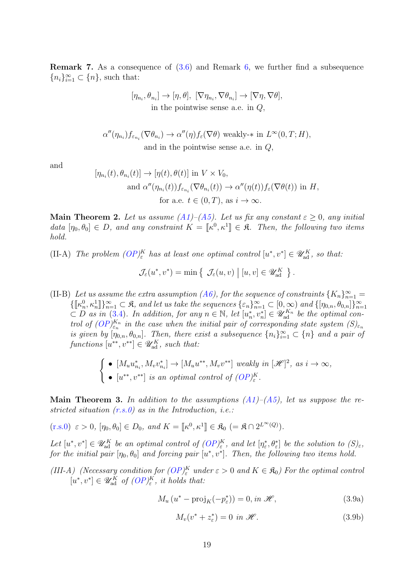<span id="page-18-6"></span>Remark 7. As a consequence of [\(3.6\)](#page-17-3) and Remark [6,](#page-17-4) we further find a subsequence  ${n_i}_{i=1}^{\infty} \subset {n}$ , such that:

$$
[\eta_{n_i}, \theta_{n_i}] \to [\eta, \theta], [\nabla \eta_{n_i}, \nabla \theta_{n_i}] \to [\nabla \eta, \nabla \theta],
$$
  
in the pointwise sense a.e. in  $Q$ ,

$$
\alpha''(\eta_{n_i})f_{\varepsilon_{n_i}}(\nabla \theta_{n_i}) \to \alpha''(\eta)f_{\varepsilon}(\nabla \theta) \text{ weakly-* in } L^{\infty}(0,T;H),
$$
  
and in the pointwise sense a.e. in  $Q$ ,

and

$$
[\eta_{n_i}(t), \theta_{n_i}(t)] \to [\eta(t), \theta(t)] \text{ in } V \times V_0,
$$
  
and  $\alpha''(\eta_{n_i}(t)) f_{\varepsilon_{n_i}}(\nabla \theta_{n_i}(t)) \to \alpha''(\eta(t)) f_{\varepsilon}(\nabla \theta(t)) \text{ in } H,$   
for a.e.  $t \in (0, T)$ , as  $i \to \infty$ .

<span id="page-18-0"></span>Main Theorem 2. Let us assume  $(A1)$ – $(A5)$ . Let us fix any constant  $\varepsilon > 0$ , any initial data  $[\eta_0, \theta_0] \in D$ , and any constraint  $K = [\![ \kappa^0, \kappa^1 ]\!] \in \mathfrak{K}$ . Then, the following two items hold.

<span id="page-18-1"></span>(II-A) The problem  $OP_{\varepsilon}^{K}$  has at least one optimal control  $[u^*, v^*] \in \mathscr{U}_{ad}^{K}$ , so that:

$$
\mathcal{J}_{\varepsilon}(u^*, v^*) = \min \left\{ \left| \mathcal{J}_{\varepsilon}(u, v) \right| \left[ u, v \right] \in \mathscr{U}_{ad}^K \right. \right\}.
$$

<span id="page-18-2"></span>(II-B) Let us assume the extra assumption [\(A6\)](#page-16-3), for the sequence of constraints  $\{K_n\}_{n=1}^{\infty}$  $\{\llbracket \kappa_n^0, \kappa_n^1 \rrbracket \}_{n=1}^{\infty} \subset \mathfrak{K}$ , and let us take the sequences  $\{\varepsilon_n\}_{n=1}^{\infty} \subset [0, \infty)$  and  $\{[\eta_{0,n}, \theta_{0,n}]\}_{n=1}^{\infty}$ <br> $\subset D$  as in [\(3.4\)](#page-17-5). In addition, for any  $n \in \mathbb{N}$ , let  $[u_n^*, v_n^*] \in \mathscr{U}_{ad}^{K_n}$  b trol of  $(OP)^{K_n}_{\varepsilon_n}$  in the case when the initial pair of corresponding state system  $(S)_{\varepsilon_n}$ is given by  $[\eta_{0,n}, \theta_{0,n}]$ . Then, there exist a subsequence  $\{n_i\}_{i=1}^{\infty} \subset \{n\}$  and a pair of functions  $[u^{**}, v^{**}] \in \mathscr{U}_{ad}^K$ , such that:

$$
\begin{cases}\n\bullet \ [M_u u_{n_i}^*, M_v v_{n_i}^*] \to [M_u u^{**}, M_v v^{**}] \text{ weakly in } [\mathcal{H}]^2, \text{ as } i \to \infty, \\
\bullet \ [u^{**}, v^{**}] \text{ is an optimal control of } (OP)_{\varepsilon}^K.\n\end{cases}
$$

<span id="page-18-3"></span>**Main Theorem 3.** In addition to the assumptions  $(A1)$ – $(A5)$ , let us suppose the restricted situation  $(r.s.0)$  as in the Introduction, i.e.:

 $(r.s.0) \varepsilon > 0, [\eta_0, \theta_0] \in D_0$  $(r.s.0) \varepsilon > 0, [\eta_0, \theta_0] \in D_0$ , and  $K = [\![\kappa^0, \kappa^1]\!] \in \mathfrak{K}_0 \; (= \mathfrak{K} \cap 2^{L^{\infty}(Q)}).$ 

Let  $[u^*, v^*] \in \mathscr{U}_{ad}^K$  be an optimal control of  $(OP)_{\varepsilon}^K$ , and let  $[\eta_{\varepsilon}^*, \theta_{\varepsilon}^*]$  be the solution to  $(S)_{\varepsilon}$ , for the initial pair  $[\eta_0, \theta_0]$  and forcing pair  $[u^*, v^*]$ . Then, the following two items hold.

<span id="page-18-4"></span>(III-A) (Necessary condition for  $OP_{\varepsilon}^{K}$  under  $\varepsilon > 0$  and  $K \in \mathfrak{K}_{0}$ ) For the optimal control  $[u^*, v^*] \in \mathscr{U}_{ad}^K$  of  $(OP)_{\varepsilon}^K$ , it holds that:

<span id="page-18-5"></span>
$$
M_u(u^* - \text{proj}_K(-p^*_{\varepsilon})) = 0, \text{ in } \mathcal{H}, \tag{3.9a}
$$

<span id="page-18-7"></span>
$$
M_v(v^* + z_\varepsilon^*) = 0 \text{ in } \mathcal{H}. \tag{3.9b}
$$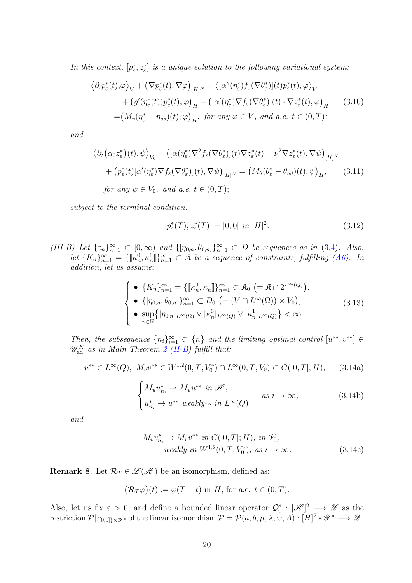In this context,  $[p_{\varepsilon}^*, z_{\varepsilon}^*]$  is a unique solution to the following variational system:

$$
-\langle \partial_t p_{\varepsilon}^*(t), \varphi \rangle_V + (\nabla p_{\varepsilon}^*(t), \nabla \varphi)_{[H]^N} + \langle [\alpha''(\eta_{\varepsilon}^*) f_{\varepsilon}(\nabla \theta_{\varepsilon}^*)](t) p_{\varepsilon}^*(t), \varphi \rangle_V + (g'(\eta_{\varepsilon}^*(t)) p_{\varepsilon}^*(t), \varphi)_H + ([\alpha'(\eta_{\varepsilon}^*) \nabla f_{\varepsilon}(\nabla \theta_{\varepsilon}^*)](t) \cdot \nabla z_{\varepsilon}^*(t), \varphi)_H \qquad (3.10)= (M_{\eta}(\eta_{\varepsilon}^* - \eta_{ad})(t), \varphi)_H, \text{ for any } \varphi \in V, \text{ and a.e. } t \in (0, T);
$$

and

$$
-\langle \partial_t (\alpha_0 z_{\varepsilon}^*)(t), \psi \rangle_{V_0} + ([\alpha(\eta_{\varepsilon}^*) \nabla^2 f_{\varepsilon} (\nabla \theta_{\varepsilon}^*)](t) \nabla z_{\varepsilon}^*(t) + \nu^2 \nabla z_{\varepsilon}^*(t), \nabla \psi \rangle_{[H]^N}
$$
  
+ 
$$
(p_{\varepsilon}^*(t) [\alpha'(\eta_{\varepsilon}^*) \nabla f_{\varepsilon} (\nabla \theta_{\varepsilon}^*)](t), \nabla \psi \rangle_{[H]^N} = (M_{\theta} (\theta_{\varepsilon}^* - \theta_{ad})(t), \psi)_H, \qquad (3.11)
$$
  
for any  $\psi \in V_0$ , and a.e.  $t \in (0, T)$ ;

subject to the terminal condition:

<span id="page-19-2"></span><span id="page-19-1"></span>
$$
[p_{\varepsilon}^*(T), z_{\varepsilon}^*(T)] = [0, 0] \text{ in } [H]^2. \tag{3.12}
$$

<span id="page-19-0"></span>(III-B) Let  $\{\varepsilon_n\}_{n=1}^{\infty} \subset [0,\infty)$  and  $\{\eta_{0,n}, \theta_{0,n}\}_{n=1}^{\infty} \subset D$  be sequences as in [\(3.4\)](#page-17-5). Also, let  $\{K_n\}_{n=1}^{\infty} = \{\llbracket \kappa_n^0, \kappa_n^1 \rrbracket\}_{n=1}^{\infty} \subset \mathfrak{K}$  be a sequence of constraints, fulfilling [\(A6\)](#page-16-3). In addition, let us assume:

<span id="page-19-4"></span>
$$
\begin{cases}\n\bullet \{K_n\}_{n=1}^{\infty} = \{\llbracket \kappa_n^0, \kappa_n^1 \rrbracket \}_{n=1}^{\infty} \subset \mathfrak{K}_0 \ (= \mathfrak{K} \cap 2^{L^{\infty}(Q)}), \\
\bullet \{[\eta_{0,n}, \theta_{0,n}]\}_{n=1}^{\infty} \subset D_0 \ (= (V \cap L^{\infty}(\Omega)) \times V_0), \\
\bullet \sup_{n \in \mathbb{N}} \{|\eta_{0,n}|_{L^{\infty}(\Omega)} \vee |\kappa_n^0|_{L^{\infty}(Q)} \vee |\kappa_n^1|_{L^{\infty}(Q)}\} < \infty.\n\end{cases} \tag{3.13}
$$

Then, the subsequence  ${n_i}_{i=1}^{\infty} \subset {n}$  and the limiting optimal control  $[u^{**}, v^{**}] \in$  $\mathscr{U}^K_{\text{ad}}$  as in Main Theorem [2](#page-18-0) [\(II-B\)](#page-18-2) fulfill that:

$$
u^{**} \in L^{\infty}(Q), \ M_v v^{**} \in W^{1,2}(0,T;V_0^*) \cap L^{\infty}(0,T;V_0) \subset C([0,T];H), \qquad (3.14a)
$$

<span id="page-19-5"></span>
$$
\begin{cases} M_u u_{n_i}^* \to M_u u^{**} \text{ in } \mathcal{H}, \\ u_{n_i}^* \to u^{**} \text{ weakly-* in } L^{\infty}(Q), \end{cases} \text{ as } i \to \infty,
$$
 (3.14b)

and

$$
M_v v_{n_i}^* \to M_v v^{**} \text{ in } C([0, T]; H), \text{ in } \mathcal{V}_0,
$$
  
weakly in  $W^{1,2}(0, T; V_0^*), \text{ as } i \to \infty.$  (3.14c)

<span id="page-19-3"></span>**Remark 8.** Let  $\mathcal{R}_T \in \mathcal{L}(\mathcal{H})$  be an isomorphism, defined as:

$$
\big(\mathcal{R}_T\varphi\big)(t) := \varphi(T-t) \text{ in } H, \text{ for a.e. } t \in (0,T).
$$

Also, let us fix  $\varepsilon > 0$ , and define a bounded linear operator  $\mathcal{Q}_{\varepsilon}^* : [\mathscr{H}]^2 \longrightarrow \mathscr{Z}$  as the restriction  $\mathcal{P}|_{\{[0,0]\}\times\mathscr{Y}^*}$  of the linear isomorphism  $\mathcal{P} = \mathcal{P}(a,b,\mu,\lambda,\omega,A) : [H]^2\times\mathscr{Y}^* \longrightarrow \mathscr{Z},$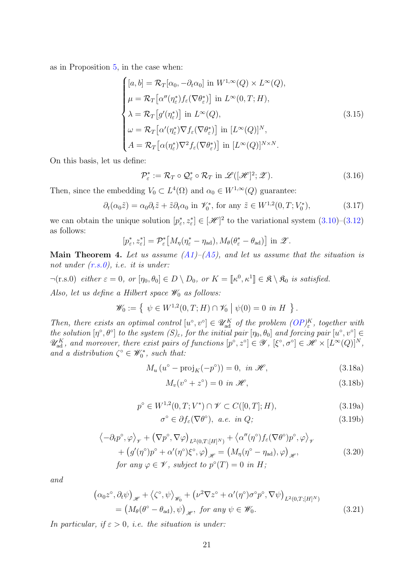as in Proposition [5,](#page-13-1) in the case when:

<span id="page-20-4"></span>
$$
\begin{cases}\n[a, b] = \mathcal{R}_T[\alpha_0, -\partial_t \alpha_0] \text{ in } W^{1, \infty}(Q) \times L^{\infty}(Q), \\
\mu = \mathcal{R}_T[\alpha''(\eta_{\varepsilon}^*) f_{\varepsilon}(\nabla \theta_{\varepsilon}^*)] \text{ in } L^{\infty}(0, T; H), \\
\lambda = \mathcal{R}_T[g'(\eta_{\varepsilon}^*)] \text{ in } L^{\infty}(Q), \\
\omega = \mathcal{R}_T[\alpha'(\eta_{\varepsilon}^*) \nabla f_{\varepsilon}(\nabla \theta_{\varepsilon}^*)] \text{ in } [L^{\infty}(Q)]^N, \\
A = \mathcal{R}_T[\alpha(\eta_{\varepsilon}^*) \nabla^2 f_{\varepsilon}(\nabla \theta_{\varepsilon}^*)] \text{ in } [L^{\infty}(Q)]^{N \times N}.\n\end{cases}
$$
\n(3.15)

On this basis, let us define:

$$
\mathcal{P}_{\varepsilon}^* := \mathcal{R}_T \circ \mathcal{Q}_{\varepsilon}^* \circ \mathcal{R}_T \text{ in } \mathscr{L}([\mathscr{H}]^2; \mathscr{Z}). \tag{3.16}
$$

Then, since the embedding  $V_0 \subset L^4(\Omega)$  and  $\alpha_0 \in W^{1,\infty}(Q)$  guarantee:

$$
\partial_t(\alpha_0 \tilde{z}) = \alpha_0 \partial_t \tilde{z} + \tilde{z} \partial_t \alpha_0 \text{ in } \mathscr{V}_0^*, \text{ for any } \tilde{z} \in W^{1,2}(0,T;V_0^*), \tag{3.17}
$$

we can obtain the unique solution  $[p_{\varepsilon}^*, z_{\varepsilon}^*] \in [\mathcal{H}]^2$  to the variational system  $(3.10)$ – $(3.12)$ as follows:

$$
[p_{\varepsilon}^*, z_{\varepsilon}^*] = \mathcal{P}_{\varepsilon}^* [M_{\eta} (\eta_{\varepsilon}^* - \eta_{ad}), M_{\theta} (\theta_{\varepsilon}^* - \theta_{ad})] \text{ in } \mathscr{Z}.
$$

<span id="page-20-0"></span>**Main Theorem 4.** Let us assume  $(A1)$ – $(A5)$ , and let us assume that the situation is not under  $(r.s.0)$ , i.e. it is under:

 $\neg(r.s.0)$  either  $\varepsilon = 0$ , or  $[\eta_0, \theta_0] \in D \setminus D_0$ , or  $K = [\![\kappa^0, \kappa^1]\!] \in \mathfrak{K} \setminus \mathfrak{K}_0$  is satisfied.

Also, let us define a Hilbert space  $\mathscr{W}_0$  as follows:

$$
\mathscr{W}_0 := \{ \psi \in W^{1,2}(0,T;H) \cap \mathscr{V}_0 \mid \psi(0) = 0 \text{ in } H \}.
$$

Then, there exists an optimal control  $[u^{\circ}, v^{\circ}] \in \mathscr{U}_{ad}^{K}$  of the problem  $(OP)_{\varepsilon}^{K}$ , together with the solution  $[\eta^\circ, \theta^\circ]$  to the system  $(S)_{\varepsilon}$ , for the initial pair  $[\eta_0, \theta_0]$  and forcing pair  $[u^\circ, v^\circ] \in$  $\mathscr{U}_{ad}^K$ , and moreover, there exist pairs of functions  $[p^\circ, z^\circ] \in \mathscr{Y}$ ,  $[\xi^\circ, \sigma^\circ] \in \mathscr{H} \times [L^\infty(Q)]^N$ , and a distribution  $\zeta^{\circ} \in \mathscr{W}_0^*$ , such that:

<span id="page-20-3"></span>
$$
M_u(u^{\circ} - \text{proj}_K(-p^{\circ})) = 0, \text{ in } \mathcal{H}, \tag{3.18a}
$$

<span id="page-20-5"></span>
$$
M_v(v^\circ + z^\circ) = 0 \text{ in } \mathcal{H},\tag{3.18b}
$$

$$
p^{\circ} \in W^{1,2}(0,T;V^*) \cap \mathscr{V} \subset C([0,T];H), \tag{3.19a}
$$

<span id="page-20-6"></span><span id="page-20-1"></span>
$$
\sigma^{\circ} \in \partial f_{\varepsilon}(\nabla \theta^{\circ}), \ a.e. \ in \ Q;
$$
\n(3.19b)

<span id="page-20-2"></span>
$$
\langle -\partial_t p^\circ, \varphi \rangle_{\mathscr{V}} + (\nabla p^\circ, \nabla \varphi)_{L^2(0,T;[H]^N)} + \langle \alpha''(\eta^\circ) f_\varepsilon (\nabla \theta^\circ) p^\circ, \varphi \rangle_{\mathscr{V}} + (g'(\eta^\circ) p^\circ + \alpha'(\eta^\circ) \xi^\circ, \varphi)_{\mathscr{H}} = (M_\eta(\eta^\circ - \eta_{ad}), \varphi)_{\mathscr{H}},
$$
(3.20)  
for any  $\varphi \in \mathscr{V}$ , subject to  $p^\circ(T) = 0$  in H;

and

$$
\begin{aligned} \left(\alpha_0 z^\circ, \partial_t \psi\right)_{\mathscr{H}} + \left\langle \zeta^\circ, \psi \right\rangle_{\mathscr{W}_0} + \left(\nu^2 \nabla z^\circ + \alpha'(\eta^\circ) \sigma^\circ p^\circ, \nabla \psi\right)_{L^2(0,T;[H]^N)} \\ &= \left(M_\theta(\theta^\circ - \theta_{ad}), \psi\right)_{\mathscr{H}}, \text{ for any } \psi \in \mathscr{W}_0. \end{aligned} \tag{3.21}
$$

In particular, if  $\varepsilon > 0$ , i.e. the situation is under: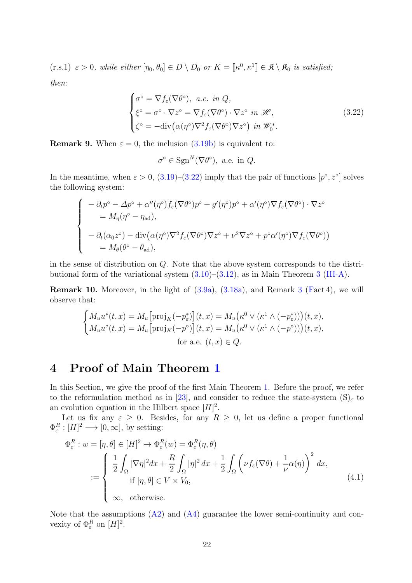<span id="page-21-2"></span> $(r.s.1) \varepsilon > 0$ , while either  $[\eta_0, \theta_0] \in D \setminus D_0$  or  $K = [\![\kappa^0, \kappa^1]\!] \in \mathfrak{K} \setminus \mathfrak{K}_0$  is satisfied; then:

$$
\begin{cases}\n\sigma^{\circ} = \nabla f_{\varepsilon}(\nabla \theta^{\circ}), \quad a.e. \quad in \quad Q, \\
\xi^{\circ} = \sigma^{\circ} \cdot \nabla z^{\circ} = \nabla f_{\varepsilon}(\nabla \theta^{\circ}) \cdot \nabla z^{\circ} \quad in \ \mathcal{H}, \\
\zeta^{\circ} = -\text{div}(\alpha(\eta^{\circ})\nabla^{2} f_{\varepsilon}(\nabla \theta^{\circ})\nabla z^{\circ}) \quad in \ \mathcal{W}_{0}^{*}.\n\end{cases} \tag{3.22}
$$

**Remark 9.** When  $\varepsilon = 0$ , the inclusion [\(3.19b\)](#page-20-1) is equivalent to:

<span id="page-21-0"></span>
$$
\sigma^{\circ} \in \text{Sgn}^N(\nabla \theta^{\circ}), \text{ a.e. in } Q.
$$

In the meantime, when  $\varepsilon > 0$ ,  $(3.19)$ – $(3.22)$  imply that the pair of functions  $[p^{\circ}, z^{\circ}]$  solves the following system:

$$
\begin{cases}\n-\partial_t p^\circ - \Delta p^\circ + \alpha''(\eta^\circ) f_\varepsilon(\nabla \theta^\circ) p^\circ + g'(\eta^\circ) p^\circ + \alpha'(\eta^\circ) \nabla f_\varepsilon(\nabla \theta^\circ) \cdot \nabla z^\circ \\
= M_\eta(\eta^\circ - \eta_{\rm ad}), \\
-\partial_t(\alpha_0 z^\circ) - \operatorname{div}(\alpha(\eta^\circ) \nabla^2 f_\varepsilon(\nabla \theta^\circ) \nabla z^\circ + \nu^2 \nabla z^\circ + p^\circ \alpha'(\eta^\circ) \nabla f_\varepsilon(\nabla \theta^\circ)) \\
= M_\theta(\theta^\circ - \theta_{\rm ad}),\n\end{cases}
$$

in the sense of distribution on Q. Note that the above system corresponds to the distributional form of the variational system [\(3.10\)](#page-19-1)–[\(3.12\)](#page-19-2), as in Main Theorem [3](#page-18-3) [\(III-A\)](#page-18-4).

Remark 10. Moreover, in the light of [\(3.9a\)](#page-18-5), [\(3.18a\)](#page-20-3), and Remark [3](#page-6-1) [\(Fa](#page-6-2)ct 4), we will observe that:

$$
\begin{cases} M_u u^*(t,x) = M_u \big[ \text{proj}_K(-p_{\varepsilon}^*) \big](t,x) = M_u \big( \kappa^0 \vee (\kappa^1 \wedge (-p_{\varepsilon}^*)) \big)(t,x), \\ M_u u^{\circ}(t,x) = M_u \big[ \text{proj}_K(-p^{\circ}) \big](t,x) = M_u \big( \kappa^0 \vee (\kappa^1 \wedge (-p^{\circ})) \big)(t,x), \\ \text{for a.e. } (t,x) \in Q. \end{cases}
$$

# 4 Proof of Main Theorem [1](#page-17-0)

In this Section, we give the proof of the first Main Theorem [1.](#page-17-0) Before the proof, we refer to the reformulation method as in [\[23\]](#page-48-3), and consider to reduce the state-system  $(S)_{\varepsilon}$  to an evolution equation in the Hilbert space  $[H]^2$ .

Let us fix any  $\varepsilon \geq 0$ . Besides, for any  $R \geq 0$ , let us define a proper functional  $\Phi_{\varepsilon}^R : [H]^2 \longrightarrow [0, \infty],$  by setting:

<span id="page-21-1"></span>
$$
\Phi_{\varepsilon}^{R}: w = [\eta, \theta] \in [H]^{2} \mapsto \Phi_{\varepsilon}^{R}(w) = \Phi_{\varepsilon}^{R}(\eta, \theta)
$$
\n
$$
:= \begin{cases}\n\frac{1}{2} \int_{\Omega} |\nabla \eta|^{2} dx + \frac{R}{2} \int_{\Omega} |\eta|^{2} dx + \frac{1}{2} \int_{\Omega} \left( \nu f_{\varepsilon}(\nabla \theta) + \frac{1}{\nu} \alpha(\eta) \right)^{2} dx, \\
\text{if } [\eta, \theta] \in V \times V_{0}, \\
\infty, \text{ otherwise.} \n\end{cases} (4.1)
$$

Note that the assumptions  $(A2)$  and  $(A4)$  guarantee the lower semi-continuity and convexity of  $\Phi_{\varepsilon}^R$  on  $[H]^2$ .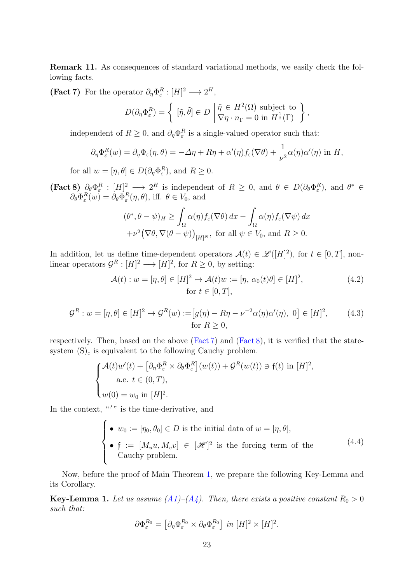Remark 11. As consequences of standard variational methods, we easily check the following facts.

<span id="page-22-0"></span>(Fact 7) For the operator  $\partial_{\eta} \Phi_{\varepsilon}^{R} : [H]^{2} \longrightarrow 2^{H}$ ,

$$
D(\partial_{\eta}\Phi_{\varepsilon}^R) = \left\{ \begin{array}{l} [\tilde{\eta},\tilde{\theta}] \in D \Biggm| \tilde{\eta} \in H^2(\Omega) \text{ subject to} \\ \nabla \eta \cdot n_{\Gamma} = 0 \text{ in } H^{\frac{1}{2}}(\Gamma) \end{array} \right\},\,
$$

independent of  $R \geq 0$ , and  $\partial_{\eta} \Phi_{\varepsilon}^{R}$  is a single-valued operator such that:

$$
\partial_{\eta} \Phi_{\varepsilon}^{R}(w) = \partial_{\eta} \Phi_{\varepsilon}(\eta, \theta) = -\Delta \eta + R\eta + \alpha'(\eta) f_{\varepsilon}(\nabla \theta) + \frac{1}{\nu^2} \alpha(\eta) \alpha'(\eta) \text{ in } H,
$$

for all  $w = [\eta, \theta] \in D(\partial_{\eta} \Phi_{\varepsilon}^R)$ , and  $R \ge 0$ .

<span id="page-22-1"></span>**(Fact 8)**  $\partial_{\theta} \Phi_{\varepsilon}^{R} : [H]^2 \longrightarrow 2^H$  is independent of  $R \geq 0$ , and  $\theta \in D(\partial_{\theta} \Phi_{\varepsilon}^{R})$ , and  $\theta^* \in$  $\partial_{\theta} \Phi_{\varepsilon}^{R}(w) = \partial_{\theta} \Phi_{\varepsilon}^{R}(\eta, \theta)$ , iff.  $\theta \in V_0$ , and

$$
(\theta^*, \theta - \psi)_H \ge \int_{\Omega} \alpha(\eta) f_{\varepsilon}(\nabla \theta) dx - \int_{\Omega} \alpha(\eta) f_{\varepsilon}(\nabla \psi) dx
$$
  
+ $\nu^2 (\nabla \theta, \nabla (\theta - \psi))_{[H]^N}$ , for all  $\psi \in V_0$ , and  $R \ge 0$ .

In addition, let us define time-dependent operators  $\mathcal{A}(t) \in \mathcal{L}([H]^2)$ , for  $t \in [0,T]$ , nonlinear operators  $\mathcal{G}^R : [H]^2 \longrightarrow [H]^2$ , for  $R \geq 0$ , by setting:

$$
\mathcal{A}(t): w = [\eta, \theta] \in [H]^2 \mapsto \mathcal{A}(t)w := [\eta, \alpha_0(t)\theta] \in [H]^2,
$$
\n
$$
\text{for } t \in [0, T],
$$
\n(4.2)

$$
\mathcal{G}^R: w = [\eta, \theta] \in [H]^2 \mapsto \mathcal{G}^R(w) := [g(\eta) - R\eta - \nu^{-2}\alpha(\eta)\alpha'(\eta), 0] \in [H]^2, \quad (4.3)
$$
  
for  $R \ge 0$ ,

respectively. Then, based on the above [\(Fact 7\)](#page-22-0) and [\(Fact 8\)](#page-22-1), it is verified that the statesystem  $(S)_{\varepsilon}$  is equivalent to the following Cauchy problem.

$$
\begin{cases}\n\mathcal{A}(t)w'(t) + \left[\partial_{\eta}\Phi_{\varepsilon}^{R} \times \partial_{\theta}\Phi_{\varepsilon}^{R}\right](w(t)) + \mathcal{G}^{R}(w(t)) \ni \mathfrak{f}(t) \text{ in } [H]^{2}, \\
\text{a.e. } t \in (0, T), \\
w(0) = w_{0} \text{ in } [H]^{2}.\n\end{cases}
$$

In the context,  $\mathbf{u}'$  is the time-derivative, and

<span id="page-22-3"></span>\n- \n
$$
\bullet
$$
\n $w_0 := [\eta_0, \theta_0] \in D$  is the initial data of\n  $w = [\eta, \theta],$ \n
\n- \n $\bullet$ \n $\mathfrak{f} := [M_u u, M_v v] \in [\mathcal{H}]^2$ \n is the forcing term of the Cauchy problem.\n
\n

Now, before the proof of Main Theorem [1,](#page-17-0) we prepare the following Key-Lemma and its Corollary.

<span id="page-22-2"></span>**Key-Lemma 1.** Let us assume  $(A1)$ – $(A4)$ . Then, there exists a positive constant  $R_0 > 0$ such that:

$$
\partial \Phi_{\varepsilon}^{R_0} = \left[ \partial_{\eta} \Phi_{\varepsilon}^{R_0} \times \partial_{\theta} \Phi_{\varepsilon}^{R_0} \right] \text{ in } [H]^2 \times [H]^2.
$$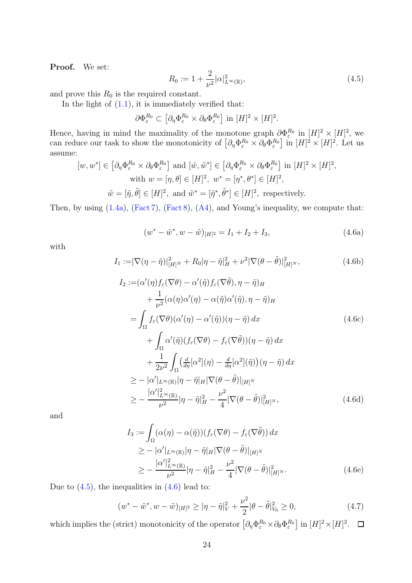Proof. We set:

<span id="page-23-0"></span>
$$
R_0 := 1 + \frac{2}{\nu^2} |\alpha|_{L^\infty(\mathbb{R})}^2,
$$
\n(4.5)

and prove this  $R_0$  is the required constant.

In the light of  $(1.1)$ , it is immediately verified that:

$$
\partial \Phi_{\varepsilon}^{R_0} \subset \left[ \partial_{\eta} \Phi_{\varepsilon}^{R_0} \times \partial_{\theta} \Phi_{\varepsilon}^{R_0} \right] \text{ in } [H]^2 \times [H]^2.
$$

Hence, having in mind the maximality of the monotone graph  $\partial \Phi_{\varepsilon}^{R_0}$  in  $[H]^2 \times [H]^2$ , we can reduce our task to show the monotonicity of  $\left[\partial_{\eta}\Phi_{\varepsilon}^{R_0}\times\partial_{\theta}\Phi_{\varepsilon}^{R_0}\right]$  in  $[H]^2\times[H]^2$ . Let us assume:

$$
[w, w^*] \in \left[\partial_\eta \Phi_\varepsilon^{R_0} \times \partial_\theta \Phi_\varepsilon^{R_0}\right] \text{ and } [\tilde{w}, \tilde{w}^*] \in \left[\partial_\eta \Phi_\varepsilon^{R_0} \times \partial_\theta \Phi_\varepsilon^{R_0}\right] \text{ in } [H]^2 \times [H]^2,
$$
  
with  $w = [\eta, \theta] \in [H]^2$ ,  $w^* = [\eta^*, \theta^*] \in [H]^2$ ,  
 $\tilde{w} = [\tilde{\eta}, \tilde{\theta}] \in [H]^2$ , and  $\tilde{w}^* = [\tilde{\eta}^*, \tilde{\theta}^*] \in [H]^2$ , respectively.

<span id="page-23-1"></span>Then, by using  $(1.4a)$ ,  $(Fact 7)$ ,  $(Fact 8)$ ,  $(A4)$ , and Young's inequality, we compute that:

$$
(w^* - \tilde{w}^*, w - \tilde{w})_{[H]^2} = I_1 + I_2 + I_3,
$$
\n(4.6a)

with

$$
I_{1} := |\nabla(\eta - \tilde{\eta})|_{[H]^{N}}^{2} + R_{0}|\eta - \tilde{\eta}|_{H}^{2} + \nu^{2} |\nabla(\theta - \tilde{\theta})|_{[H]^{N}}^{2},
$$
\n
$$
I_{2} := (\alpha'(\eta) f_{\varepsilon}(\nabla \theta) - \alpha'(\tilde{\eta}) f_{\varepsilon}(\nabla \tilde{\theta}), \eta - \tilde{\eta})_{H}
$$
\n
$$
+ \frac{1}{\nu^{2}} (\alpha(\eta) \alpha'(\eta) - \alpha(\tilde{\eta}) \alpha'(\tilde{\eta}), \eta - \tilde{\eta})_{H}
$$
\n
$$
= \int_{\Omega} f_{\varepsilon}(\nabla \theta) (\alpha'(\eta) - \alpha'(\tilde{\eta})) (\eta - \tilde{\eta}) dx
$$
\n
$$
+ \int_{\Omega} \alpha'(\tilde{\eta}) (f_{\varepsilon}(\nabla \theta) - f_{\varepsilon}(\nabla \tilde{\theta})) (\eta - \tilde{\eta}) dx
$$
\n
$$
+ \frac{1}{2\nu^{2}} \int_{\Omega} (\frac{d}{d\eta} [\alpha^{2}] (\eta) - \frac{d}{d\eta} [\alpha^{2}] (\tilde{\eta})) (\eta - \tilde{\eta}) dx
$$
\n
$$
\geq - |\alpha'|_{L^{\infty}(\mathbb{R})} |\eta - \tilde{\eta}|_{H} |\nabla(\theta - \tilde{\theta})|_{[H]^{N}}
$$
\n
$$
\geq - \frac{|\alpha'|_{L^{\infty}(\mathbb{R})}^{2}}{\nu^{2}} |\eta - \tilde{\eta}|_{H}^{2} - \frac{\nu^{2}}{4} |\nabla(\theta - \tilde{\theta})|_{[H]^{N}}^{2},
$$
\n(4.6d)

and

$$
I_3 := \int_{\Omega} (\alpha(\eta) - \alpha(\tilde{\eta})) (f_{\varepsilon}(\nabla \theta) - f_{\varepsilon}(\nabla \tilde{\theta})) dx
$$
  
\n
$$
\geq - |\alpha'|_{L^{\infty}(\mathbb{R})} |\eta - \tilde{\eta}|_{H} |\nabla (\theta - \tilde{\theta})|_{[H]^{N}}
$$
  
\n
$$
\geq - \frac{|\alpha'|_{L^{\infty}(\mathbb{R})}^{2}}{\nu^{2}} |\eta - \tilde{\eta}|_{H}^{2} - \frac{\nu^{2}}{4} |\nabla (\theta - \tilde{\theta})|_{[H]^{N}}^{2}.
$$
 (4.6e)

Due to  $(4.5)$ , the inequalities in  $(4.6)$  lead to:

$$
(w^* - \tilde{w}^*, w - \tilde{w})_{[H]^2} \ge |\eta - \tilde{\eta}|_V^2 + \frac{\nu^2}{2} |\theta - \tilde{\theta}|_{V_0}^2 \ge 0,
$$
\n(4.7)

which implies the (strict) monotonicity of the operator  $\left[\partial_{\eta}\Phi_{\varepsilon}^{R_0}\times\partial_{\theta}\Phi_{\varepsilon}^{R_0}\right]$  in  $[H]^2\times[H]^2$ .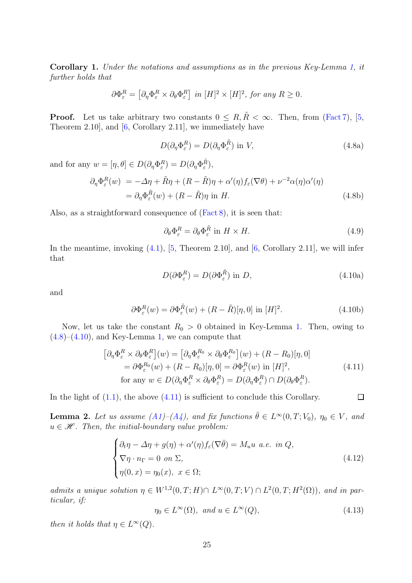<span id="page-24-5"></span>Corollary 1. Under the notations and assumptions as in the previous Key-Lemma [1,](#page-22-2) it further holds that

$$
\partial \Phi_{\varepsilon}^{R} = \left[ \partial_{\eta} \Phi_{\varepsilon}^{R} \times \partial_{\theta} \Phi_{\varepsilon}^{R} \right] \text{ in } [H]^{2} \times [H]^{2}, \text{ for any } R \ge 0.
$$

**Proof.** Let us take arbitrary two constants  $0 \leq R, \tilde{R} \leq \infty$ . Then, from [\(Fact 7\)](#page-22-0), [\[5,](#page-46-5) Theorem 2.10], and [\[6,](#page-46-3) Corollary 2.11], we immediately have

<span id="page-24-0"></span>
$$
D(\partial_{\eta} \Phi_{\varepsilon}^{R}) = D(\partial_{\eta} \Phi_{\varepsilon}^{\tilde{R}}) \text{ in } V,
$$
\n(4.8a)

and for any  $w = [\eta, \theta] \in D(\partial_{\eta} \Phi_{\varepsilon}^R) = D(\partial_{\eta} \Phi_{\varepsilon}^{\tilde{R}}),$ 

$$
\partial_{\eta} \Phi_{\varepsilon}^{R}(w) = -\Delta \eta + \tilde{R}\eta + (R - \tilde{R})\eta + \alpha'(\eta) f_{\varepsilon}(\nabla \theta) + \nu^{-2} \alpha(\eta) \alpha'(\eta)
$$
  
=  $\partial_{\eta} \Phi_{\varepsilon}^{\tilde{R}}(w) + (R - \tilde{R})\eta$  in H. (4.8b)

Also, as a straightforward consequence of [\(Fact 8\)](#page-22-1), it is seen that:

$$
\partial_{\theta} \Phi_{\varepsilon}^{R} = \partial_{\theta} \Phi_{\varepsilon}^{\tilde{R}} \text{ in } H \times H. \tag{4.9}
$$

<span id="page-24-1"></span>In the meantime, invoking  $(4.1)$ ,  $[5,$  Theorem 2.10, and  $[6,$  Corollary 2.11, we will infer that

$$
D(\partial \Phi_{\varepsilon}^R) = D(\partial \Phi_{\varepsilon}^{\tilde{R}}) \text{ in } D,
$$
\n(4.10a)

<span id="page-24-4"></span><span id="page-24-2"></span> $\Box$ 

and

$$
\partial \Phi_{\varepsilon}^{R}(w) = \partial \Phi_{\varepsilon}^{\tilde{R}}(w) + (R - \tilde{R})[\eta, 0] \text{ in } [H]^{2}.
$$
 (4.10b)

Now, let us take the constant  $R_0 > 0$  obtained in Key-Lemma [1.](#page-22-2) Then, owing to  $(4.8)$ – $(4.10)$ , and Key-Lemma [1,](#page-22-2) we can compute that

$$
\begin{aligned}\n\left[\partial_{\eta}\Phi_{\varepsilon}^{R} \times \partial_{\theta}\Phi_{\varepsilon}^{R}\right](w) &= \left[\partial_{\eta}\Phi_{\varepsilon}^{R_{0}} \times \partial_{\theta}\Phi_{\varepsilon}^{R_{0}}\right](w) + (R - R_{0})[\eta, 0] \\
&= \partial \Phi_{\varepsilon}^{R_{0}}(w) + (R - R_{0})[\eta, 0] = \partial \Phi_{\varepsilon}^{R}(w) \text{ in } [H]^{2}, \\
\text{for any } w \in D(\partial_{\eta}\Phi_{\varepsilon}^{R} \times \partial_{\theta}\Phi_{\varepsilon}^{R}) = D(\partial_{\eta}\Phi_{\varepsilon}^{R}) \cap D(\partial_{\theta}\Phi_{\varepsilon}^{R}).\n\end{aligned} \tag{4.11}
$$

In the light of  $(1.1)$ , the above  $(4.11)$  is sufficient to conclude this Corollary.

<span id="page-24-6"></span>**Lemma 2.** Let us assume  $(A1)$ – $(A4)$ , and fix functions  $\bar{\theta} \in L^{\infty}(0,T;V_0)$ ,  $\eta_0 \in V$ , and  $u \in \mathcal{H}$ . Then, the initial-boundary value problem:

$$
\begin{cases} \partial_t \eta - \Delta \eta + g(\eta) + \alpha'(\eta) f_{\varepsilon}(\nabla \bar{\theta}) = M_u u \ a.e. \ in \ Q, \\ \nabla \eta \cdot n_{\Gamma} = 0 \ on \ \Sigma, \\ \eta(0, x) = \eta_0(x), \ x \in \Omega; \end{cases}
$$
 (4.12)

admits a unique solution  $\eta \in W^{1,2}(0,T;H) \cap L^{\infty}(0,T;V) \cap L^2(0,T;H^2(\Omega))$ , and in particular, if:

<span id="page-24-3"></span>
$$
\eta_0 \in L^{\infty}(\Omega), \text{ and } u \in L^{\infty}(Q), \tag{4.13}
$$

then it holds that  $\eta \in L^{\infty}(Q)$ .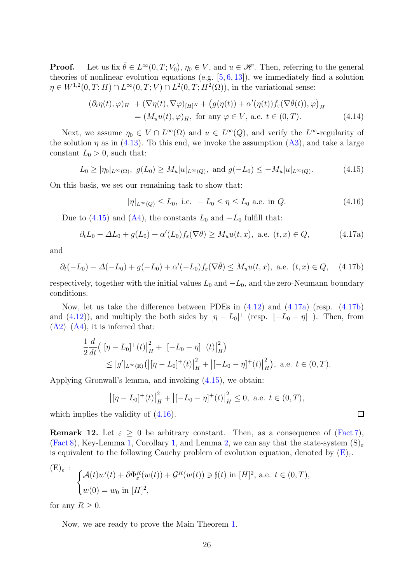**Proof.** Let us fix  $\bar{\theta} \in L^{\infty}(0,T; V_0)$ ,  $\eta_0 \in V$ , and  $u \in \mathcal{H}$ . Then, referring to the general theories of nonlinear evolution equations (e.g.  $[5, 6, 13]$  $[5, 6, 13]$  $[5, 6, 13]$  $[5, 6, 13]$ ), we immediately find a solution  $\eta \in W^{1,2}(0,T;H) \cap L^{\infty}(0,T;V) \cap L^{2}(0,T;H^{2}(\Omega)),$  in the variational sense:

$$
(\partial_t \eta(t), \varphi)_H + (\nabla \eta(t), \nabla \varphi)_{[H]^N} + (g(\eta(t)) + \alpha'(\eta(t)) f_\varepsilon(\nabla \bar{\theta}(t)), \varphi)_H
$$
  
=  $(M_u u(t), \varphi)_H$ , for any  $\varphi \in V$ , a.e.  $t \in (0, T)$ . (4.14)

Next, we assume  $\eta_0 \in V \cap L^{\infty}(\Omega)$  and  $u \in L^{\infty}(Q)$ , and verify the  $L^{\infty}$ -regularity of the solution  $\eta$  as in [\(4.13\)](#page-24-3). To this end, we invoke the assumption [\(A3\)](#page-16-5), and take a large constant  $L_0 > 0$ , such that:

<span id="page-25-0"></span>
$$
L_0 \ge |\eta_0|_{L^{\infty}(\Omega)}, g(L_0) \ge M_u |u|_{L^{\infty}(Q)}, \text{ and } g(-L_0) \le -M_u |u|_{L^{\infty}(Q)}.
$$
 (4.15)

On this basis, we set our remaining task to show that:

<span id="page-25-3"></span>
$$
|\eta|_{L^{\infty}(Q)} \le L_0, \text{ i.e. } -L_0 \le \eta \le L_0 \text{ a.e. in } Q. \tag{4.16}
$$

Due to [\(4.15\)](#page-25-0) and [\(A4\)](#page-16-0), the constants  $L_0$  and  $-L_0$  fulfill that:

<span id="page-25-1"></span>
$$
\partial_t L_0 - \Delta L_0 + g(L_0) + \alpha'(L_0) f_\varepsilon(\nabla \bar{\theta}) \ge M_u u(t, x), \text{ a.e. } (t, x) \in Q,
$$
 (4.17a)

and

<span id="page-25-2"></span>
$$
\partial_t(-L_0) - \Delta(-L_0) + g(-L_0) + \alpha'(-L_0)f_{\varepsilon}(\nabla\bar{\theta}) \le M_u u(t, x), \text{ a.e. } (t, x) \in Q, \quad (4.17b)
$$

respectively, together with the initial values  $L_0$  and  $-L_0$ , and the zero-Neumann boundary conditions.

Now, let us take the difference between PDEs in [\(4.12\)](#page-24-4) and [\(4.17a\)](#page-25-1) (resp. [\(4.17b\)](#page-25-2) and [\(4.12\)](#page-24-4)), and multiply the both sides by  $[\eta - L_0]^+$  (resp.  $[-L_0 - \eta]^+$ ). Then, from  $(A2)–(A4)$  $(A2)–(A4)$  $(A2)–(A4)$ , it is inferred that:

$$
\frac{1}{2}\frac{d}{dt}\left(\left|\left[\eta - L_0\right]^+(t)\right|_H^2 + \left|\left[-L_0 - \eta\right]^+(t)\right|_H^2\right) \leq |g'|_{L^{\infty}(\mathbb{R})}\left(\left|\left[\eta - L_0\right]^+(t)\right|_H^2 + \left|\left[-L_0 - \eta\right]^+(t)\right|_H^2\right), \text{ a.e. } t \in (0, T).
$$

Applying Gronwall's lemma, and invoking [\(4.15\)](#page-25-0), we obtain:

$$
|\left[\eta - L_0\right]^+(t)|_H^2 + \left| \left[-L_0 - \eta\right]^+(t)\right|_H^2 \le 0
$$
, a.e.  $t \in (0, T)$ ,

which implies the validity of  $(4.16)$ .

<span id="page-25-5"></span>**Remark 12.** Let  $\varepsilon \geq 0$  be arbitrary constant. Then, as a consequence of [\(Fact 7\)](#page-22-0),  $(Fact 8)$ , Key-Lemma [1,](#page-24-5) Corollary 1, and Lemma [2,](#page-24-6) we can say that the state-system  $(S)_{\epsilon}$ is equivalent to the following Cauchy problem of evolution equation, denoted by  $(E)_{\varepsilon}$ .

<span id="page-25-4"></span>
$$
\begin{cases}\n(E)_{\varepsilon} : \begin{cases}\n\mathcal{A}(t)w'(t) + \partial \Phi_{\varepsilon}^{R}(w(t)) + \mathcal{G}^{R}(w(t)) \ni f(t) \text{ in } [H]^{2}, \text{ a.e. } t \in (0, T), \\
w(0) = w_{0} \text{ in } [H]^{2},\n\end{cases}\n\end{cases}
$$

for any  $R \geq 0$ .

Now, we are ready to prove the Main Theorem [1.](#page-17-0)

 $\Box$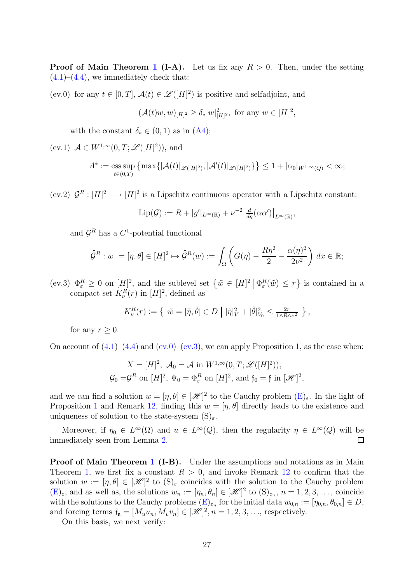**Proof of Main Theorem [1](#page-17-0) (I-A).** Let us fix any  $R > 0$ . Then, under the setting  $(4.1)$ – $(4.4)$ , we immediately check that:

<span id="page-26-0"></span>(ev.0) for any  $t \in [0, T]$ ,  $\mathcal{A}(t) \in \mathcal{L}([H]^2)$  is positive and selfadjoint, and

$$
(\mathcal{A}(t)w, w)_{[H]^2} \ge \delta_*|w|_{[H]^2}^2
$$
, for any  $w \in [H]^2$ ,

with the constant  $\delta_* \in (0,1)$  as in  $(A4)$ ;

(ev.1)  $\mathcal{A} \in W^{1,\infty}(0,T; \mathscr{L}([H]^2)),$  and

$$
A^* := \operatorname*{ess\,sup}_{t \in (0,T)} \left\{ \max \{ |\mathcal{A}(t)|_{\mathscr{L}([H]^2)}, |\mathcal{A}'(t)|_{\mathscr{L}([H]^2)} \} \right\} \le 1 + |\alpha_0|_{W^{1,\infty}(Q)} < \infty;
$$

(ev.2)  $\mathcal{G}^R : [H]^2 \longrightarrow [H]^2$  is a Lipschitz continuous operator with a Lipschitz constant:

$$
\operatorname{Lip}(\mathcal{G}) := R + |g'|_{L^{\infty}(\mathbb{R})} + \nu^{-2} \left| \frac{d}{d\eta}(\alpha \alpha') \right|_{L^{\infty}(\mathbb{R})},
$$

and  $\mathcal{G}^R$  has a  $C^1$ -potential functional

$$
\widehat{\mathcal{G}}^R: w = [\eta, \theta] \in [H]^2 \mapsto \widehat{\mathcal{G}}^R(w) := \int_{\Omega} \left( G(\eta) - \frac{R\eta^2}{2} - \frac{\alpha(\eta)^2}{2\nu^2} \right) dx \in \mathbb{R};
$$

<span id="page-26-1"></span>(ev.3)  $\Phi_{\varepsilon}^R \geq 0$  on  $[H]^2$ , and the sublevel set  $\{\tilde{w} \in [H]^2 | \Phi_{\varepsilon}^R(\tilde{w}) \leq r\}$  is contained in a compact set  $K_{\nu}^{R}(r)$  in  $[H]^{2}$ , defined as

$$
K_{\nu}^{R}(r) := \left\{ \ \tilde{w} = [\tilde{\eta}, \tilde{\theta}] \in D \mid |\tilde{\eta}|_{V}^{2} + |\tilde{\theta}|_{V_{0}}^{2} \le \frac{2r}{1 \wedge R \wedge \nu^{2}} \right\},
$$

for any  $r > 0$ .

On account of  $(4.1)$ – $(4.4)$  and  $(ev.0)$ – $(ev.3)$ , we can apply Proposition [1,](#page-10-2) as the case when:

$$
X = [H]^2, \mathcal{A}_0 = \mathcal{A} \text{ in } W^{1,\infty}(0,T; \mathcal{L}([H]^2)),
$$
  

$$
\mathcal{G}_0 = \mathcal{G}^R \text{ on } [H]^2, \Psi_0 = \Phi^R_{\varepsilon} \text{ on } [H]^2, \text{ and } \mathfrak{f}_0 = \mathfrak{f} \text{ in } [\mathcal{H}]^2,
$$

and we can find a solution  $w = [\eta, \theta] \in [\mathcal{H}]^2$  to the Cauchy problem  $(E)_{\varepsilon}$ . In the light of Proposition [1](#page-10-2) and Remark [12,](#page-25-5) finding this  $w = [\eta, \theta]$  directly leads to the existence and uniqueness of solution to the state-system  $(S)_{\varepsilon}$ .

Moreover, if  $\eta_0 \in L^{\infty}(\Omega)$  and  $u \in L^{\infty}(Q)$ , then the regularity  $\eta \in L^{\infty}(Q)$  will be immediately seen from Lemma [2.](#page-24-6)  $\Box$ 

Proof of Main Theorem [1](#page-17-0) (I-B). Under the assumptions and notations as in Main Theorem [1,](#page-17-0) we first fix a constant  $R > 0$ , and invoke Remark [12](#page-25-5) to confirm that the solution  $w := [\eta, \theta] \in [\mathcal{H}]^2$  to  $(S)_{\varepsilon}$  coincides with the solution to the Cauchy problem  $(E)_{\varepsilon}$  $(E)_{\varepsilon}$ , and as well as, the solutions  $w_n := [\eta_n, \theta_n] \in [\mathcal{H}]^2$  to  $(S)_{\varepsilon_n}$ ,  $n = 1, 2, 3, \ldots$ , coincide with the solutions to the Cauchy problems  $(E)_{\varepsilon_n}$  for the initial data  $w_{0,n} := [\eta_{0,n}, \theta_{0,n}] \in D$ , and forcing terms  $\mathfrak{f}_{\mathfrak{n}} = [M_u u_n, M_v v_n] \in [\mathcal{H}]^2, n = 1, 2, 3, \ldots$ , respectively.

On this basis, we next verify: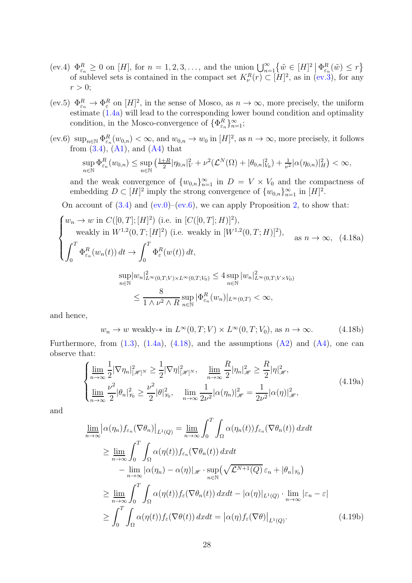- $(\text{ev.4}) \ \Phi_{\varepsilon_n}^R \geq 0 \text{ on } [H], \text{ for } n = 1, 2, 3, \ldots, \text{ and the union } \bigcup_{n=1}^{\infty} \left\{ \tilde{w} \in [H]^2 \, \Big| \, \Phi_{\varepsilon_n}^R(\tilde{w}) \leq r \right\}$ of sublevel sets is contained in the compact set  $K^R_\nu(r) \subset [H]^2$ , as in [\(ev.3\)](#page-26-1), for any  $r > 0$ ;
- (ev.5)  $\Phi_{\varepsilon_n}^R \to \Phi_{\varepsilon}^R$  on  $[H]^2$ , in the sense of Mosco, as  $n \to \infty$ , more precisely, the uniform estimate [\(1.4a\)](#page-8-3) will lead to the corresponding lower bound condition and optimality condition, in the Mosco-convergence of  $\{\Phi_{\varepsilon_n}^R\}_{n=1}^{\infty}$ ;
- <span id="page-27-0"></span>(ev.6)  $\sup_{n\in\mathbb{N}}\Phi_{\varepsilon_n}^R(w_{0,n})<\infty$ , and  $w_{0,n}\to w_0$  in  $[H]^2$ , as  $n\to\infty$ , more precisely, it follows from  $(3.4)$ ,  $(A1)$ , and  $(A4)$  that

<span id="page-27-1"></span>
$$
\sup_{n\in\mathbb{N}} \Phi_{\varepsilon_n}^R(w_{0,n}) \leq \sup_{n\in\mathbb{N}} \left( \frac{1+R}{2} |\eta_{0,n}|_V^2 + \nu^2 (\mathcal{L}^N(\Omega) + |\theta_{0,n}|_{V_0}^2) + \frac{1}{\nu^2} |\alpha(\eta_{0,n})|_H^2 \right) < \infty,
$$

and the weak convergence of  $\{w_{0,n}\}_{n=1}^{\infty}$  in  $D = V \times V_0$  and the compactness of embedding  $D \subset [H]^2$  imply the strong convergence of  $\{w_{0,n}\}_{n=1}^{\infty}$  in  $[H]^2$ .

On account of  $(3.4)$  and  $(ev.0)$ – $(ev.6)$ , we can apply Proposition [2,](#page-10-3) to show that:

<span id="page-27-2"></span>
$$
\begin{cases}\nw_n \to w \text{ in } C([0, T]; [H]^2) \text{ (i.e. in } [C([0, T]; H)]^2), \\
\text{ weakly in } W^{1,2}(0, T; [H]^2) \text{ (i.e. weakly in } [W^{1,2}(0, T; H)]^2), \\
\int_0^T \Phi_{\varepsilon_n}^R(w_n(t)) dt \to \int_0^T \Phi_{\varepsilon}^R(w(t)) dt, \\
\sup_{n \in \mathbb{N}} |w_n|^2_{L^{\infty}(0, T; V) \times L^{\infty}(0, T; V_0)} \le 4 \sup_{n \in \mathbb{N}} |w_n|^2_{L^{\infty}(0, T; V \times V_0)} \\
\le \frac{8}{1 \wedge \nu^2 \wedge R} \sup_{n \in \mathbb{N}} |\Phi_{\varepsilon_n}^R(w_n)|_{L^{\infty}(0, T)} < \infty,\n\end{cases} (4.18a)
$$

and hence,

<span id="page-27-4"></span>
$$
w_n \to w \text{ weakly-* in } L^{\infty}(0, T; V) \times L^{\infty}(0, T; V_0), \text{ as } n \to \infty.
$$
 (4.18b)

Furthermore, from  $(1.3)$ ,  $(1.4a)$ ,  $(4.18)$ , and the assumptions  $(A2)$  and  $(A4)$ , one can observe that:

<span id="page-27-3"></span>
$$
\begin{cases} \n\lim_{n \to \infty} \frac{1}{2} |\nabla \eta_n|^2_{|\mathcal{H}|^N} \geq \frac{1}{2} |\nabla \eta|^2_{|\mathcal{H}|^N}, & \lim_{n \to \infty} \frac{R}{2} |\eta_n|^2_{\mathcal{H}} \geq \frac{R}{2} |\eta|^2_{\mathcal{H}}, \\
\lim_{n \to \infty} \frac{\nu^2}{2} |\theta_n|^2_{\mathcal{H}} \geq \frac{\nu^2}{2} |\theta|^2_{\mathcal{H}}, & \lim_{n \to \infty} \frac{1}{2\nu^2} |\alpha(\eta_n)|^2_{\mathcal{H}} = \frac{1}{2\nu^2} |\alpha(\eta)|^2_{\mathcal{H}},\n\end{cases} \tag{4.19a}
$$

and

$$
\lim_{n \to \infty} \left| \alpha(\eta_n) f_{\varepsilon_n} (\nabla \theta_n) \right|_{L^1(Q)} = \lim_{n \to \infty} \int_0^T \int_{\Omega} \alpha(\eta_n(t)) f_{\varepsilon_n} (\nabla \theta_n(t)) dx dt
$$
\n
$$
\geq \lim_{n \to \infty} \int_0^T \int_{\Omega} \alpha(\eta(t)) f_{\varepsilon_n} (\nabla \theta_n(t)) dx dt
$$
\n
$$
- \lim_{n \to \infty} |\alpha(\eta_n) - \alpha(\eta)|_{\mathscr{H}} \cdot \sup_{n \in \mathbb{N}} (\sqrt{\mathcal{L}^{N+1}(Q)} \varepsilon_n + |\theta_n|_{\mathscr{V}_0})
$$
\n
$$
\geq \lim_{n \to \infty} \int_0^T \int_{\Omega} \alpha(\eta(t)) f_{\varepsilon} (\nabla \theta_n(t)) dx dt - |\alpha(\eta)|_{L^1(Q)} \cdot \lim_{n \to \infty} |\varepsilon_n - \varepsilon|
$$
\n
$$
\geq \int_0^T \int_{\Omega} \alpha(\eta(t)) f_{\varepsilon} (\nabla \theta(t)) dx dt = |\alpha(\eta) f_{\varepsilon} (\nabla \theta)|_{L^1(Q)}.
$$
\n(4.19b)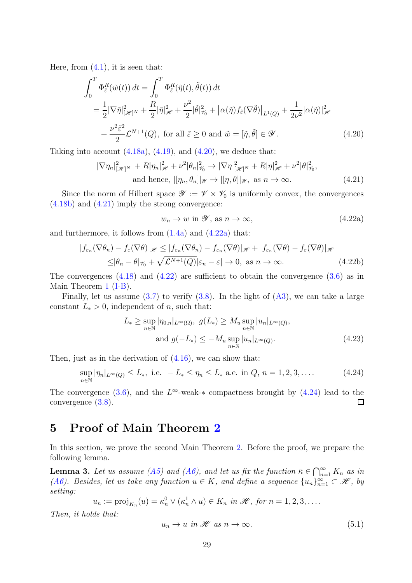Here, from  $(4.1)$ , it is seen that:

$$
\int_0^T \Phi_{\tilde{\varepsilon}}^R(\tilde{w}(t)) dt = \int_0^T \Phi_{\tilde{\varepsilon}}^R(\tilde{\eta}(t), \tilde{\theta}(t)) dt
$$
  
\n
$$
= \frac{1}{2} |\nabla \tilde{\eta}|_{[\mathscr{H}]^N}^2 + \frac{R}{2} |\tilde{\eta}|_{\mathscr{H}}^2 + \frac{\nu^2}{2} |\tilde{\theta}|_{\mathscr{V}_0}^2 + |\alpha(\tilde{\eta}) f_{\tilde{\varepsilon}}(\nabla \tilde{\theta})|_{L^1(Q)} + \frac{1}{2\nu^2} |\alpha(\tilde{\eta})|_{\mathscr{H}}^2
$$
  
\n
$$
+ \frac{\nu^2 \tilde{\varepsilon}^2}{2} \mathcal{L}^{N+1}(Q), \text{ for all } \tilde{\varepsilon} \ge 0 \text{ and } \tilde{w} = [\tilde{\eta}, \tilde{\theta}] \in \mathscr{Y}.
$$
 (4.20)

Taking into account  $(4.18a)$ ,  $(4.19)$ , and  $(4.20)$ , we deduce that:

$$
|\nabla \eta_n|_{[\mathscr{H}]^N}^2 + R|\eta_n|_{\mathscr{H}}^2 + \nu^2 |\theta_n|_{\mathscr{V}_0}^2 \to |\nabla \eta|_{[\mathscr{H}]^N}^2 + R|\eta|_{\mathscr{H}}^2 + \nu^2 |\theta|_{\mathscr{V}_0}^2,
$$
  
and hence,  $|[\eta_n, \theta_n]|_{\mathscr{Y}} \to |[\eta, \theta]|_{\mathscr{Y}}$ , as  $n \to \infty$ . (4.21)

Since the norm of Hilbert space  $\mathscr{Y} := \mathscr{V} \times \mathscr{V}_0$  is uniformly convex, the convergences [\(4.18b\)](#page-27-4) and [\(4.21\)](#page-28-1) imply the strong convergence:

<span id="page-28-3"></span><span id="page-28-2"></span><span id="page-28-1"></span><span id="page-28-0"></span>
$$
w_n \to w \text{ in } \mathcal{Y}, \text{ as } n \to \infty,
$$
\n
$$
(4.22a)
$$

and furthermore, it follows from  $(1.4a)$  and  $(4.22a)$  that:

$$
|f_{\varepsilon_n}(\nabla \theta_n) - f_{\varepsilon}(\nabla \theta)|_{\mathscr{H}} \le |f_{\varepsilon_n}(\nabla \theta_n) - f_{\varepsilon_n}(\nabla \theta)|_{\mathscr{H}} + |f_{\varepsilon_n}(\nabla \theta) - f_{\varepsilon}(\nabla \theta)|_{\mathscr{H}}
$$
  

$$
\le |\theta_n - \theta|_{\mathscr{V}_0} + \sqrt{\mathcal{L}^{N+1}(Q)}|\varepsilon_n - \varepsilon| \to 0, \text{ as } n \to \infty.
$$
 (4.22b)

The convergences  $(4.18)$  and  $(4.22)$  are sufficient to obtain the convergence  $(3.6)$  as in Main Theorem [1](#page-17-0) [\(I-B\)](#page-17-2).

Finally, let us assume  $(3.7)$  to verify  $(3.8)$ . In the light of  $(A3)$ , we can take a large constant  $L_* > 0$ , independent of *n*, such that:

$$
L_* \ge \sup_{n \in \mathbb{N}} |\eta_{0,n}|_{L^\infty(\Omega)}, \ g(L_*) \ge M_u \sup_{n \in \mathbb{N}} |u_n|_{L^\infty(Q)},
$$
  
and 
$$
g(-L_*) \le -M_u \sup_{n \in \mathbb{N}} |u_n|_{L^\infty(Q)}.
$$
 (4.23)

Then, just as in the derivation of  $(4.16)$ , we can show that:

<span id="page-28-4"></span>
$$
\sup_{n \in \mathbb{N}} |\eta_n|_{L^{\infty}(Q)} \le L_*, \text{ i.e. } -L_* \le \eta_n \le L_* \text{ a.e. in } Q, n = 1, 2, 3, .... \tag{4.24}
$$

The convergence [\(3.6\)](#page-17-3), and the  $L^{\infty}$ -weak-\* compactness brought by [\(4.24\)](#page-28-4) lead to the convergence [\(3.8\)](#page-17-7).

### 5 Proof of Main Theorem [2](#page-18-0)

In this section, we prove the second Main Theorem [2.](#page-18-0) Before the proof, we prepare the following lemma.

<span id="page-28-6"></span>**Lemma 3.** Let us assume [\(A5\)](#page-16-2) and [\(A6\)](#page-16-3), and let us fix the function  $\bar{\kappa} \in \bigcap_{n=1}^{\infty} K_n$  as in [\(A6\)](#page-16-3). Besides, let us take any function  $u \in K$ , and define a sequence  $\{u_n\}_{n=1}^{\infty} \subset \mathcal{H}$ , by setting:

$$
u_n := \text{proj}_{K_n}(u) = \kappa_n^0 \vee (\kappa_n^1 \wedge u) \in K_n \text{ in } \mathscr{H}, \text{ for } n = 1, 2, 3, \dots.
$$

Then, it holds that:

<span id="page-28-5"></span>
$$
u_n \to u \text{ in } \mathcal{H} \text{ as } n \to \infty. \tag{5.1}
$$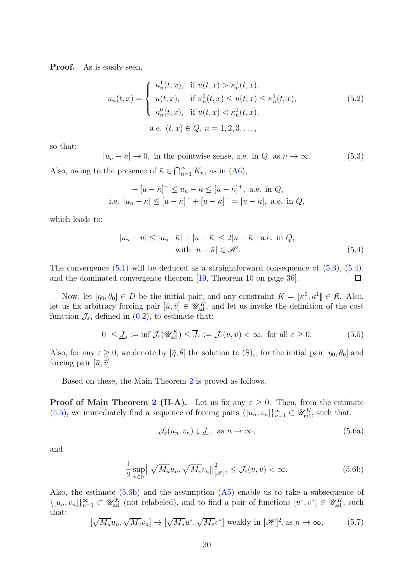**Proof.** As is easily seen,

$$
u_n(t,x) = \begin{cases} \kappa_n^1(t,x), & \text{if } u(t,x) > \kappa_n^1(t,x), \\ u(t,x), & \text{if } \kappa_n^0(t,x) \le u(t,x) \le \kappa_n^1(t,x), \\ \kappa_n^0(t,x), & \text{if } u(t,x) < \kappa_n^0(t,x), \\ \text{a.e. } (t,x) \in Q, n = 1, 2, 3, \dots, \end{cases}
$$
(5.2)

so that:

<span id="page-29-0"></span> $|u_n - u| \to 0$ , in the pointwise sense, a.e. in  $Q$ , as  $n \to \infty$ . (5.3)

Also, owing to the presence of  $\bar{\kappa} \in \bigcap_{n=1}^{\infty} K_n$ , as in  $(A6)$ ,

$$
- [u - \bar{\kappa}]^- \le u_n - \bar{\kappa} \le [u - \bar{\kappa}]^+, \text{ a.e. in } Q,
$$
  
i.e.  $|u_n - \bar{\kappa}| \le [u - \bar{\kappa}]^+ + [u - \bar{\kappa}]^- = |u - \bar{\kappa}|, \text{ a.e. in } Q,$ 

which leads to:

<span id="page-29-1"></span>
$$
|u_n - u| \le |u_n - \bar{\kappa}| + |u - \bar{\kappa}| \le 2|u - \bar{\kappa}| \quad \text{a.e. in } Q,
$$
  
with  $|u - \bar{\kappa}| \in \mathcal{H}.$  (5.4)

The convergence [\(5.1\)](#page-28-5) will be deduced as a straightforward consequence of [\(5.3\)](#page-29-0), [\(5.4\)](#page-29-1), and the dominated convergence theorem [\[19,](#page-47-12) Theorem 10 on page 36].  $\Box$ 

Now, let  $[\eta_0, \theta_0] \in D$  be the initial pair, and any constraint  $K = [\![\kappa^0, \kappa^1]\!] \in \mathfrak{K}$ . Also, let us fix arbitrary forcing pair  $[\bar{u}, \bar{v}] \in \mathscr{U}_{ad}^K$ , and let us invoke the definition of the cost function  $\mathcal{J}_{\varepsilon}$ , defined in [\(0.2\)](#page-1-4), to estimate that:

$$
0 \leq \underline{J}_{\varepsilon} := \inf \mathcal{J}_{\varepsilon}(\mathscr{U}_{ad}^K) \leq \overline{J}_{\varepsilon} := \mathcal{J}_{\varepsilon}(\bar{u}, \bar{v}) < \infty, \text{ for all } \varepsilon \geq 0. \tag{5.5}
$$

Also, for any  $\varepsilon \geq 0$ , we denote by  $[\bar{\eta}, \bar{\theta}]$  the solution to  $(S)_{\varepsilon}$ , for the initial pair  $[\eta_0, \theta_0]$  and forcing pair  $[\bar{u}, \bar{v}]$ .

Based on these, the Main Theorem [2](#page-18-0) is proved as follows.

**Proof of Main Theorem [2](#page-18-0) (II-A).** Let us fix any  $\varepsilon \geq 0$ . Then, from the estimate [\(5.5\)](#page-29-2), we immediately find a sequence of forcing pairs  $\{[u_n, v_n]\}_{n=1}^{\infty} \subset \mathscr{U}_{ad}^K$ , such that:

<span id="page-29-5"></span><span id="page-29-3"></span><span id="page-29-2"></span>
$$
\mathcal{J}_{\varepsilon}(u_n, v_n) \downarrow \underline{J}_{\varepsilon}, \text{ as } n \to \infty,
$$
\n(5.6a)

and

$$
\frac{1}{2} \sup_{n \in \mathbb{N}} \left| \left[ \sqrt{M_u} u_n, \sqrt{M_v} v_n \right] \right|_{\left[ \mathcal{H} \right]^2}^2 \le \mathcal{J}_{\varepsilon}(\bar{u}, \bar{v}) < \infty. \tag{5.6b}
$$

Also, the estimate  $(5.6b)$  and the assumption  $(A5)$  enable us to take a subsequence of  $\{[u_n, v_n]\}_{n=1}^{\infty} \subset \mathscr{U}_{ad}^K$  (not relabeled), and to find a pair of functions  $[u^*, v^*] \in \mathscr{U}_{ad}^K$ , such that:

<span id="page-29-4"></span>
$$
[\sqrt{M_u}u_n, \sqrt{M_v}v_n] \to [\sqrt{M_u}u^*, \sqrt{M_v}v^*] \text{ weakly in } [\mathscr{H}]^2, \text{as } n \to \infty,
$$
 (5.7)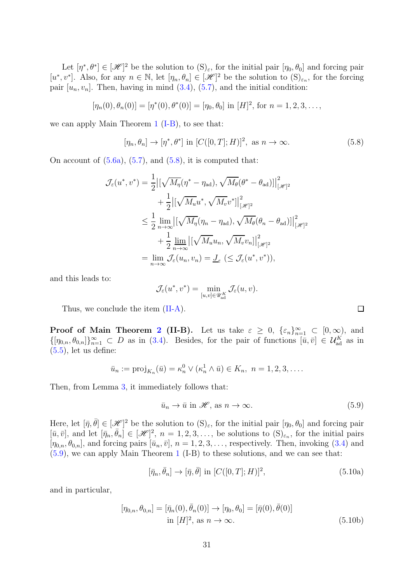Let  $[\eta^*, \theta^*] \in [\mathcal{H}]^2$  be the solution to  $(S)_{\varepsilon}$ , for the initial pair  $[\eta_0, \theta_0]$  and forcing pair  $[u^*, v^*]$ . Also, for any  $n \in \mathbb{N}$ , let  $[\eta_n, \theta_n] \in [\mathcal{H}]^2$  be the solution to  $(S)_{\varepsilon_n}$ , for the forcing pair  $[u_n, v_n]$ . Then, having in mind  $(3.4)$ ,  $(5.7)$ , and the initial condition:

$$
[\eta_n(0), \theta_n(0)] = [\eta^*(0), \theta^*(0)] = [\eta_0, \theta_0] \text{ in } [H]^2 \text{, for } n = 1, 2, 3, \dots,
$$

we can apply Main Theorem [1](#page-17-0) [\(I-B\)](#page-17-2), to see that:

<span id="page-30-0"></span>
$$
[\eta_n, \theta_n] \to [\eta^*, \theta^*] \text{ in } [C([0, T]; H)]^2, \text{ as } n \to \infty.
$$
 (5.8)

On account of  $(5.6a)$ ,  $(5.7)$ , and  $(5.8)$ , it is computed that:

$$
\mathcal{J}_{\varepsilon}(u^*, v^*) = \frac{1}{2} \left| \left[ \sqrt{M_{\eta}} (\eta^* - \eta_{ad}), \sqrt{M_{\theta}} (\theta^* - \theta_{ad}) \right] \right|_{\left[\mathscr{H}\right]^2}^2
$$
  
+ 
$$
\frac{1}{2} \left| \left[ \sqrt{M_{u}} u^*, \sqrt{M_{v}} v^* \right] \right|_{\left[\mathscr{H}\right]^2}^2
$$
  

$$
\leq \frac{1}{2} \lim_{n \to \infty} \left| \left[ \sqrt{M_{\eta}} (\eta_n - \eta_{ad}), \sqrt{M_{\theta}} (\theta_n - \theta_{ad}) \right] \right|_{\left[\mathscr{H}\right]^2}^2
$$
  
+ 
$$
\frac{1}{2} \lim_{n \to \infty} \left| \left[ \sqrt{M_{u}} u_n, \sqrt{M_{v}} v_n \right] \right|_{\left[\mathscr{H}\right]^2}^2
$$
  
= 
$$
\lim_{n \to \infty} \mathcal{J}_{\varepsilon}(u_n, v_n) = \underline{J}_{\varepsilon} \left( \leq \mathcal{J}_{\varepsilon}(u^*, v^*) \right),
$$

and this leads to:

$$
\mathcal{J}_{\varepsilon}(u^*, v^*) = \min_{[u, v] \in \mathscr{U}_{ad}^K} \mathcal{J}_{\varepsilon}(u, v).
$$

Thus, we conclude the item [\(II-A\)](#page-18-1).

**Proof of Main Theorem [2](#page-18-0) (II-B).** Let us take  $\varepsilon \geq 0$ ,  $\{\varepsilon_n\}_{n=1}^{\infty} \subset [0,\infty)$ , and  $\{[\eta_{0,n},\theta_{0,n}]\}_{n=1}^{\infty} \subset D$  as in [\(3.4\)](#page-17-5). Besides, for the pair of functions  $[\bar{u},\bar{v}] \in \mathcal{U}_{ad}^K$  as in  $(5.5)$ , let us define:

$$
\bar{u}_n := \text{proj}_{K_n}(\bar{u}) = \kappa_n^0 \vee (\kappa_n^1 \wedge \bar{u}) \in K_n, \ n = 1, 2, 3, \dots
$$

Then, from Lemma [3,](#page-28-6) it immediately follows that:

<span id="page-30-1"></span>
$$
\bar{u}_n \to \bar{u} \text{ in } \mathcal{H}, \text{ as } n \to \infty. \tag{5.9}
$$

Here, let  $[\bar{\eta}, \bar{\theta}] \in [\mathcal{H}]^2$  be the solution to  $(S)_{\varepsilon}$ , for the initial pair  $[\eta_0, \theta_0]$  and forcing pair  $[\bar{u}, \bar{v}],$  and let  $[\bar{\eta}_n, \bar{\theta}_n] \in [\mathcal{H}]^2$ ,  $n = 1, 2, 3, \ldots$ , be solutions to  $(S)_{\varepsilon_n}$ , for the initial pairs  $[\eta_{0,n}, \theta_{0,n}]$ , and forcing pairs  $[\bar{u}_n, \bar{v}], n = 1, 2, 3, \ldots$ , respectively. Then, invoking [\(3.4\)](#page-17-5) and [\(5.9\)](#page-30-1), we can apply Main Theorem [1](#page-17-0) (I-B) to these solutions, and we can see that:

$$
[\bar{\eta}_n, \bar{\theta}_n] \to [\bar{\eta}, \bar{\theta}] \text{ in } [C([0, T]; H)]^2,
$$
\n(5.10a)

and in particular,

$$
[\eta_{0,n}, \theta_{0,n}] = [\bar{\eta}_n(0), \bar{\theta}_n(0)] \to [\eta_0, \theta_0] = [\bar{\eta}(0), \bar{\theta}(0)]
$$
  
in [H]<sup>2</sup>, as  $n \to \infty$ . (5.10b)

<span id="page-30-2"></span> $\Box$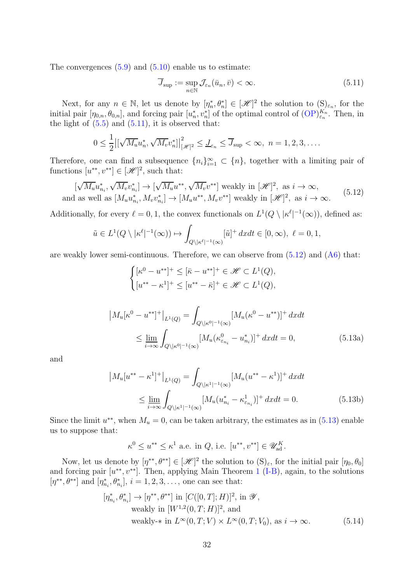The convergences  $(5.9)$  and  $(5.10)$  enable us to estimate:

<span id="page-31-0"></span>
$$
\overline{J}_{\text{sup}} := \sup_{n \in \mathbb{N}} \mathcal{J}_{\varepsilon_n}(\bar{u}_n, \bar{v}) < \infty. \tag{5.11}
$$

Next, for any  $n \in \mathbb{N}$ , let us denote by  $[\eta_n^*, \theta_n^*] \in [\mathcal{H}]^2$  the solution to  $(\mathbf{S})_{\varepsilon_n}$ , for the initial pair  $[\eta_{0,n}, \theta_{0,n}]$ , and forcing pair  $[u_n^*, v_n^*]$  of the optimal control of  $(\text{OP})_{\varepsilon_n}^{K_n}$ . Then, in the light of  $(5.5)$  and  $(5.11)$ , it is observed that:

$$
0 \leq \frac{1}{2} \left| \left[ \sqrt{M_u} u_n^*, \sqrt{M_v} v_n^* \right] \right|_{\left[\mathcal{H}\right]^2}^2 \leq J_{\varepsilon_n} \leq \overline{J}_{\sup} < \infty, \ n = 1, 2, 3, \dots
$$

Therefore, one can find a subsequence  $\{n_i\}_{i=1}^{\infty} \subset \{n\}$ , together with a limiting pair of functions  $[u^{**}, v^{**}] \in [\mathcal{H}]^2$ , such that:

<span id="page-31-1"></span>
$$
[\sqrt{M_u}u_{n_i}^*, \sqrt{M_v}v_{n_i}^*] \to [\sqrt{M_u}u^{**}, \sqrt{M_v}v^{**}] \text{ weakly in } [\mathcal{H}]^2, \text{ as } i \to \infty,
$$
  
and as well as  $[M_u u_{n_i}^*, M_v v_{n_i}^*] \to [M_u u^{**}, M_v v^{**}]$  weakly in  $[\mathcal{H}]^2$ , as  $i \to \infty$ . (5.12)

Additionally, for every  $\ell = 0, 1$ , the convex functionals on  $L^1(Q \setminus |\kappa^{\ell}|^{-1}(\infty))$ , defined as:

$$
\tilde{u} \in L^1(Q \setminus |\kappa^\ell|^{-1}(\infty)) \mapsto \int_{Q \setminus |\kappa^\ell|^{-1}(\infty)} [\tilde{u}]^+ dx dt \in [0, \infty), \ \ell = 0, 1,
$$

are weakly lower semi-continuous. Therefore, we can observe from  $(5.12)$  and  $(46)$  that:

<span id="page-31-2"></span>
$$
\begin{cases} [\kappa^0 - u^{**}]^+ \le [\bar{\kappa} - u^{**}]^+ \in \mathcal{H} \subset L^1(Q), \\ [u^{**} - \kappa^1]^+ \le [u^{**} - \bar{\kappa}]^+ \in \mathcal{H} \subset L^1(Q), \end{cases}
$$

$$
\left| M_u[\kappa^0 - u^{**}]^+ \right|_{L^1(Q)} = \int_{Q \setminus |\kappa^0|^{-1}(\infty)} [M_u(\kappa^0 - u^{**})]^+ dx dt
$$
  
\$\leq \lim\_{i \to \infty} \int\_{Q \setminus |\kappa^0|^{-1}(\infty)} [M\_u(\kappa^0\_{\varepsilon\_{n\_i}} - u^\*\_{n\_i})]^+ dx dt = 0, \qquad (5.13a)\$

and

$$
\left| M_u[u^{**} - \kappa^1]^{+} \right|_{L^1(Q)} = \int_{Q \setminus |\kappa^1|^{-1}(\infty)} [M_u(u^{**} - \kappa^1)]^{+} dx dt
$$
  
\$\leq \lim\_{i \to \infty} \int\_{Q \setminus |\kappa^1|^{-1}(\infty)} [M\_u(u^{\*}\_{n\_i} - \kappa^1\_{\varepsilon\_{n\_i}})]^{+} dx dt = 0. \qquad (5.13b)

Since the limit  $u^{**}$ , when  $M_u = 0$ , can be taken arbitrary, the estimates as in  $(5.13)$  enable us to suppose that:

<span id="page-31-3"></span>
$$
\kappa^0 \le u^{**} \le \kappa^1
$$
 a.e. in Q, i.e.  $[u^{**}, v^{**}] \in \mathcal{U}_{ad}^K$ .

Now, let us denote by  $[\eta^{**}, \theta^{**}] \in [\mathcal{H}]^2$  the solution to  $(S)_{\varepsilon}$ , for the initial pair  $[\eta_0, \theta_0]$ and forcing pair  $[u^{**}, v^{**}]$ . Then, applying Main Theorem [1](#page-17-0) [\(I-B\)](#page-17-2), again, to the solutions  $[\eta^{**}, \theta^{**}]$  and  $[\eta_{n_i}^*, \theta_{n_i}^*]$ ,  $i = 1, 2, 3, \ldots$ , one can see that:

$$
[\eta_{n_i}^*, \theta_{n_i}^*] \to [\eta^{**}, \theta^{**}] \text{ in } [C([0, T]; H)]^2, \text{ in } \mathcal{Y},
$$
  
weakly in  $[W^{1,2}(0, T; H)]^2$ , and  
weakly-\* in  $L^{\infty}(0, T; V) \times L^{\infty}(0, T; V_0)$ , as  $i \to \infty$ . (5.14)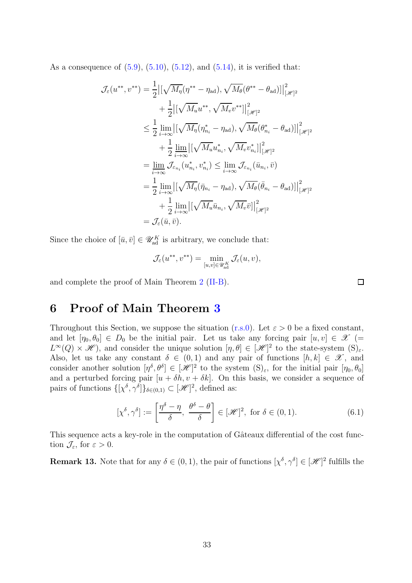As a consequence of  $(5.9)$ ,  $(5.10)$ ,  $(5.12)$ , and  $(5.14)$ , it is verified that:

$$
\mathcal{J}_{\varepsilon}(u^{**}, v^{**}) = \frac{1}{2} \left| \left[ \sqrt{M_{\eta}} (\eta^{**} - \eta_{ad}), \sqrt{M_{\theta}} (\theta^{**} - \theta_{ad}) \right] \right|_{\left[ \mathscr{H} \right]^2}^{2}
$$
  
+ 
$$
\frac{1}{2} \left| \left[ \sqrt{M_{u}} u^{**}, \sqrt{M_{v}} v^{**} \right] \right|_{\left[ \mathscr{H} \right]^2}^{2}
$$
  

$$
\leq \frac{1}{2} \lim_{i \to \infty} \left| \left[ \sqrt{M_{\eta}} (\eta_{n_i}^* - \eta_{ad}), \sqrt{M_{\theta}} (\theta_{n_i}^* - \theta_{ad}) \right] \right|_{\left[ \mathscr{H} \right]^2}^{2}
$$
  
+ 
$$
\frac{1}{2} \lim_{i \to \infty} \left| \left[ \sqrt{M_{u}} u_{n_i}^*, \sqrt{M_{v}} v_{n_i}^* \right] \right|_{\left[ \mathscr{H} \right]^2}^{2}
$$
  
= 
$$
\lim_{i \to \infty} \mathcal{J}_{\varepsilon_{n_i}}(u_{n_i}^*, v_{n_i}^*) \leq \lim_{i \to \infty} \mathcal{J}_{\varepsilon_{n_i}}(\bar{u}_{n_i}, \bar{v})
$$
  
= 
$$
\frac{1}{2} \lim_{i \to \infty} \left| \left[ \sqrt{M_{\eta}} (\bar{\eta}_{n_i} - \eta_{ad}), \sqrt{M_{\theta}} (\bar{\theta}_{n_i} - \theta_{ad}) \right] \right|_{\left[ \mathscr{H} \right]^2}^{2}
$$
  
+ 
$$
\frac{1}{2} \lim_{i \to \infty} \left| \left[ \sqrt{M_{u}} \bar{u}_{n_i}, \sqrt{M_{v}} \bar{v} \right] \right|_{\left[ \mathscr{H} \right]^2}^{2}
$$
  
= 
$$
\mathcal{J}_{\varepsilon}(\bar{u}, \bar{v}).
$$

Since the choice of  $[\bar{u}, \bar{v}] \in \mathscr{U}_{ad}^K$  is arbitrary, we conclude that:

$$
\mathcal{J}_\varepsilon (u^{**}, v^{**}) = \min_{[u,v]\in \mathscr{U}_{\rm ad}^K} \mathcal{J}_\varepsilon (u,v),
$$

and complete the proof of Main Theorem [2](#page-18-0) [\(II-B\)](#page-18-2).

# 6 Proof of Main Theorem [3](#page-18-3)

Throughout this Section, we suppose the situation [\(r.s.0\)](#page-2-0). Let  $\varepsilon > 0$  be a fixed constant, and let  $[\eta_0, \theta_0] \in D_0$  be the initial pair. Let us take any forcing pair  $[u, v] \in \mathcal{X}$  (=  $L^{\infty}(Q) \times \mathscr{H}$ , and consider the unique solution  $[\eta, \theta] \in [\mathscr{H}]^2$  to the state-system  $(S)_{\varepsilon}$ . Also, let us take any constant  $\delta \in (0,1)$  and any pair of functions  $[h,k] \in \mathscr{X}$ , and consider another solution  $[\eta^{\delta}, \theta^{\delta}] \in [\mathcal{H}]^2$  to the system  $(S)_{\varepsilon}$ , for the initial pair  $[\eta_0, \theta_0]$ and a perturbed forcing pair  $[u + \delta h, v + \delta k]$ . On this basis, we consider a sequence of pairs of functions  $\{[\chi^{\delta}, \gamma^{\delta}]\}_{\delta \in (0,1)} \subset [\mathscr{H}]^2$ , defined as:

<span id="page-32-1"></span>
$$
[\chi^{\delta}, \gamma^{\delta}] := \left[\frac{\eta^{\delta} - \eta}{\delta}, \frac{\theta^{\delta} - \theta}{\delta}\right] \in [\mathcal{H}]^2, \text{ for } \delta \in (0, 1).
$$
 (6.1)

This sequence acts a key-role in the computation of Gâteaux differential of the cost function  $\mathcal{J}_{\varepsilon}$ , for  $\varepsilon > 0$ .

<span id="page-32-0"></span>**Remark 13.** Note that for any  $\delta \in (0,1)$ , the pair of functions  $[\chi^{\delta}, \gamma^{\delta}] \in [\mathcal{H}]^2$  fulfills the

 $\Box$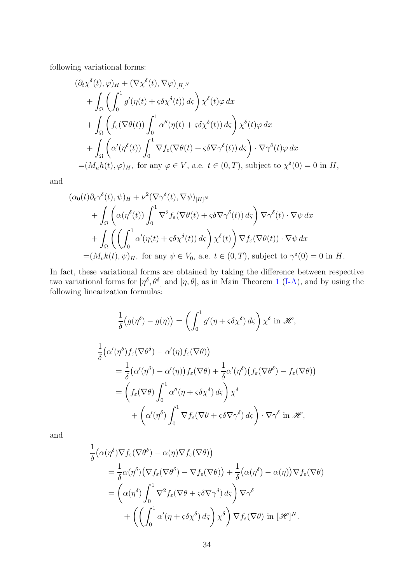following variational forms:

$$
(\partial_t \chi^{\delta}(t), \varphi)_H + (\nabla \chi^{\delta}(t), \nabla \varphi)_{[H]^N}
$$
  
+ 
$$
\int_{\Omega} \left( \int_0^1 g'(\eta(t) + \varsigma \delta \chi^{\delta}(t)) d\varsigma \right) \chi^{\delta}(t) \varphi dx
$$
  
+ 
$$
\int_{\Omega} \left( f_{\varepsilon}(\nabla \theta(t)) \int_0^1 \alpha''(\eta(t) + \varsigma \delta \chi^{\delta}(t)) d\varsigma \right) \chi^{\delta}(t) \varphi dx
$$
  
+ 
$$
\int_{\Omega} \left( \alpha'(\eta^{\delta}(t)) \int_0^1 \nabla f_{\varepsilon}(\nabla \theta(t) + \varsigma \delta \nabla \gamma^{\delta}(t)) d\varsigma \right) \cdot \nabla \gamma^{\delta}(t) \varphi dx
$$
  
= 
$$
(M_u h(t), \varphi)_H
$$
, for any  $\varphi \in V$ , a.e.  $t \in (0, T)$ , subject to  $\chi^{\delta}(0) = 0$  in H,

and

$$
(\alpha_0(t)\partial_t\gamma^{\delta}(t), \psi)_H + \nu^2(\nabla\gamma^{\delta}(t), \nabla\psi)_{[H]^N}
$$
  
+ 
$$
\int_{\Omega} \left( \alpha(\eta^{\delta}(t)) \int_0^1 \nabla^2 f_{\varepsilon}(\nabla\theta(t) + \varsigma \delta \nabla \gamma^{\delta}(t)) d\varsigma \right) \nabla \gamma^{\delta}(t) \cdot \nabla \psi dx
$$
  
+ 
$$
\int_{\Omega} \left( \left( \int_0^1 \alpha'(\eta(t) + \varsigma \delta \chi^{\delta}(t)) d\varsigma \right) \chi^{\delta}(t) \right) \nabla f_{\varepsilon}(\nabla\theta(t)) \cdot \nabla \psi dx
$$
  
= 
$$
(M_v k(t), \psi)_H
$$
, for any  $\psi \in V_0$ , a.e.  $t \in (0, T)$ , subject to  $\gamma^{\delta}(0) = 0$  in H.

In fact, these variational forms are obtained by taking the difference between respective two variational forms for  $[\eta^{\delta}, \theta^{\delta}]$  and  $[\eta, \theta]$ , as in Main Theorem [1](#page-17-0) [\(I-A\)](#page-17-1), and by using the following linearization formulas:

$$
\frac{1}{\delta}(g(\eta^{\delta}) - g(\eta)) = \left(\int_0^1 g'(\eta + \varsigma \delta \chi^{\delta}) d\varsigma\right) \chi^{\delta} \text{ in } \mathscr{H},
$$
  

$$
\frac{1}{\delta}(\alpha'(\eta^{\delta}) f_{\varepsilon}(\nabla \theta^{\delta}) - \alpha'(\eta) f_{\varepsilon}(\nabla \theta))
$$
  

$$
= \frac{1}{\delta}(\alpha'(\eta^{\delta}) - \alpha'(\eta)) f_{\varepsilon}(\nabla \theta) + \frac{1}{\delta} \alpha'(\eta^{\delta}) (f_{\varepsilon}(\nabla \theta^{\delta}) - f_{\varepsilon}(\nabla \theta))
$$
  

$$
= \left(f_{\varepsilon}(\nabla \theta) \int_0^1 \alpha''(\eta + \varsigma \delta \chi^{\delta}) d\varsigma\right) \chi^{\delta}
$$
  

$$
+ \left(\alpha'(\eta^{\delta}) \int_0^1 \nabla f_{\varepsilon}(\nabla \theta + \varsigma \delta \nabla \gamma^{\delta}) d\varsigma\right) \cdot \nabla \gamma^{\delta} \text{ in } \mathscr{H},
$$

and

$$
\frac{1}{\delta} \big( \alpha(\eta^{\delta}) \nabla f_{\varepsilon} (\nabla \theta^{\delta}) - \alpha(\eta) \nabla f_{\varepsilon} (\nabla \theta) \big) \n= \frac{1}{\delta} \alpha(\eta^{\delta}) \big( \nabla f_{\varepsilon} (\nabla \theta^{\delta}) - \nabla f_{\varepsilon} (\nabla \theta) \big) + \frac{1}{\delta} \big( \alpha(\eta^{\delta}) - \alpha(\eta) \big) \nabla f_{\varepsilon} (\nabla \theta) \n= \big( \alpha(\eta^{\delta}) \int_0^1 \nabla^2 f_{\varepsilon} (\nabla \theta + \varsigma \delta \nabla \gamma^{\delta}) d\varsigma \big) \nabla \gamma^{\delta} \n+ \big( \big( \int_0^1 \alpha' (\eta + \varsigma \delta \chi^{\delta}) d\varsigma \big) \chi^{\delta} \big) \nabla f_{\varepsilon} (\nabla \theta) \text{ in } [\mathscr{H}]^N.
$$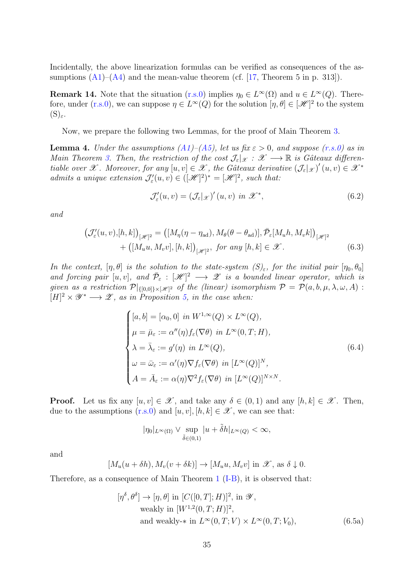Incidentally, the above linearization formulas can be verified as consequences of the assumptions  $(A1)$ – $(A4)$  and the mean-value theorem (cf. [\[17,](#page-47-14) Theorem 5 in p. 313]).

**Remark 14.** Note that the situation  $(r.s.0)$  implies  $\eta_0 \in L^{\infty}(\Omega)$  and  $u \in L^{\infty}(Q)$ . There-fore, under [\(r.s.0\)](#page-2-0), we can suppose  $\eta \in L^{\infty}(Q)$  for the solution  $[\eta, \theta] \in [\mathcal{H}]^2$  to the system  $(S)_{\varepsilon}$ .

Now, we prepare the following two Lemmas, for the proof of Main Theorem [3.](#page-18-3)

<span id="page-34-4"></span>**Lemma 4.** Under the assumptions  $(A1)$ – $(A5)$ , let us fix  $\varepsilon > 0$ , and suppose  $(r.s.0)$  as in Main Theorem [3.](#page-18-3) Then, the restriction of the cost  $\mathcal{J}_{\varepsilon}|_{\mathcal{X}} : \mathcal{X} \longrightarrow \mathbb{R}$  is Gâteaux differentiable over X. Moreover, for any  $[u, v] \in \mathcal{X}$ , the Gâteaux derivative  $(\mathcal{J}_{\varepsilon}|_{\mathcal{X}})'(u, v) \in \mathcal{X}^*$ admits a unique extension  $\mathcal{J}'_{\varepsilon}(u, v) \in ([\mathcal{H}]^2)^* = [\mathcal{H}]^2$ , such that:

<span id="page-34-3"></span><span id="page-34-2"></span>
$$
\mathcal{J}'_{\varepsilon}(u,v) = (\mathcal{J}_{\varepsilon}|_{\mathcal{X}})'(u,v) \text{ in } \mathcal{X}^*,
$$
\n(6.2)

and

$$
\left(\mathcal{J}_{\varepsilon}'(u,v),[h,k]\right)_{[\mathscr{H}]^2} = \left([M_{\eta}(\eta - \eta_{ad}), M_{\theta}(\theta - \theta_{ad})], \bar{\mathcal{P}}_{\varepsilon}[M_{u}h, M_{v}k]\right)_{[\mathscr{H}]^2} + \left([M_{u}u, M_{v}v], [h,k]\right)_{[\mathscr{H}]^2}, \text{ for any } [h,k] \in \mathscr{X}.
$$
 (6.3)

In the context,  $[\eta, \theta]$  is the solution to the state-system  $(S)_{\varepsilon}$ , for the initial pair  $[\eta_0, \theta_0]$ and forcing pair  $[u, v]$ , and  $\overline{\mathcal{P}}_{\varepsilon} : [\mathcal{H}]^2 \longrightarrow \mathcal{Z}$  is a bounded linear operator, which is given as a restriction  $\mathcal{P}|_{\{[0,0]\}\times[\mathscr{H}]^2}$  of the (linear) isomorphism  $\mathcal{P} = \mathcal{P}(a,b,\mu,\lambda,\omega,A)$ :  $[H]^2 \times \mathscr{Y}^* \longrightarrow \mathscr{Z}$ , as in Proposition [5,](#page-13-1) in the case when:

<span id="page-34-1"></span>
$$
\begin{cases}\n[a, b] = [\alpha_0, 0] \text{ in } W^{1, \infty}(Q) \times L^{\infty}(Q), \\
\mu = \bar{\mu}_{\varepsilon} := \alpha''(\eta) f_{\varepsilon}(\nabla \theta) \text{ in } L^{\infty}(0, T; H), \\
\lambda = \bar{\lambda}_{\varepsilon} := g'(\eta) \text{ in } L^{\infty}(Q), \\
\omega = \bar{\omega}_{\varepsilon} := \alpha'(\eta) \nabla f_{\varepsilon}(\nabla \theta) \text{ in } [L^{\infty}(Q)]^N, \\
A = \bar{A}_{\varepsilon} := \alpha(\eta) \nabla^2 f_{\varepsilon}(\nabla \theta) \text{ in } [L^{\infty}(Q)]^{N \times N}.\n\end{cases}
$$
\n(6.4)

**Proof.** Let us fix any  $[u, v] \in \mathcal{X}$ , and take any  $\delta \in (0, 1)$  and any  $[h, k] \in \mathcal{X}$ . Then, due to the assumptions  $(r.s.0)$  and  $[u, v], [h, k] \in \mathcal{X}$ , we can see that:

<span id="page-34-0"></span>
$$
|\eta_0|_{L^{\infty}(\Omega)} \vee \sup_{\tilde{\delta} \in (0,1)} |u + \tilde{\delta}h|_{L^{\infty}(Q)} < \infty,
$$

and

$$
[M_u(u+\delta h),M_v(v+\delta k)]\to [M_u u,M_v v] \text{ in } \mathscr{X}, \text{ as } \delta\downarrow 0.
$$

Therefore, as a consequence of Main Theorem [1](#page-17-0) [\(I-B\)](#page-17-2), it is observed that:

$$
[\eta^{\delta}, \theta^{\delta}] \to [\eta, \theta] \text{ in } [C([0, T]; H)]^2, \text{ in } \mathcal{Y},
$$
  
weakly in  $[W^{1,2}(0, T; H)]^2$ ,  
and weakly-\* in  $L^{\infty}(0, T; V) \times L^{\infty}(0, T; V_0)$ , (6.5a)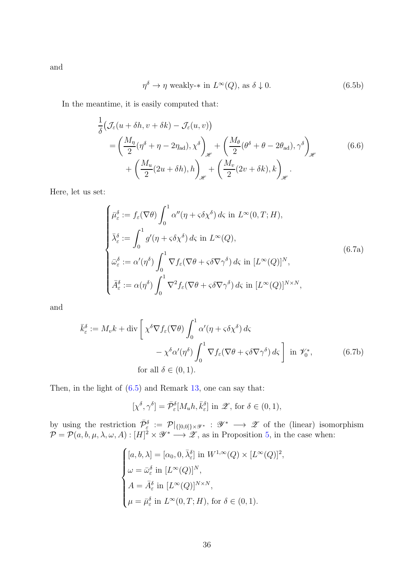and

<span id="page-35-1"></span>
$$
\eta^{\delta} \to \eta \text{ weakly-* in } L^{\infty}(Q), \text{ as } \delta \downarrow 0.
$$
 (6.5b)

In the meantime, it is easily computed that:

$$
\frac{1}{\delta} \left( \mathcal{J}_{\varepsilon} (u + \delta h, v + \delta k) - \mathcal{J}_{\varepsilon} (u, v) \right)
$$
\n
$$
= \left( \frac{M_{\eta}}{2} (\eta^{\delta} + \eta - 2\eta_{ad}), \chi^{\delta} \right)_{\mathscr{H}} + \left( \frac{M_{\theta}}{2} (\theta^{\delta} + \theta - 2\theta_{ad}), \gamma^{\delta} \right)_{\mathscr{H}} \tag{6.6}
$$
\n
$$
+ \left( \frac{M_{u}}{2} (2u + \delta h), h \right)_{\mathscr{H}} + \left( \frac{M_{v}}{2} (2v + \delta k), k \right)_{\mathscr{H}}.
$$

Here, let us set:

<span id="page-35-0"></span>
$$
\begin{cases}\n\bar{\mu}_{\varepsilon}^{\delta} := f_{\varepsilon}(\nabla \theta) \int_{0}^{1} \alpha''(\eta + \varsigma \delta \chi^{\delta}) d\varsigma \text{ in } L^{\infty}(0, T; H), \\
\bar{\lambda}_{\varepsilon}^{\delta} := \int_{0}^{1} g'(\eta + \varsigma \delta \chi^{\delta}) d\varsigma \text{ in } L^{\infty}(Q), \\
\bar{\omega}_{\varepsilon}^{\delta} := \alpha'(\eta^{\delta}) \int_{0}^{1} \nabla f_{\varepsilon}(\nabla \theta + \varsigma \delta \nabla \gamma^{\delta}) d\varsigma \text{ in } [L^{\infty}(Q)]^{N}, \\
\bar{A}_{\varepsilon}^{\delta} := \alpha(\eta^{\delta}) \int_{0}^{1} \nabla^{2} f_{\varepsilon}(\nabla \theta + \varsigma \delta \nabla \gamma^{\delta}) d\varsigma \text{ in } [L^{\infty}(Q)]^{N \times N},\n\end{cases}
$$
\n(6.7a)

and

$$
\bar{k}_{\varepsilon}^{\delta} := M_{v}k + \text{div}\left[\chi^{\delta}\nabla f_{\varepsilon}(\nabla\theta)\int_{0}^{1} \alpha'(\eta + \varsigma\delta\chi^{\delta}) d\varsigma \n- \chi^{\delta}\alpha'(\eta^{\delta})\int_{0}^{1} \nabla f_{\varepsilon}(\nabla\theta + \varsigma\delta\nabla\gamma^{\delta}) d\varsigma \right] \text{ in } \mathscr{V}_{0}^{*},
$$
\n(6.7b)\n
$$
\text{for all } \delta \in (0, 1).
$$

Then, in the light of [\(6.5\)](#page-34-0) and Remark [13,](#page-32-0) one can say that:

$$
[\chi^{\delta}, \gamma^{\delta}] = \bar{\mathcal{P}}_{\varepsilon}^{\delta}[M_u h, \bar{k}_{\varepsilon}^{\delta}] \text{ in } \mathscr{Z}, \text{ for } \delta \in (0, 1),
$$

by using the restriction  $\bar{\mathcal{P}}_{\epsilon}^{\delta} := \mathcal{P}|_{\{[0,0]\}\times\mathscr{Y}^*}: \mathscr{Y}^* \longrightarrow \mathscr{Z}$  of the (linear) isomorphism  $\mathcal{P} = \mathcal{P}(a, b, \mu, \lambda, \omega, A) : [H]^2 \times \mathscr{Y}^* \longrightarrow \mathscr{Z}$ , as in Proposition [5,](#page-13-1) in the case when:

$$
\begin{cases} [a, b, \lambda] = [\alpha_0, 0, \bar{\lambda}_{\varepsilon}^{\delta}] \text{ in } W^{1, \infty}(Q) \times [L^{\infty}(Q)]^2, \\ \omega = \bar{\omega}_{\varepsilon}^{\delta} \text{ in } [L^{\infty}(Q)]^N, \\ A = \bar{A}_{\varepsilon}^{\delta} \text{ in } [L^{\infty}(Q)]^{N \times N}, \\ \mu = \bar{\mu}_{\varepsilon}^{\delta} \text{ in } L^{\infty}(0, T; H), \text{ for } \delta \in (0, 1). \end{cases}
$$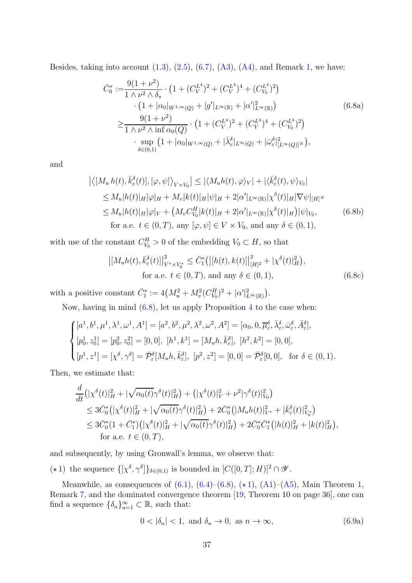Besides, taking into account  $(1.3)$ ,  $(2.5)$ ,  $(6.7)$ ,  $(A3)$ ,  $(A4)$ , and Remark [1,](#page-5-0) we have:

<span id="page-36-3"></span><span id="page-36-0"></span>
$$
\bar{C}_{0}^{*} := \frac{9(1+\nu^{2})}{1 \wedge \nu^{2} \wedge \delta_{*}} \cdot (1 + (C_{V}^{L^{4}})^{2} + (C_{V}^{L^{4}})^{4} + (C_{V_{0}}^{L^{4}})^{2}) \n\cdot (1 + |\alpha_{0}|_{W^{1,\infty}(Q)} + |g'|_{L^{\infty}(\mathbb{R})} + |\alpha'|_{L^{\infty}(\mathbb{R})}^{2}) \n\geq \frac{9(1+\nu^{2})}{1 \wedge \nu^{2} \wedge \inf \alpha_{0}(Q)} \cdot (1 + (C_{V}^{L^{4}})^{2} + (C_{V}^{L^{4}})^{4} + (C_{V_{0}}^{L^{4}})^{2}) \n\cdot \sup_{\delta \in (0,1)} (1 + |\alpha_{0}|_{W^{1,\infty}(Q)} + |\bar{\lambda}_{\varepsilon}^{\delta}|_{L^{\infty}(Q)} + |\bar{\omega}_{\varepsilon}^{\delta}|_{L^{\infty}(Q)|^{N}}^{2}),
$$
\n(6.8a)

and

$$
\left| \langle [M_u h(t), \bar{k}_{\varepsilon}^{\delta}(t)], [\varphi, \psi] \rangle_{V \times V_0} \right| \leq \left| \langle M_u h(t), \varphi \rangle_V \right| + \left| \langle \bar{k}_{\varepsilon}^{\delta}(t), \psi \rangle_{V_0} \right|
$$
  
\n
$$
\leq M_u |h(t)|_H |\varphi|_H + M_v |k(t)|_H |\psi|_H + 2|\alpha'|_{L^{\infty}(\mathbb{R})} |\chi^{\delta}(t)|_H |\nabla \psi|_{[H]^N}
$$
  
\n
$$
\leq M_u |h(t)|_H |\varphi|_V + \left( M_v C_{V_0}^H |k(t)|_H + 2|\alpha'|_{L^{\infty}(\mathbb{R})} |\chi^{\delta}(t)|_H \right) |\psi|_{V_0}, \qquad (6.8b)
$$
  
\nfor a.e.  $t \in (0, T)$ , any  $[\varphi, \psi] \in V \times V_0$ , and any  $\delta \in (0, 1)$ ,

with use of the constant  $C_{V_0}^H > 0$  of the embedding  $V_0 \subset H$ , so that

$$
\left| [M_{u}h(t), \bar{k}_{\varepsilon}^{\delta}(t)] \right|_{V^{*} \times V_{0}^{*}}^{2} \leq \bar{C}_{1}^{*} \left( \left| [h(t), k(t)] \right|_{[H]^{2}}^{2} + |\chi^{\delta}(t)|_{H}^{2} \right),
$$
  
for a.e.  $t \in (0, T)$ , and any  $\delta \in (0, 1)$ ,  $(6.8c)$ 

with a positive constant  $\bar{C}_1^* := 4\left(M_u^2 + M_v^2 (C_{V_0}^H)^2 + |\alpha'|_{L^{\infty}(\mathbb{R})}^2\right).$ 

Now, having in mind [\(6.8\)](#page-36-0), let us apply Proposition [4](#page-12-2) to the case when:

$$
\begin{cases}\n[a^1, b^1, \mu^1, \lambda^1, \omega^1, A^1] = [a^2, b^2, \mu^2, \lambda^2, \omega^2, A^2] = [\alpha_0, 0, \overline{\mu}_{\varepsilon}^{\delta}, \overline{\lambda}_{\varepsilon}^{\delta}, \overline{\omega}_{\varepsilon}^{\delta}, \overline{A}_{\varepsilon}^{\delta}], \\
[p_0^1, z_0^1] = [p_0^2, z_0^2] = [0, 0], \quad [h^1, k^1] = [M_u h, \overline{k}_{\varepsilon}^{\delta}], \quad [h^2, k^2] = [0, 0], \\
[p^1, z^1] = [\chi^{\delta}, \gamma^{\delta}] = \overline{\mathcal{P}}_{\varepsilon}^{\delta}[M_u h, \overline{k}_{\varepsilon}^{\delta}], \quad [p^2, z^2] = [0, 0] = \overline{\mathcal{P}}_{\varepsilon}^{\delta}[0, 0], \quad \text{for } \delta \in (0, 1).\n\end{cases}
$$

Then, we estimate that:

$$
\frac{d}{dt} \left( |\chi^{\delta}(t)|_{H}^{2} + |\sqrt{\alpha_{0}(t)}\gamma^{\delta}(t)|_{H}^{2} \right) + \left( |\chi^{\delta}(t)|_{V}^{2} + \nu^{2} |\gamma^{\delta}(t)|_{V_{0}}^{2} \right) \n\leq 3\bar{C}_{0}^{*} \left( |\chi^{\delta}(t)|_{H}^{2} + |\sqrt{\alpha_{0}(t)}\gamma^{\delta}(t)|_{H}^{2} \right) + 2\bar{C}_{0}^{*} \left( |M_{u}h(t)|_{V^{*}}^{2} + |\bar{k}_{\varepsilon}^{\delta}(t)|_{V_{0}^{*}}^{2} \right) \n\leq 3\bar{C}_{0}^{*} \left( 1 + \bar{C}_{1}^{*} \right) \left( |\chi^{\delta}(t)|_{H}^{2} + |\sqrt{\alpha_{0}(t)}\gamma^{\delta}(t)|_{H}^{2} \right) + 2\bar{C}_{0}^{*} \bar{C}_{1}^{*} \left( |h(t)|_{H}^{2} + |k(t)|_{H}^{2} \right), \n\text{for a.e. } t \in (0, T),
$$

and subsequently, by using Gronwall's lemma, we observe that:

( $\star$ 1) the sequence  $\{[\chi^{\delta}, \gamma^{\delta}]\}_{\delta \in (0,1)}$  is bounded in  $[C([0, T]; H)]^2 \cap \mathscr{Y}$ .

<span id="page-36-1"></span>Meanwhile, as consequences of  $(6.1)$  $(6.1)$ ,  $(6.4)$ – $(6.8)$ ,  $(*1)$ ,  $(A1)$ – $(A5)$ , Main Theorem [1,](#page-17-0) Remark [7,](#page-18-6) and the dominated convergence theorem [\[19,](#page-47-12) Theorem 10 on page 36], one can find a sequence  $\{\delta_n\}_{n=1}^{\infty} \subset \mathbb{R}$ , such that:

<span id="page-36-2"></span>
$$
0 < |\delta_n| < 1, \text{ and } \delta_n \to 0, \text{ as } n \to \infty,\tag{6.9a}
$$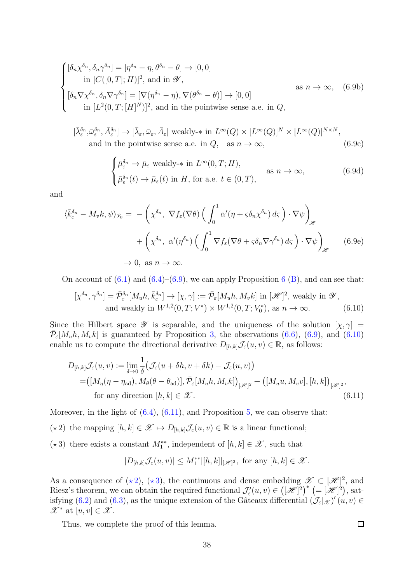$$
\begin{cases}\n[\delta_n \chi^{\delta_n}, \delta_n \gamma^{\delta_n}] = [\eta^{\delta_n} - \eta, \theta^{\delta_n} - \theta] \to [0, 0] \\
\text{in } [C([0, T]; H)]^2, \text{ and in } \mathcal{Y}, \\
[\delta_n \nabla \chi^{\delta_n}, \delta_n \nabla \gamma^{\delta_n}] = [\nabla (\eta^{\delta_n} - \eta), \nabla (\theta^{\delta_n} - \theta)] \to [0, 0] \\
\text{in } [L^2(0, T; [H]^N)]^2, \text{ and in the pointwise sense a.e. in } Q,\n\end{cases}
$$
\n(6.9b)

$$
[\bar{\lambda}_{\varepsilon}^{\delta_n}, \bar{\omega}_{\varepsilon}^{\delta_n}, \bar{A}_{\varepsilon}^{\delta_n}] \to [\bar{\lambda}_{\varepsilon}, \bar{\omega}_{\varepsilon}, \bar{A}_{\varepsilon}] \text{ weakly-* in } L^{\infty}(Q) \times [L^{\infty}(Q)]^N \times [L^{\infty}(Q)]^{N \times N},
$$
  
and in the pointwise sense a.e. in  $Q$ , as  $n \to \infty$ , (6.9c)

$$
\begin{cases} \bar{\mu}_{\varepsilon}^{\delta_n} \to \bar{\mu}_{\varepsilon} \text{ weakly-$\ast$ in } L^{\infty}(0,T;H), \\ \bar{\mu}_{\varepsilon}^{\delta_n}(t) \to \bar{\mu}_{\varepsilon}(t) \text{ in } H, \text{ for a.e. } t \in (0,T), \end{cases} \text{ as } n \to \infty,
$$
 (6.9d)

and

$$
\langle \bar{k}_{\varepsilon}^{\delta_n} - M_v k, \psi \rangle_{\mathscr{V}_0} = -\left( \chi^{\delta_n}, \nabla f_{\varepsilon}(\nabla \theta) \left( \int_0^1 \alpha' (\eta + \varsigma \delta_n \chi^{\delta_n}) d\varsigma \right) \cdot \nabla \psi \right)_{\mathscr{H}} + \left( \chi^{\delta_n}, \alpha'(\eta^{\delta_n}) \left( \int_0^1 \nabla f_{\varepsilon}(\nabla \theta + \varsigma \delta_n \nabla \gamma^{\delta_n}) d\varsigma \right) \cdot \nabla \psi \right)_{\mathscr{H}} \qquad (6.9e) \to 0, \text{ as } n \to \infty.
$$

On account of  $(6.1)$  $(6.1)$  $(6.1)$  and  $(6.4)$ – $(6.9)$ , we can apply Proposition 6  $(B)$ , and can see that:

$$
[\chi^{\delta_n}, \gamma^{\delta_n}] = \bar{\mathcal{P}}_{\varepsilon}^{\delta_n}[M_u h, \bar{k}_{\varepsilon}^{\delta_n}] \to [\chi, \gamma] := \bar{\mathcal{P}}_{\varepsilon}[M_u h, M_v k] \text{ in } [\mathcal{H}]^2 \text{, weakly in } \mathcal{Y},
$$
  
and weakly in  $W^{1,2}(0, T; V^*) \times W^{1,2}(0, T; V_0^*)$ , as  $n \to \infty$ . (6.10)

Since the Hilbert space  $\mathscr Y$  is separable, and the uniqueness of the solution  $[\chi, \gamma] =$  $\bar{\mathcal{P}}_{\varepsilon}[M_u h, M_v k]$  is guaranteed by Proposition [3,](#page-12-0) the observations [\(6.6\)](#page-35-1), [\(6.9\)](#page-36-2), and [\(6.10\)](#page-37-0) enable us to compute the directional derivative  $D_{[h,k]}\mathcal{J}_{\varepsilon}(u,v) \in \mathbb{R}$ , as follows:

$$
D_{[h,k]} \mathcal{J}_{\varepsilon}(u,v) := \lim_{\delta \to 0} \frac{1}{\delta} \big( \mathcal{J}_{\varepsilon}(u + \delta h, v + \delta k) - \mathcal{J}_{\varepsilon}(u,v) \big) = ([M_{\eta}(\eta - \eta_{ad}), M_{\theta}(\theta - \theta_{ad})], \bar{\mathcal{P}}_{\varepsilon}[M_{u}h, M_{v}k] \big)_{[\mathscr{H}]^{2}} + ([M_{u}u, M_{v}v], [h, k])_{[\mathscr{H}]^{2}},
$$
  
for any direction  $[h, k] \in \mathscr{X}$ . (6.11)

Moreover, in the light of  $(6.4)$ ,  $(6.11)$ , and Proposition [5,](#page-13-1) we can observe that:

( $\star$ 2) the mapping  $[h, k] \in \mathscr{X} \mapsto D_{[h, k]} \mathcal{J}_{\varepsilon}(u, v) \in \mathbb{R}$  is a linear functional;

<span id="page-37-3"></span><span id="page-37-2"></span>(★3) there exists a constant  $M_1^{**}$ , independent of  $[h, k] \in \mathscr{X}$ , such that

$$
|D_{[h,k]} \mathcal{J}_{\varepsilon}(u,v)| \leq M_1^{**} |[h,k]|_{[\mathscr{H}]^2}, \text{ for any } [h,k] \in \mathscr{X}.
$$

As a consequence of  $(\star 2)$  $(\star 2)$ ,  $(\star 3)$  $(\star 3)$ , the continuous and dense embedding  $\mathscr{X} \subset [\mathscr{H}]^2$ , and Riesz's theorem, we can obtain the required functional  $\mathcal{J}'_{\varepsilon}(u, v) \in ( [\mathscr{H}]^2 )^*$   $(=[\mathscr{H}]^2 )$ , sat-isfying [\(6.2\)](#page-34-2) and [\(6.3\)](#page-34-3), as the unique extension of the Gâteaux differential  $(\mathcal{J}_{\varepsilon}|_{\mathcal{X}})'(u,v) \in$  $\mathscr{X}^*$  at  $[u, v] \in \mathscr{X}$ .

Thus, we complete the proof of this lemma.

<span id="page-37-1"></span><span id="page-37-0"></span> $\Box$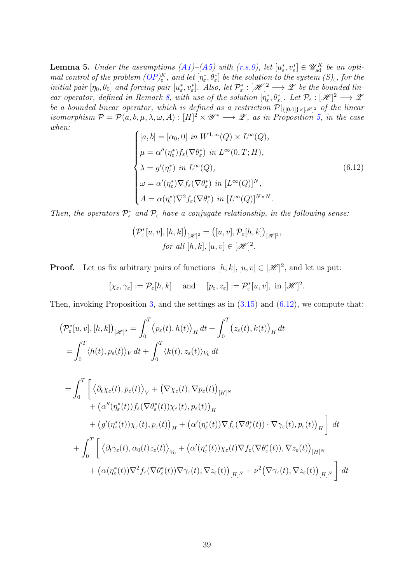<span id="page-38-1"></span>**Lemma 5.** Under the assumptions  $(A1)$ – $(A5)$  with  $(r.s.0)$ , let  $[u_{\varepsilon}^*, v_{\varepsilon}^*] \in \mathscr{U}_{ad}^K$  be an optimal control of the problem  $OP_{\varepsilon}^K$ , and let  $[\eta_{\varepsilon}^*, \theta_{\varepsilon}^*]$  be the solution to the system  $(S)_{\varepsilon}$ , for the initial pair  $[\eta_0, \theta_0]$  and forcing pair  $[u^*_\varepsilon, v^*_\varepsilon]$ . Also, let  $\mathcal{P}^*_\varepsilon : [\mathscr{H}]^2 \longrightarrow \mathscr{Z}$  be the bounded lin-ear operator, defined in Remark [8,](#page-19-3) with use of the solution  $[\eta_{\varepsilon}^*, \theta_{\varepsilon}^*]$ . Let  $\mathcal{P}_{\varepsilon} : [\mathscr{H}]^2 \longrightarrow \mathscr{Z}$ be a bounded linear operator, which is defined as a restriction  $P|_{\{[0,0]\}\times[\mathscr{H}]^2}$  of the linear isomorphism  $P = P(a, b, \mu, \lambda, \omega, A) : [H]^2 \times \mathscr{Y}^* \longrightarrow \mathscr{Z}$ , as in Proposition [5,](#page-13-1) in the case when:

<span id="page-38-0"></span>
$$
\begin{cases}\n[a, b] = [\alpha_0, 0] \text{ in } W^{1, \infty}(Q) \times L^{\infty}(Q), \\
\mu = \alpha''(\eta_{\varepsilon}^*) f_{\varepsilon}(\nabla \theta_{\varepsilon}^*) \text{ in } L^{\infty}(0, T; H), \\
\lambda = g'(\eta_{\varepsilon}^*) \text{ in } L^{\infty}(Q), \\
\omega = \alpha'(\eta_{\varepsilon}^*) \nabla f_{\varepsilon}(\nabla \theta_{\varepsilon}^*) \text{ in } [L^{\infty}(Q)]^N, \\
A = \alpha(\eta_{\varepsilon}^*) \nabla^2 f_{\varepsilon}(\nabla \theta_{\varepsilon}^*) \text{ in } [L^{\infty}(Q)]^{N \times N}.\n\end{cases}
$$
\n(6.12)

Then, the operators  $\mathcal{P}^*_{\varepsilon}$  and  $\mathcal{P}_{\varepsilon}$  have a conjugate relationship, in the following sense:

$$
\left(\mathcal{P}_{\varepsilon}^{*}[u,v],[h,k]\right)_{\lbrack\mathscr{H}]^{2}}=\left([u,v],\mathcal{P}_{\varepsilon}[h,k]\right)_{\lbrack\mathscr{H}]^{2}},
$$
  
for all  $[h,k],[u,v]\in[\mathscr{H}]^{2}$ .

**Proof.** Let us fix arbitrary pairs of functions  $[h, k], [u, v] \in [\mathcal{H}]^2$ , and let us put:

$$
[\chi_{\varepsilon}, \gamma_{\varepsilon}] := \mathcal{P}_{\varepsilon}[h, k] \quad \text{ and } \quad [p_{\varepsilon}, z_{\varepsilon}] := \mathcal{P}_{\varepsilon}^*[u, v], \text{ in } [\mathscr{H}]^2.
$$

Then, invoking Proposition [3,](#page-12-0) and the settings as in  $(3.15)$  and  $(6.12)$ , we compute that:

$$
\begin{split}\n&\left(\mathcal{P}_{\varepsilon}^{*}[u,v],[h,k]\right)_{\left[\mathscr{H}\right]^{2}} = \int_{0}^{T}\left(p_{\varepsilon}(t),h(t)\right)_{H}dt + \int_{0}^{T}\left(z_{\varepsilon}(t),k(t)\right)_{H}dt \\
&= \int_{0}^{T}\left\langle h(t),p_{\varepsilon}(t)\right\rangle_{V}dt + \int_{0}^{T}\left\langle k(t),z_{\varepsilon}(t)\right\rangle_{V_{0}}dt \\
&= \int_{0}^{T}\left[\left\langle \partial_{t}\chi_{\varepsilon}(t),p_{\varepsilon}(t)\right\rangle_{V} + \left(\nabla\chi_{\varepsilon}(t),\nabla p_{\varepsilon}(t)\right)_{\left[H\right]^{N}}\right. \\
&\left. + \left(\alpha''(\eta_{\varepsilon}^{*}(t))f_{\varepsilon}(\nabla\theta_{\varepsilon}^{*}(t))\chi_{\varepsilon}(t),p_{\varepsilon}(t)\right)_{H}\right. \\
&\left. + \left(g'(\eta_{\varepsilon}^{*}(t))\chi_{\varepsilon}(t),p_{\varepsilon}(t)\right)_{H} + \left(\alpha'(\eta_{\varepsilon}^{*}(t))\nabla f_{\varepsilon}(\nabla\theta_{\varepsilon}^{*}(t)) \cdot \nabla \gamma_{\varepsilon}(t),p_{\varepsilon}(t)\right)_{H}\right]dt \\
&+ \int_{0}^{T}\left[\left\langle \partial_{t}\gamma_{\varepsilon}(t),\alpha_{0}(t)z_{\varepsilon}(t)\right\rangle_{V_{0}} + \left(\alpha'(\eta_{\varepsilon}^{*}(t))\chi_{\varepsilon}(t)\nabla f_{\varepsilon}(\nabla\theta_{\varepsilon}^{*}(t)),\nabla z_{\varepsilon}(t)\right)_{\left[H\right]^{N}}\right. \\
&\left. + \left(\alpha(\eta_{\varepsilon}^{*}(t))\nabla^{2}f_{\varepsilon}(\nabla\theta_{\varepsilon}^{*}(t))\nabla\gamma_{\varepsilon}(t),\nabla z_{\varepsilon}(t)\right)_{\left[H\right]^{N}} + \left(\alpha(\eta_{\varepsilon}^{*}(t))\nabla^{2}f_{\varepsilon}(\nabla\theta_{\varepsilon}^{*}(t))\nabla\gamma_{\varepsilon}(t),\nabla z
$$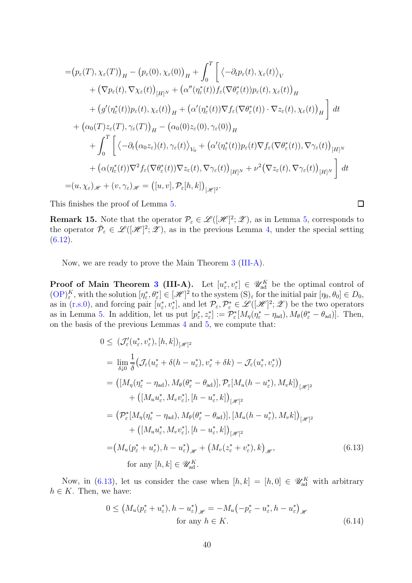$$
= (p_{\varepsilon}(T), \chi_{\varepsilon}(T))_{H} - (p_{\varepsilon}(0), \chi_{\varepsilon}(0))_{H} + \int_{0}^{T} \left[ \left\langle -\partial_{t} p_{\varepsilon}(t), \chi_{\varepsilon}(t) \right\rangle_{V} + (\nabla p_{\varepsilon}(t), \nabla \chi_{\varepsilon}(t))_{[H]^{N}} + (\alpha''(\eta_{\varepsilon}^{*}(t)) f_{\varepsilon}(\nabla \theta_{\varepsilon}^{*}(t)) p_{\varepsilon}(t), \chi_{\varepsilon}(t))_{H} + (g'(\eta_{\varepsilon}^{*}(t)) p_{\varepsilon}(t), \chi_{\varepsilon}(t))_{H} + (\alpha'(\eta_{\varepsilon}^{*}(t)) \nabla f_{\varepsilon}(\nabla \theta_{\varepsilon}^{*}(t)) \cdot \nabla z_{\varepsilon}(t), \chi_{\varepsilon}(t))_{H} \right] dt + (\alpha_{0}(T) z_{\varepsilon}(T), \gamma_{\varepsilon}(T))_{H} - (\alpha_{0}(0) z_{\varepsilon}(0), \gamma_{\varepsilon}(0))_{H} + \int_{0}^{T} \left[ \left\langle -\partial_{t} (\alpha_{0} z_{\varepsilon})(t), \gamma_{\varepsilon}(t) \right\rangle_{V_{0}} + (\alpha'(\eta_{\varepsilon}^{*}(t)) p_{\varepsilon}(t) \nabla f_{\varepsilon}(\nabla \theta_{\varepsilon}^{*}(t)), \nabla \gamma_{\varepsilon}(t) \right)_{[H]^{N}} + (\alpha(\eta_{\varepsilon}^{*}(t)) \nabla^{2} f_{\varepsilon}(\nabla \theta_{\varepsilon}^{*}(t)) \nabla z_{\varepsilon}(t), \nabla \gamma_{\varepsilon}(t))_{[H]^{N}} + \nu^{2} (\nabla z_{\varepsilon}(t), \nabla \gamma_{\varepsilon}(t))_{[H]^{N}} \right] dt = (u, \chi_{\varepsilon})_{\mathscr{H}} + (v, \gamma_{\varepsilon})_{\mathscr{H}} = ([u, v], \mathcal{P}_{\varepsilon}[h, k])_{[\mathscr{H}]^{2}}.
$$

This finishes the proof of Lemma [5.](#page-38-1)

**Remark 15.** Note that the operator  $\mathcal{P}_{\varepsilon} \in \mathcal{L}([\mathcal{H}]^2; \mathcal{Z})$ , as in Lemma [5,](#page-38-1) corresponds to the operator  $\bar{\mathcal{P}}_{\varepsilon} \in \mathcal{L}([\mathcal{H}]^2; \mathcal{Z})$ , as in the previous Lemma [4,](#page-34-4) under the special setting  $(6.12).$  $(6.12).$ 

<span id="page-39-0"></span> $\Box$ 

Now, we are ready to prove the Main Theorem [3](#page-18-3) [\(III-A\)](#page-18-4).

**Proof of Main Theorem [3](#page-18-3) (III-A).** Let  $[u_{\varepsilon}^*, v_{\varepsilon}^*] \in \mathscr{U}_{ad}^K$  be the optimal control of  $(\text{OP})_{\varepsilon}^K$ , with the solution  $[\eta_{\varepsilon}^*, \theta_{\varepsilon}^*] \in [\mathscr{H}]^2$  to the system  $(S)_{\varepsilon}$  for the initial pair  $[\eta_0, \theta_0] \in D_0$ , as in [\(r.s.0\)](#page-2-0), and forcing pair  $[u_{\varepsilon}^*, v_{\varepsilon}^*]$ , and let  $\mathcal{P}_{\varepsilon}, \mathcal{P}_{\varepsilon}^* \in \mathscr{L}([\mathscr{H}]^2; \mathscr{Z})$  be the two operators as in Lemma [5.](#page-38-1) In addition, let us put  $[p_{\varepsilon}^*, z_{\varepsilon}^*] := \mathcal{P}_{\varepsilon}^*[M_{\eta}(\eta_{\varepsilon}^* - \eta_{ad}), M_{\theta}(\theta_{\varepsilon}^* - \theta_{ad})]$ . Then, on the basis of the previous Lemmas [4](#page-34-4) and [5,](#page-38-1) we compute that:

$$
0 \leq \left(\mathcal{J}_{\varepsilon}'(u_{\varepsilon}^*, v_{\varepsilon}^*), [h, k]\right)_{\lbrack \mathscr{H}\rbrack^2}
$$
\n
$$
= \lim_{\delta \downarrow 0} \frac{1}{\delta} \left(\mathcal{J}_{\varepsilon}(u_{\varepsilon}^* + \delta(h - u_{\varepsilon}^*), v_{\varepsilon}^* + \delta k) - \mathcal{J}_{\varepsilon}(u_{\varepsilon}^*, v_{\varepsilon}^*)\right)
$$
\n
$$
= \left([M_{\eta}(\eta_{\varepsilon}^* - \eta_{ad}), M_{\theta}(\theta_{\varepsilon}^* - \theta_{ad})], \mathcal{P}_{\varepsilon}[M_{u}(h - u_{\varepsilon}^*), M_{v}k]\right)_{\lbrack \mathscr{H}\rbrack^2}
$$
\n
$$
+ \left([M_{u}u_{\varepsilon}^*, M_{v}v_{\varepsilon}^*], [h - u_{\varepsilon}^*, k]\right)_{\lbrack \mathscr{H}\rbrack^2}
$$
\n
$$
= \left(\mathcal{P}_{\varepsilon}^*[M_{\eta}(\eta_{\varepsilon}^* - \eta_{ad}), M_{\theta}(\theta_{\varepsilon}^* - \theta_{ad})], [M_{u}(h - u_{\varepsilon}^*), M_{v}k]\right)_{\lbrack \mathscr{H}\rbrack^2}
$$
\n
$$
+ \left([M_{u}u_{\varepsilon}^*, M_{v}v_{\varepsilon}^*], [h - u_{\varepsilon}^*, k]\right)_{\lbrack \mathscr{H}\rbrack^2}
$$
\n
$$
= (M_{u}(p_{\varepsilon}^* + u_{\varepsilon}^*), h - u_{\varepsilon}^*)_{\mathscr{H}} + (M_{v}(z_{\varepsilon}^* + v_{\varepsilon}^*), k)_{\mathscr{H}}, \tag{6.13}
$$
\nfor any  $[h, k] \in \mathscr{U}_{ad}^K$ .

Now, in [\(6.13\)](#page-39-0), let us consider the case when  $[h, k] = [h, 0] \in \mathscr{U}_{ad}^K$  with arbitrary  $h \in K$ . Then, we have:

<span id="page-39-1"></span>
$$
0 \le \left(M_u(p_\varepsilon^* + u_\varepsilon^*), h - u_\varepsilon^*\right)_{\mathscr{H}} = -M_u\left(-p_\varepsilon^* - u_\varepsilon^*, h - u_\varepsilon^*\right)_{\mathscr{H}}
$$
  
for any  $h \in K$ . (6.14)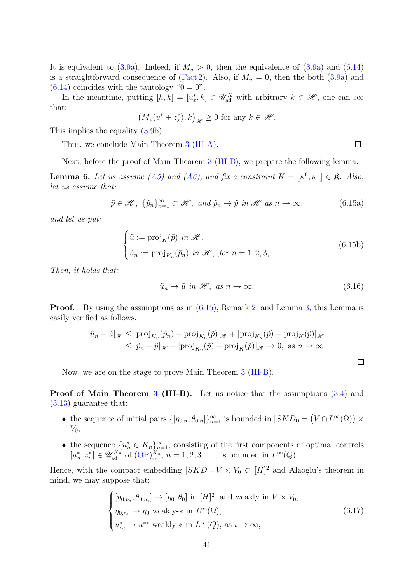It is equivalent to [\(3.9a\)](#page-18-5). Indeed, if  $M_u > 0$ , then the equivalence of (3.9a) and [\(6.14\)](#page-39-1) is a straightforward consequence of [\(Fact 2\)](#page-6-3). Also, if  $M_u = 0$ , then the both [\(3.9a\)](#page-18-5) and  $(6.14)$  coincides with the tautology " $0 = 0$ ".

In the meantime, putting  $[h, k] = [u_{\varepsilon}^*, k] \in \mathscr{U}_{ad}^K$  with arbitrary  $k \in \mathscr{H}$ , one can see that:

$$
\left(M_v(v^*+z_{\varepsilon}^*),k\right)_{\mathscr{H}}\geq 0\text{ for any }k\in\mathscr{H}.
$$

This implies the equality [\(3.9b\)](#page-18-7).

Thus, we conclude Main Theorem [3](#page-18-3) [\(III-A\)](#page-18-4).

Next, before the proof of Main Theorem [3](#page-18-3) [\(III-B\)](#page-19-0), we prepare the following lemma.

<span id="page-40-2"></span>**Lemma 6.** Let us assume [\(A5\)](#page-16-2) and [\(A6\)](#page-16-3), and fix a constraint  $K = [\kappa^0, \kappa^1] \in \mathfrak{K}$ . Also, let us assume that:

<span id="page-40-0"></span>
$$
\tilde{p} \in \mathcal{H}, \ \{\tilde{p}_n\}_{n=1}^{\infty} \subset \mathcal{H}, \ and \ \tilde{p}_n \to \tilde{p} \ in \ \mathcal{H} \ as \ n \to \infty,
$$
\n(6.15a)

and let us put:

$$
\begin{cases} \tilde{u} := \text{proj}_K(\tilde{p}) \text{ in } \mathcal{H}, \\ \tilde{u}_n := \text{proj}_{K_n}(\tilde{p}_n) \text{ in } \mathcal{H}, \text{ for } n = 1, 2, 3, \dots \end{cases}
$$
 (6.15b)

Then, it holds that:

$$
\tilde{u}_n \to \tilde{u} \text{ in } \mathcal{H}, \text{ as } n \to \infty. \tag{6.16}
$$

Proof. By using the assumptions as in [\(6.15\)](#page-40-0), Remark [2,](#page-6-0) and Lemma [3,](#page-28-6) this Lemma is easily verified as follows.

$$
|\tilde{u}_n - \tilde{u}|_{\mathscr{H}} \leq |\text{proj}_{K_n}(\tilde{p}_n) - \text{proj}_{K_n}(\tilde{p})|_{\mathscr{H}} + |\text{proj}_{K_n}(\tilde{p}) - \text{proj}_K(\tilde{p})|_{\mathscr{H}} \leq |\tilde{p}_n - \tilde{p}|_{\mathscr{H}} + |\text{proj}_{K_n}(\tilde{p}) - \text{proj}_K(\tilde{p})|_{\mathscr{H}} \to 0, \text{ as } n \to \infty.
$$

Now, we are on the stage to prove Main Theorem [3](#page-18-3) [\(III-B\)](#page-19-0).

Proof of Main Theorem [3](#page-18-3) (III-B). Let us notice that the assumptions  $(3.4)$  and [\(3.13\)](#page-19-4) guarantee that:

- the sequence of initial pairs  $\{[\eta_{0,n}, \theta_{0,n}]\}_{n=1}^{\infty}$  is bounded in  $|SKD_0 = (V \cap L^{\infty}(\Omega)) \times$  $V_0$ ;
- the sequence  ${u_n^* \in K_n}_{n=1}^{\infty}$ , consisting of the first components of optimal controls  $[u_n^*, v_n^*] \in \mathscr{U}_{\text{ad}}^{K_n}$  of  $(\text{OP})_{\varepsilon_n}^{K_n}$ ,  $n = 1, 2, 3, \ldots$ , is bounded in  $L^{\infty}(Q)$ .

Hence, with the compact embedding  $|SKD = V \times V_0 \subset [H]^2$  and Alaoglu's theorem in mind, we may suppose that:

<span id="page-40-1"></span>
$$
\begin{cases} [\eta_{0,n_i}, \theta_{0,n_i}] \to [\eta_0, \theta_0] \text{ in } [H]^2 \text{, and weakly in } V \times V_0, \\ \eta_{0,n_i} \to \eta_0 \text{ weakly-* in } L^{\infty}(\Omega), \\ u_{n_i}^* \to u^{**} \text{ weakly-* in } L^{\infty}(Q) \text{, as } i \to \infty, \end{cases}
$$
(6.17)

 $\Box$ 

 $\Box$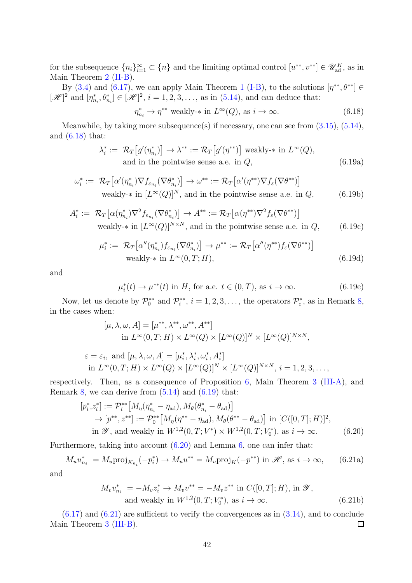for the subsequence  $\{n_i\}_{i=1}^{\infty} \subset \{n\}$  and the limiting optimal control  $[u^{**}, v^{**}] \in \mathscr{U}_{ad}^K$ , as in Main Theorem [2](#page-18-0) [\(II-B\)](#page-18-2).

By [\(3.4\)](#page-17-5) and [\(6.17\)](#page-40-1), we can apply Main Theorem [1](#page-17-0) [\(I-B\)](#page-17-2), to the solutions  $[\eta^{**}, \theta^{**}] \in$  $[\mathscr{H}]^2$  and  $[\eta^*_{n_i}, \theta^*_{n_i}] \in [\mathscr{H}]^2$ ,  $i = 1, 2, 3, ...,$  as in [\(5.14\)](#page-31-3), and can deduce that:

<span id="page-41-0"></span>
$$
\eta_{n_i}^* \to \eta^{**} \text{ weakly-* in } L^{\infty}(Q), \text{ as } i \to \infty.
$$
 (6.18)

Meanwhile, by taking more subsequence(s) if necessary, one can see from  $(3.15)$ ,  $(5.14)$ , and [\(6.18\)](#page-41-0) that:

<span id="page-41-1"></span>
$$
\lambda_i^* := \mathcal{R}_T \big[ g'(\eta_{n_i}^*) \big] \to \lambda^{**} := \mathcal{R}_T \big[ g'(\eta^{**}) \big] \text{ weakly-* in } L^{\infty}(Q),
$$
  
and in the pointwise sense a.e. in  $Q$ , (6.19a)

$$
\omega_i^* := \mathcal{R}_T \big[ \alpha'(\eta_{n_i}^*) \nabla f_{\varepsilon_{n_i}} (\nabla \theta_{n_i}^*) \big] \to \omega^{**} := \mathcal{R}_T \big[ \alpha'(\eta^{**}) \nabla f_{\varepsilon} (\nabla \theta^{**}) \big]
$$
  
weakly-\* in  $[L^{\infty}(Q)]^N$ , and in the pointwise sense a.e. in  $Q$ , (6.19b)

$$
A_i^* := \mathcal{R}_T\big[\alpha(\eta_{n_i}^*)\nabla^2 f_{\varepsilon_{n_i}}(\nabla \theta_{n_i}^*)\big] \to A^{**} := \mathcal{R}_T\big[\alpha(\eta^{**})\nabla^2 f_{\varepsilon}(\nabla \theta^{**})\big]
$$
  
weakly-\* in  $[L^{\infty}(Q)]^{N \times N}$ , and in the pointwise sense a.e. in  $Q$ , (6.19c)

$$
\mu_i^* := \mathcal{R}_T \big[ \alpha''(\eta_{n_i}^*) f_{\varepsilon_{n_i}} (\nabla \theta_{n_i}^*) \big] \to \mu^{**} := \mathcal{R}_T \big[ \alpha''(\eta^{**}) f_{\varepsilon} (\nabla \theta^{**}) \big]
$$
  
weakly-\* in  $L^{\infty}(0, T; H)$ , (6.19d)

and

$$
\mu_i^*(t) \to \mu^{**}(t) \text{ in } H, \text{ for a.e. } t \in (0, T), \text{ as } i \to \infty. \tag{6.19e}
$$

Now, let us denote by  $\mathcal{P}_0^{**}$  and  $\mathcal{P}_i^{**}$ ,  $i = 1, 2, 3, \ldots$ , the operators  $\mathcal{P}_\varepsilon^*$ , as in Remark [8,](#page-19-3) in the cases when:

$$
[\mu, \lambda, \omega, A] = [\mu^{**}, \lambda^{**}, \omega^{**}, A^{**}]
$$
  
in  $L^{\infty}(0, T; H) \times L^{\infty}(Q) \times [L^{\infty}(Q)]^N \times [L^{\infty}(Q)]^{N \times N},$ 

$$
\varepsilon = \varepsilon_i, \text{ and } [\mu, \lambda, \omega, A] = [\mu_i^*, \lambda_i^*, \omega_i^*, A_i^*]
$$
  
in  $L^{\infty}(0, T; H) \times L^{\infty}(Q) \times [L^{\infty}(Q)]^N \times [L^{\infty}(Q)]^{N \times N}, i = 1, 2, 3, ...,$ 

respectively. Then, as a consequence of Proposition [6,](#page-13-0) Main Theorem [3](#page-18-3) [\(III-A\)](#page-18-4), and Remark [8,](#page-19-3) we can derive from  $(5.14)$  and  $(6.19)$  that:

$$
[p_i^*, z_i^*] := \mathcal{P}_i^{**} [M_{\eta}(\eta_{n_i}^* - \eta_{ad}), M_{\theta}(\theta_{n_i}^* - \theta_{ad})]
$$
  
\n
$$
\rightarrow [p^{**}, z^{**}] := \mathcal{P}_0^{**} [M_{\eta}(\eta^{**} - \eta_{ad}), M_{\theta}(\theta^{**} - \theta_{ad})] \text{ in } [C([0, T]; H)]^2,
$$
  
\nin  $\mathscr{Y}$ , and weakly in  $W^{1,2}(0, T; V^*) \times W^{1,2}(0, T; V_0^*)$ , as  $i \to \infty$ . (6.20)

Furthermore, taking into account [\(6.20\)](#page-41-2) and Lemma [6,](#page-40-2) one can infer that:

$$
M_u u_{n_i}^* = M_u \text{proj}_{K_{n_i}}(-p_i^*) \to M_u u^{**} = M_u \text{proj}_K(-p^{**}) \text{ in } \mathcal{H}, \text{ as } i \to \infty,
$$
 (6.21a)

and

<span id="page-41-3"></span><span id="page-41-2"></span>
$$
M_v v_{n_i}^* = -M_v z_i^* \to M_v v^{**} = -M_v z^{**} \text{ in } C([0, T]; H), \text{ in } \mathcal{Y},
$$
  
and weakly in  $W^{1,2}(0, T; V_0^*), \text{ as } i \to \infty.$  (6.21b)

 $(6.17)$  and  $(6.21)$  are sufficient to verify the convergences as in  $(3.14)$ , and to conclude Main Theorem [3](#page-18-3) [\(III-B\)](#page-19-0).  $\Box$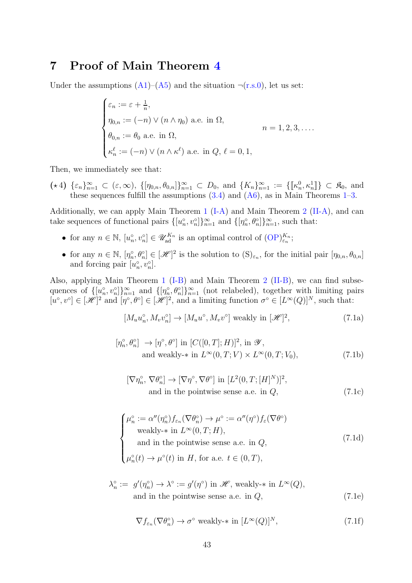### 7 Proof of Main Theorem [4](#page-20-0)

Under the assumptions  $(A1)$ – $(A5)$  and the situation  $\neg$ [\(r.s.0\)](#page-2-0), let us set:

$$
\begin{cases} \varepsilon_n := \varepsilon + \frac{1}{n}, \\ \eta_{0,n} := (-n) \vee (n \wedge \eta_0) \text{ a.e. in } \Omega, \\ \theta_{0,n} := \theta_0 \text{ a.e. in } \Omega, \\ \kappa_n^{\ell} := (-n) \vee (n \wedge \kappa^{\ell}) \text{ a.e. in } Q, \ell = 0, 1, \end{cases} \qquad n = 1, 2, 3, \dots
$$

Then, we immediately see that:

<span id="page-42-5"></span> $(\star 4) \ \{\varepsilon_n\}_{n=1}^{\infty} \subset (\varepsilon,\infty), \ \{\,[\eta_{0,n},\theta_{0,n}]\}_{n=1}^{\infty} \subset D_0$ , and  $\{K_n\}_{n=1}^{\infty} := \{\llbracket \kappa_n^0, \kappa_n^1 \rrbracket\} \subset \mathfrak{K}_0$ , and these sequences fulfill the assumptions  $(3.4)$  and  $(A6)$ , as in Main Theorems [1](#page-17-0)[–3.](#page-18-3)

Additionally, we can apply Main Theorem [1](#page-17-0) [\(I-A\)](#page-17-1) and Main Theorem [2](#page-18-0) [\(II-A\)](#page-18-1), and can take sequences of functional pairs  $\{[u_n^{\circ}, v_n^{\circ}]\}_{n=1}^{\infty}$  and  $\{[\eta_n^{\circ}, \theta_n^{\circ}]\}_{n=1}^{\infty}$ , such that:

- for any  $n \in \mathbb{N}$ ,  $[u_n^{\circ}, v_n^{\circ}] \in \mathscr{U}_{ad}^{K_n}$  is an optimal control of  $(\text{OP})_{\varepsilon_n}^{K_n}$ ;
- for any  $n \in \mathbb{N}$ ,  $[\eta_n^{\circ}, \theta_n^{\circ}] \in [\mathcal{H}]^2$  is the solution to  $(S)_{\varepsilon_n}$ , for the initial pair  $[\eta_{0,n}, \theta_{0,n}]$ and forcing pair  $[u_n^{\circ}, v_n^{\circ}].$

Also, applying Main Theorem [1](#page-17-0) [\(I-B\)](#page-17-2) and Main Theorem [2](#page-18-0) [\(II-B\)](#page-18-2), we can find subsequences of  $\{[u_n^{\circ}, v_n^{\circ}]\}_{n=1}^{\infty}$  and  $\{[\eta_n^{\circ}, \theta_n^{\circ}]\}_{n=1}^{\infty}$  (not relabeled), together with limiting pairs  $[u^{\circ}, v^{\circ}] \in [\mathscr{H}]^2$  and  $[\eta^{\circ}, \theta^{\circ}] \in [\mathscr{H}]^2$ , and a limiting function  $\sigma^{\circ} \in [L^{\infty}(Q)]^N$ , such that:

<span id="page-42-2"></span>
$$
[M_u u_n^{\circ}, M_v v_n^{\circ}] \to [M_u u^{\circ}, M_v v^{\circ}] \text{ weakly in } [\mathcal{H}]^2,
$$
\n(7.1a)

$$
[\eta_n^{\circ}, \theta_n^{\circ}] \to [\eta^{\circ}, \theta^{\circ}] \text{ in } [C([0, T]; H)]^2, \text{ in } \mathcal{Y},
$$
  
and weakly-\* in  $L^{\infty}(0, T; V) \times L^{\infty}(0, T; V_0),$  (7.1b)

<span id="page-42-3"></span><span id="page-42-0"></span>
$$
[\nabla \eta_n^{\circ}, \nabla \theta_n^{\circ}] \to [\nabla \eta^{\circ}, \nabla \theta^{\circ}] \text{ in } [L^2(0, T; [H]^N)]^2,
$$
  
and in the pointwise sense a.e. in *Q*, (7.1c)

$$
\begin{cases}\n\mu_n^\circ := \alpha''(\eta_n^\circ) f_{\varepsilon_n}(\nabla \theta_n^\circ) \to \mu^\circ := \alpha''(\eta^\circ) f_{\varepsilon}(\nabla \theta^\circ) \\
\text{weakly-* in } L^\infty(0, T; H), \\
\text{and in the pointwise sense a.e. in } Q, \\
\mu_n^\circ(t) \to \mu^\circ(t) \text{ in } H, \text{ for a.e. } t \in (0, T),\n\end{cases}
$$
\n(7.1d)

$$
\lambda_n^{\circ} := g'(\eta_n^{\circ}) \to \lambda^{\circ} := g'(\eta^{\circ}) \text{ in } \mathcal{H}, \text{ weakly-* in } L^{\infty}(Q),
$$
  
and in the pointwise sense a.e. in  $Q$ , (7.1e)

<span id="page-42-4"></span><span id="page-42-1"></span>
$$
\nabla f_{\varepsilon_n}(\nabla \theta_n^{\circ}) \to \sigma^{\circ} \text{ weakly-* in } [L^{\infty}(Q)]^N,
$$
\n(7.1f)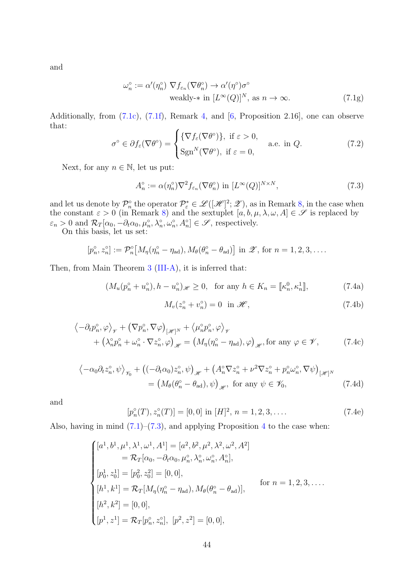and

<span id="page-43-1"></span>
$$
\omega_n^{\circ} := \alpha'(\eta_n^{\circ}) \nabla f_{\varepsilon_n}(\nabla \theta_n^{\circ}) \to \alpha'(\eta^{\circ})\sigma^{\circ}
$$
  
weakly-\* in  $[L^{\infty}(Q)]^N$ , as  $n \to \infty$ . (7.1g)

Additionally, from [\(7.1c\)](#page-42-0), [\(7.1f\)](#page-42-1), Remark [4,](#page-8-4) and [\[6,](#page-46-3) Proposition 2.16], one can observe that:

<span id="page-43-5"></span>
$$
\sigma^{\circ} \in \partial f_{\varepsilon}(\nabla \theta^{\circ}) = \begin{cases} \{\nabla f_{\varepsilon}(\nabla \theta^{\circ})\}, \text{ if } \varepsilon > 0, \\ \text{Sgn}^{N}(\nabla \theta^{\circ}), \text{ if } \varepsilon = 0, \end{cases} \text{ a.e. in } Q. \tag{7.2}
$$

Next, for any  $n \in \mathbb{N}$ , let us put:

<span id="page-43-0"></span>
$$
A_n^\circ := \alpha(\eta_n^\circ) \nabla^2 f_{\varepsilon_n} (\nabla \theta_n^\circ) \text{ in } [L^\infty(Q)]^{N \times N},\tag{7.3}
$$

and let us denote by  $\mathcal{P}_p^{\circ}$  the operator  $\mathcal{P}_\varepsilon^* \in \mathscr{L}([\mathscr{H}]^2;\mathscr{Z})$ , as in Remark [8,](#page-19-3) in the case when the constant  $\varepsilon > 0$  (in Remark [8\)](#page-19-3) and the sextuplet  $[a, b, \mu, \lambda, \omega, A] \in \mathscr{S}$  is replaced by  $\varepsilon_n > 0$  and  $\mathcal{R}_T[\alpha_0, -\partial_t \alpha_0, \mu_n^{\circ}, \lambda_n^{\circ}, \omega_n^{\circ}, A_n^{\circ}] \in \mathscr{S}$ , respectively.

On this basis, let us set:

$$
[p_n^{\circ}, z_n^{\circ}] := \mathcal{P}_n^{\circ}\big[M_{\eta}(\eta_n^{\circ} - \eta_{ad}), M_{\theta}(\theta_n^{\circ} - \theta_{ad})\big] \text{ in } \mathscr{Z}, \text{ for } n = 1, 2, 3, \dots.
$$

Then, from Main Theorem [3](#page-18-3) [\(III-A\)](#page-18-4), it is inferred that:

$$
(M_u(p_n^{\circ} + u_n^{\circ}), h - u_n^{\circ})_{\mathscr{H}} \ge 0, \text{ for any } h \in K_n = [\![\kappa_n^0, \kappa_n^1]\!],
$$
 (7.4a)

<span id="page-43-4"></span><span id="page-43-3"></span><span id="page-43-2"></span>
$$
M_v(z_n^{\circ} + v_n^{\circ}) = 0 \quad \text{in } \mathcal{H},\tag{7.4b}
$$

$$
\langle -\partial_t p_n^{\circ}, \varphi \rangle_{\mathscr{V}} + (\nabla p_n^{\circ}, \nabla \varphi)_{[\mathscr{H}]^N} + \langle \mu_n^{\circ} p_n^{\circ}, \varphi \rangle_{\mathscr{V}} + (\lambda_n^{\circ} p_n^{\circ} + \omega_n^{\circ} \cdot \nabla z_n^{\circ}, \varphi)_{\mathscr{H}} = (M_\eta(\eta_n^{\circ} - \eta_{ad}), \varphi)_{\mathscr{H}}, \text{for any } \varphi \in \mathscr{V},
$$
 (7.4c)

$$
\langle -\alpha_0 \partial_t z_n^{\circ}, \psi \rangle_{\mathscr{V}_0} + \left( (-\partial_t \alpha_0) z_n^{\circ}, \psi \right)_{\mathscr{H}} + \left( A_n^{\circ} \nabla z_n^{\circ} + \nu^2 \nabla z_n^{\circ} + p_n^{\circ} \omega_n^{\circ}, \nabla \psi \right)_{\left[ \mathscr{H} \right]^N}
$$
  
= 
$$
\left( M_\theta(\theta_n^{\circ} - \theta_{ad}), \psi \right)_{\mathscr{H}}, \text{ for any } \psi \in \mathscr{V}_0,
$$
 (7.4d)

and

$$
[p_n^{\circ}(T), z_n^{\circ}(T)] = [0, 0] \text{ in } [H]^2, n = 1, 2, 3, .... \qquad (7.4e)
$$

Also, having in mind  $(7.1)$ – $(7.3)$ , and applying Proposition [4](#page-12-2) to the case when:

$$
\begin{cases}\n[a^1, b^1, \mu^1, \lambda^1, \omega^1, A^1] = [a^2, b^2, \mu^2, \lambda^2, \omega^2, A^2] \\
= \mathcal{R}_T[\alpha_0, -\partial_t \alpha_0, \mu_n^{\circ}, \lambda_n^{\circ}, \omega_n^{\circ}, A_n^{\circ}], \\
[p_0^1, z_0^1] = [p_0^2, z_0^2] = [0, 0], \\
[h^1, k^1] = \mathcal{R}_T[M_\eta(\eta_n^{\circ} - \eta_{ad}), M_\theta(\theta_n^{\circ} - \theta_{ad})], \quad \text{for } n = 1, 2, 3, \dots, \\
[h^2, k^2] = [0, 0], \\
[p^1, z^1] = \mathcal{R}_T[p_n^{\circ}, z_n^{\circ}], [p^2, z^2] = [0, 0],\n\end{cases}
$$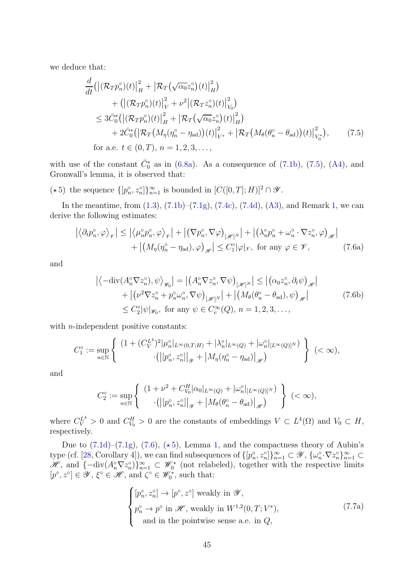we deduce that:

<span id="page-44-0"></span>
$$
\frac{d}{dt} (|(\mathcal{R}_{T} p_{n}^{\circ})(t)|_{H}^{2} + |\mathcal{R}_{T}(\sqrt{\alpha_{0}} z_{n}^{\circ})(t)|_{H}^{2}) \n+ (|(\mathcal{R}_{T} p_{n}^{\circ})(t)|_{V}^{2} + \nu^{2} |(\mathcal{R}_{T} z_{n}^{\circ})(t)|_{V_{0}}^{2}) \n\leq 3\bar{C}_{0}^{*} (|(\mathcal{R}_{T} p_{n}^{\circ})(t)|_{H}^{2} + |\mathcal{R}_{T}(\sqrt{\alpha_{0}} z_{n}^{\circ})(t)|_{H}^{2}) \n+ 2\bar{C}_{0}^{*} (|\mathcal{R}_{T}(M_{\eta}(\eta_{n}^{\circ} - \eta_{ad}))(t)|_{V^{*}}^{2} + |\mathcal{R}_{T}(M_{\theta}(\theta_{n}^{\circ} - \theta_{ad}))(t)|_{V_{0}^{*}}^{2}), \qquad (7.5)
$$
\nfor a.e.  $t \in (0, T), n = 1, 2, 3, ...$ 

with use of the constant  $\bar{C}_0^*$  as in [\(6.8a\)](#page-36-3). As a consequence of [\(7.1b\)](#page-42-3), [\(7.5\)](#page-44-0), [\(A4\)](#page-16-0), and Gronwall's lemma, it is observed that:

( $\star$ 5) the sequence  $\{[p_n^{\circ}, z_n^{\circ}]\}_{n=1}^{\infty}$  is bounded in  $[C([0, T]; H)]^2 \cap \mathscr{Y}$ .

<span id="page-44-2"></span>In the meantime, from  $(1.3)$ ,  $(7.1b)$ – $(7.1g)$ ,  $(7.4c)$ ,  $(7.4d)$ ,  $(A3)$ , and Remark [1,](#page-5-0) we can derive the following estimates:

<span id="page-44-1"></span>
$$
\left| \left\langle \partial_t p_n^{\circ}, \varphi \right\rangle_{\mathscr{V}} \right| \leq \left| \left\langle \mu_n^{\circ} p_n^{\circ}, \varphi \right\rangle_{\mathscr{V}} \right| + \left| \left( \nabla p_n^{\circ}, \nabla \varphi \right)_{\mathscr{H}^N} \right| + \left| \left( \lambda_n^{\circ} p_n^{\circ} + \omega_n^{\circ} \cdot \nabla z_n^{\circ}, \varphi \right)_{\mathscr{H}} \right|
$$
  
+ 
$$
\left| \left( M_{\eta} (\eta_n^{\circ} - \eta_{ad}), \varphi \right)_{\mathscr{H}} \right| \leq C_1^{\circ} |\varphi|_{\mathscr{V}}, \text{ for any } \varphi \in \mathscr{V}, \tag{7.6a}
$$

and

$$
\left| \langle -\mathrm{div}(A_n^{\circ} \nabla z_n^{\circ}), \psi \rangle_{\mathscr{W}_0} \right| = \left| \left( A_n^{\circ} \nabla z_n^{\circ}, \nabla \psi \right)_{\left[ \mathscr{H} \right]^N} \right| \le \left| \left( \alpha_0 z_n^{\circ}, \partial_t \psi \right)_{\mathscr{H}} \right|
$$
  
+  $\left| \left( \nu^2 \nabla z_n^{\circ} + p_n^{\circ} \omega_n^{\circ}, \nabla \psi \right)_{\left[ \mathscr{H} \right]^N} \right| + \left| \left( M_\theta(\theta_n^{\circ} - \theta_{ad}), \psi \right)_{\mathscr{H}} \right|$  (7.6b)  
 $\leq C_2^{\circ} |\psi|_{\mathscr{W}_0}, \text{ for any } \psi \in C_c^{\infty}(Q), n = 1, 2, 3, \dots,$ 

with *n*-independent positive constants:

$$
C_1^\circ := \sup_{n \in \mathbb{N}} \left\{ \begin{array}{c} (1 + (C_V^{L^4})^2 | \mu_n^\circ|_{L^\infty(0,T;H)} + |\lambda_n^\circ|_{L^\infty(Q)} + |\omega_n^\circ|_{[L^\infty(Q)]^N}) \\ \cdot \left( \left| [p_n^\circ,z_n^\circ] \right|_{\mathcal{Y}} + \left| M_\eta(\eta_n^\circ - \eta_\text{ad}) \right|_{\mathcal{H}} \right) \end{array} \right\} \ (\leq \infty),
$$

and

$$
C_2^\circ:=\sup_{n\in\mathbb{N}}\left\{\begin{array}{c}(1+\nu^2+C_{V_0}^H|\alpha_0|_{L^\infty(Q)}+|\omega_n^\circ|_{[L^\infty(Q)]^N})\\ \cdot\left(\left|[p_n^\circ,z_n^\circ]\right|_{\mathscr Y}+\left|M_\theta(\theta_n^\circ-\theta_\mathrm{ad})\right|_{\mathscr H}\right)\end{array}\right\}\;(<\infty),
$$

where  $C_V^{L^4} > 0$  and  $C_{V_0}^H > 0$  are the constants of embeddings  $V \subset L^4(\Omega)$  and  $V_0 \subset H$ , respectively.

Due to  $(7.1d)$ – $(7.1g)$ ,  $(7.6)$ ,  $(*5)$  $(*5)$ , Lemma [1,](#page-14-5) and the compactness theory of Aubin's type (cf. [\[28,](#page-48-4) Corollary 4]), we can find subsequences of  $\{[p_n^{\circ}, z_n^{\circ}]\}_{n=1}^{\infty} \subset \mathscr{Y}$ ,  $\{\omega_n^{\circ} \cdot \nabla z_n^{\circ}\}_{n=1}^{\infty} \subset$  $\mathscr{H}$ , and  $\{-\mathrm{div}(A_n^{\circ}\nabla z_n^{\circ})\}_{n=1}^{\infty}$  ⊂  $\mathscr{W}_0^*$  (not relabeled), together with the respective limits  $[p^{\circ}, z^{\circ}] \in \mathscr{Y}, \, \xi^{\circ} \in \mathscr{H}, \, \text{and} \, \zeta^{\circ} \in \mathscr{W}_0^*, \, \text{such that:}$ 

<span id="page-44-4"></span><span id="page-44-3"></span>
$$
\begin{cases}\n[p_n^{\circ}, z_n^{\circ}] \to [p^{\circ}, z^{\circ}] \text{ weakly in } \mathcal{Y}, \\
p_n^{\circ} \to p^{\circ} \text{ in } \mathcal{H}, \text{ weakly in } W^{1,2}(0, T; V^*), \\
\text{ and in the pointwise sense a.e. in } Q,\n\end{cases}
$$
\n(7.7a)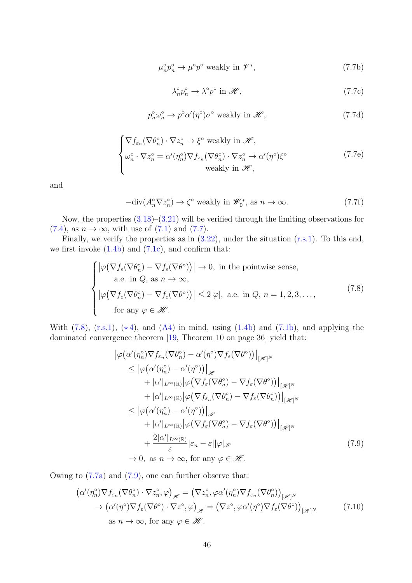$$
\mu_n^{\circ} p_n^{\circ} \to \mu^{\circ} p^{\circ} \text{ weakly in } \mathcal{V}^*,\tag{7.7b}
$$

<span id="page-45-3"></span><span id="page-45-2"></span>
$$
\lambda_n^{\circ} p_n^{\circ} \to \lambda^{\circ} p^{\circ} \text{ in } \mathcal{H},\tag{7.7c}
$$

$$
p_n^{\circ}\omega_n^{\circ} \to p^{\circ}\alpha'(\eta^{\circ})\sigma^{\circ} \text{ weakly in } \mathscr{H},\tag{7.7d}
$$

$$
\begin{cases}\n\nabla f_{\varepsilon_n}(\nabla \theta_n^{\circ}) \cdot \nabla z_n^{\circ} \to \xi^{\circ} \text{ weakly in } \mathcal{H}, \\
\omega_n^{\circ} \cdot \nabla z_n^{\circ} = \alpha'(\eta_n^{\circ}) \nabla f_{\varepsilon_n}(\nabla \theta_n^{\circ}) \cdot \nabla z_n^{\circ} \to \alpha'(\eta^{\circ}) \xi^{\circ} \\
\text{weakly in } \mathcal{H},\n\end{cases} (7.7e)
$$

and

$$
-\text{div}(A_n^{\circ}\nabla z_n^{\circ}) \to \zeta^{\circ} \text{ weakly in } \mathscr{W}_0^*, \text{ as } n \to \infty.
$$
 (7.7f)

Now, the properties [\(3.18\)](#page-20-5)–[\(3.21\)](#page-20-6) will be verified through the limiting observations for  $(7.4)$ , as  $n \to \infty$ , with use of  $(7.1)$  and  $(7.7)$ .

Finally, we verify the properties as in  $(3.22)$ , under the situation  $(r.s.1)$ . To this end, we first invoke  $(1.4b)$  and  $(7.1c)$ , and confirm that:

<span id="page-45-0"></span>
$$
\begin{cases}\n\left|\varphi\left(\nabla f_{\varepsilon}(\nabla \theta_{n}^{\circ}) - \nabla f_{\varepsilon}(\nabla \theta^{\circ})\right)\right| \to 0, \text{ in the pointwise sense,} \\
\text{a.e. in } Q, \text{ as } n \to \infty, \\
\left|\varphi\left(\nabla f_{\varepsilon}(\nabla \theta_{n}^{\circ}) - \nabla f_{\varepsilon}(\nabla \theta^{\circ})\right)\right| \leq 2|\varphi|, \text{ a.e. in } Q, n = 1, 2, 3, \dots, \\
\text{for any } \varphi \in \mathscr{H}.\n\end{cases}
$$
\n(7.8)

With  $(7.8)$ ,  $(r.s.1)$ ,  $(*4)$  $(*4)$ , and  $(A4)$  in mind, using  $(1.4b)$  and  $(7.1b)$ , and applying the dominated convergence theorem [\[19,](#page-47-12) Theorem 10 on page 36] yield that:

<span id="page-45-1"></span>
$$
\begin{split}\n\left|\varphi\left(\alpha'(\eta_n^{\circ})\nabla f_{\varepsilon_n}(\nabla\theta_n^{\circ}) - \alpha'(\eta^{\circ})\nabla f_{\varepsilon}(\nabla\theta^{\circ})\right)\right|_{\mathscr{H}} \\
&\leq \left|\varphi\left(\alpha'(\eta_n^{\circ}) - \alpha'(\eta^{\circ})\right)\right|_{\mathscr{H}} \\
&\quad + |\alpha'|_{L^{\infty}(\mathbb{R})}\left|\varphi\left(\nabla f_{\varepsilon}(\nabla\theta_n^{\circ}) - \nabla f_{\varepsilon}(\nabla\theta^{\circ})\right)\right|_{\mathscr{H}^N} \\
&\quad + |\alpha'|_{L^{\infty}(\mathbb{R})}\left|\varphi\left(\nabla f_{\varepsilon_n}(\nabla\theta_n^{\circ}) - \nabla f_{\varepsilon}(\nabla\theta_n^{\circ})\right)\right|_{\mathscr{H}^N} \\
&\leq \left|\varphi\left(\alpha'(\eta_n^{\circ}) - \alpha'(\eta^{\circ})\right)\right|_{\mathscr{H}} \\
&\quad + |\alpha'|_{L^{\infty}(\mathbb{R})}\left|\varphi\left(\nabla f_{\varepsilon}(\nabla\theta_n^{\circ}) - \nabla f_{\varepsilon}(\nabla\theta^{\circ})\right)\right|_{\mathscr{H}^N} \\
&\quad + \frac{2|\alpha'|_{L^{\infty}(\mathbb{R})}}{\varepsilon}\left|\varepsilon_n - \varepsilon||\varphi|_{\mathscr{H}}\n\end{split} \tag{7.9}
$$
\n
$$
\to 0, \text{ as } n \to \infty, \text{ for any } \varphi \in \mathscr{H}.
$$

Owing to [\(7.7a\)](#page-44-4) and [\(7.9\)](#page-45-1), one can further observe that:

<span id="page-45-4"></span>
$$
\left(\alpha'(\eta_n^{\circ}) \nabla f_{\varepsilon_n}(\nabla \theta_n^{\circ}) \cdot \nabla z_n^{\circ}, \varphi\right)_{\mathscr{H}} = \left(\nabla z_n^{\circ}, \varphi \alpha'(\eta_n^{\circ}) \nabla f_{\varepsilon_n}(\nabla \theta_n^{\circ})\right)_{\mathscr{H}^N}
$$

$$
\rightarrow \left(\alpha'(\eta^{\circ}) \nabla f_{\varepsilon}(\nabla \theta^{\circ}) \cdot \nabla z^{\circ}, \varphi\right)_{\mathscr{H}} = \left(\nabla z^{\circ}, \varphi \alpha'(\eta^{\circ}) \nabla f_{\varepsilon}(\nabla \theta^{\circ})\right)_{\mathscr{H}^N}
$$

$$
\text{as } n \to \infty, \text{ for any } \varphi \in \mathscr{H}.
$$
 (7.10)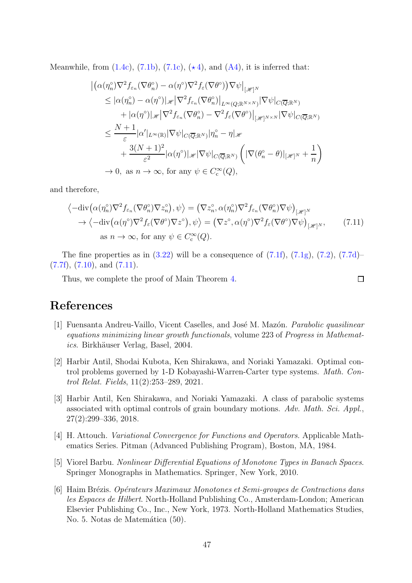Meanwhile, from  $(1.4c)$ ,  $(7.1b)$ ,  $(7.1c)$ ,  $(*4)$  $(*4)$ , and  $(A4)$ , it is inferred that:

$$
\begin{split}\n&\left| \left( \alpha(\eta_n^{\circ}) \nabla^2 f_{\varepsilon_n} (\nabla \theta_n^{\circ}) - \alpha(\eta^{\circ}) \nabla^2 f_{\varepsilon} (\nabla \theta^{\circ}) \right) \nabla \psi \right|_{\left[ \mathscr{H} \right]^N} \\
&\leq |\alpha(\eta_n^{\circ}) - \alpha(\eta^{\circ})|_{\mathscr{H}} \left| \nabla^2 f_{\varepsilon_n} (\nabla \theta_n^{\circ}) \right|_{L^{\infty}(Q; \mathbb{R}^{N \times N})} \left| \nabla \psi \right|_{C(\overline{Q}; \mathbb{R}^N)} \\
&+ |\alpha(\eta^{\circ})|_{\mathscr{H}} \left| \nabla^2 f_{\varepsilon_n} (\nabla \theta_n^{\circ}) - \nabla^2 f_{\varepsilon} (\nabla \theta^{\circ}) \right|_{\left[ \mathscr{H} \right]^{N \times N}} \left| \nabla \psi \right|_{C(\overline{Q}; \mathbb{R}^N)} \\
&\leq \frac{N+1}{\varepsilon} |\alpha'|_{L^{\infty}(\mathbb{R})} |\nabla \psi|_{C(\overline{Q}; \mathbb{R}^N)} \left| \eta_n^{\circ} - \eta \right|_{\mathscr{H}} \\
&+ \frac{3(N+1)^2}{\varepsilon^2} |\alpha(\eta^{\circ})|_{\mathscr{H}} |\nabla \psi|_{C(\overline{Q}; \mathbb{R}^N)} \left( |\nabla (\theta_n^{\circ} - \theta)|_{\left[ \mathscr{H} \right]^N} + \frac{1}{n} \right) \\
&\to 0, \text{ as } n \to \infty, \text{ for any } \psi \in C_c^{\infty}(Q),\n\end{split}
$$

and therefore,

$$
\langle -\mathrm{div}(\alpha(\eta_n^{\circ})\nabla^2 f_{\varepsilon_n}(\nabla \theta_n^{\circ})\nabla z_n^{\circ}), \psi \rangle = (\nabla z_n^{\circ}, \alpha(\eta_n^{\circ})\nabla^2 f_{\varepsilon_n}(\nabla \theta_n^{\circ})\nabla \psi)_{[\mathscr{H}]^N}
$$
  
\n
$$
\rightarrow \langle -\mathrm{div}(\alpha(\eta^{\circ})\nabla^2 f_{\varepsilon}(\nabla \theta^{\circ})\nabla z^{\circ}), \psi \rangle = (\nabla z^{\circ}, \alpha(\eta^{\circ})\nabla^2 f_{\varepsilon}(\nabla \theta^{\circ})\nabla \psi)_{[\mathscr{H}]^N},
$$
 (7.11)  
\nas  $n \rightarrow \infty$ , for any  $\psi \in C_c^{\infty}(Q)$ .

The fine properties as in  $(3.22)$  will be a consequence of  $(7.1f)$ ,  $(7.1g)$ ,  $(7.2)$ ,  $(7.7d)$  $(7.7f), (7.10), \text{ and } (7.11).$  $(7.7f), (7.10), \text{ and } (7.11).$  $(7.7f), (7.10), \text{ and } (7.11).$  $(7.7f), (7.10), \text{ and } (7.11).$  $(7.7f), (7.10), \text{ and } (7.11).$  $(7.7f), (7.10), \text{ and } (7.11).$ 

Thus, we complete the proof of Main Theorem [4.](#page-20-0)

<span id="page-46-6"></span> $\Box$ 

# <span id="page-46-0"></span>References

- [1] Fuensanta Andreu-Vaillo, Vicent Caselles, and José M. Mazón. *Parabolic quasilinear* equations minimizing linear growth functionals, volume 223 of Progress in Mathematics. Birkhäuser Verlag, Basel, 2004.
- <span id="page-46-1"></span>[2] Harbir Antil, Shodai Kubota, Ken Shirakawa, and Noriaki Yamazaki. Optimal control problems governed by 1-D Kobayashi-Warren-Carter type systems. Math. Control Relat. Fields, 11(2):253–289, 2021.
- <span id="page-46-2"></span>[3] Harbir Antil, Ken Shirakawa, and Noriaki Yamazaki. A class of parabolic systems associated with optimal controls of grain boundary motions. Adv. Math. Sci. Appl., 27(2):299–336, 2018.
- <span id="page-46-4"></span>[4] H. Attouch. Variational Convergence for Functions and Operators. Applicable Mathematics Series. Pitman (Advanced Publishing Program), Boston, MA, 1984.
- <span id="page-46-5"></span><span id="page-46-3"></span>[5] Viorel Barbu. Nonlinear Differential Equations of Monotone Types in Banach Spaces. Springer Monographs in Mathematics. Springer, New York, 2010.
- [6] Haim Br´ezis. Op´erateurs Maximaux Monotones et Semi-groupes de Contractions dans les Espaces de Hilbert. North-Holland Publishing Co., Amsterdam-London; American Elsevier Publishing Co., Inc., New York, 1973. North-Holland Mathematics Studies, No. 5. Notas de Matemática (50).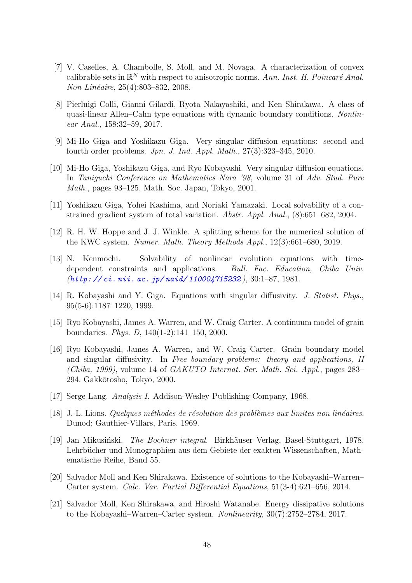- <span id="page-47-2"></span>[7] V. Caselles, A. Chambolle, S. Moll, and M. Novaga. A characterization of convex calibrable sets in  $\mathbb{R}^N$  with respect to anisotropic norms. Ann. Inst. H. Poincaré Anal. Non Linéaire, 25(4):803–832, 2008.
- <span id="page-47-10"></span>[8] Pierluigi Colli, Gianni Gilardi, Ryota Nakayashiki, and Ken Shirakawa. A class of quasi-linear Allen–Cahn type equations with dynamic boundary conditions. Nonlinear Anal., 158:32–59, 2017.
- <span id="page-47-4"></span><span id="page-47-3"></span>[9] Mi-Ho Giga and Yoshikazu Giga. Very singular diffusion equations: second and fourth order problems. Jpn. J. Ind. Appl. Math., 27(3):323–345, 2010.
- [10] Mi-Ho Giga, Yoshikazu Giga, and Ryo Kobayashi. Very singular diffusion equations. In Taniguchi Conference on Mathematics Nara '98, volume 31 of Adv. Stud. Pure Math., pages 93–125. Math. Soc. Japan, Tokyo, 2001.
- <span id="page-47-11"></span><span id="page-47-5"></span>[11] Yoshikazu Giga, Yohei Kashima, and Noriaki Yamazaki. Local solvability of a constrained gradient system of total variation. Abstr. Appl. Anal., (8):651–682, 2004.
- [12] R. H. W. Hoppe and J. J. Winkle. A splitting scheme for the numerical solution of the KWC system. Numer. Math. Theory Methods Appl., 12(3):661–680, 2019.
- <span id="page-47-9"></span>[13] N. Kenmochi. Solvability of nonlinear evolution equations with timedependent constraints and applications. Bull. Fac. Education, Chiba Univ. (*[http: // ci. nii. ac. jp/ naid/ 110004715232](http://ci.nii.ac.jp/naid/110004715232)* ), 30:1–87, 1981.
- <span id="page-47-6"></span><span id="page-47-0"></span>[14] R. Kobayashi and Y. Giga. Equations with singular diffusivity. J. Statist. Phys., 95(5-6):1187–1220, 1999.
- [15] Ryo Kobayashi, James A. Warren, and W. Craig Carter. A continuum model of grain boundaries. Phys. D, 140(1-2):141–150, 2000.
- <span id="page-47-1"></span>[16] Ryo Kobayashi, James A. Warren, and W. Craig Carter. Grain boundary model and singular diffusivity. In Free boundary problems: theory and applications, II (Chiba, 1999), volume 14 of  $GAKUTO$  Internat. Ser. Math. Sci. Appl., pages 283– 294. Gakkōtosho, Tokyo, 2000.
- <span id="page-47-14"></span><span id="page-47-13"></span>[17] Serge Lang. Analysis I. Addison-Wesley Publishing Company, 1968.
- <span id="page-47-12"></span> $[18]$  J.-L. Lions. Quelques méthodes de résolution des problèmes aux limites non linéaires. Dunod; Gauthier-Villars, Paris, 1969.
- [19] Jan Mikusiński. *The Bochner integral*. Birkhäuser Verlag, Basel-Stuttgart, 1978. Lehrbücher und Monographien aus dem Gebiete der exakten Wissenschaften, Mathematische Reihe, Band 55.
- <span id="page-47-7"></span>[20] Salvador Moll and Ken Shirakawa. Existence of solutions to the Kobayashi–Warren– Carter system. Calc. Var. Partial Differential Equations, 51(3-4):621–656, 2014.
- <span id="page-47-8"></span>[21] Salvador Moll, Ken Shirakawa, and Hiroshi Watanabe. Energy dissipative solutions to the Kobayashi–Warren–Carter system. Nonlinearity, 30(7):2752–2784, 2017.